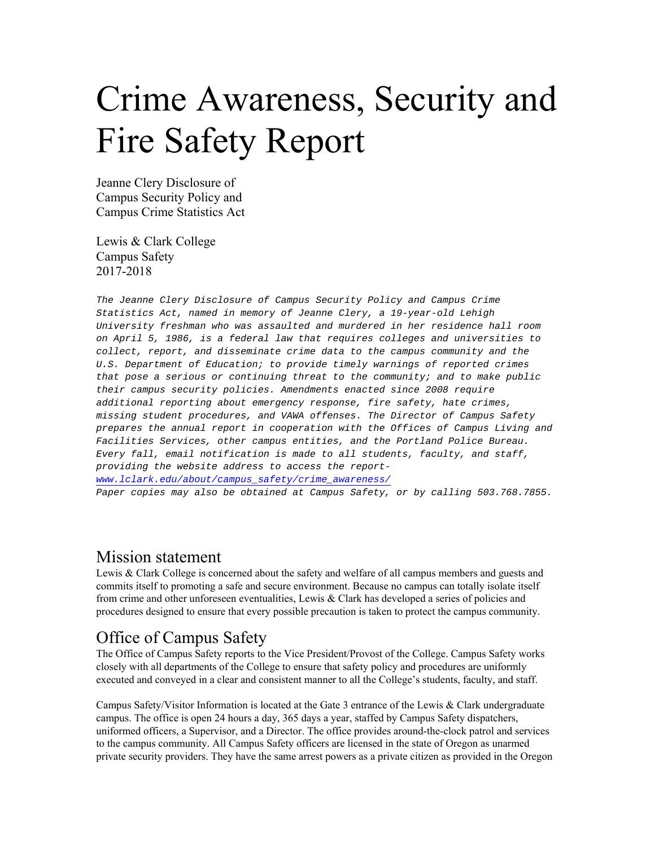# Crime Awareness, Security and Fire Safety Report

Jeanne Clery Disclosure of Campus Security Policy and Campus Crime Statistics Act

Lewis & Clark College Campus Safety 2017-2018

*The Jeanne Clery Disclosure of Campus Security Policy and Campus Crime Statistics Act, named in memory of Jeanne Clery, a 19-year-old Lehigh University freshman who was assaulted and murdered in her residence hall room on April 5, 1986, is a federal law that requires colleges and universities to collect, report, and disseminate crime data to the campus community and the U.S. Department of Education; to provide timely warnings of reported crimes that pose a serious or continuing threat to the community; and to make public their campus security policies. Amendments enacted since 2008 require additional reporting about emergency response, fire safety, hate crimes, missing student procedures, and VAWA offenses. The Director of Campus Safety prepares the annual report in cooperation with the Offices of Campus Living and Facilities Services, other campus entities, and the Portland Police Bureau. Every fall, email notification is made to all students, faculty, and staff, providing the website address to access the reportwww.lclark.edu/about/campus\_safety/crime\_awareness/ Paper copies may also be obtained at Campus Safety, or by calling 503.768.7855.*

### Mission statement

Lewis & Clark College is concerned about the safety and welfare of all campus members and guests and commits itself to promoting a safe and secure environment. Because no campus can totally isolate itself from crime and other unforeseen eventualities, Lewis & Clark has developed a series of policies and procedures designed to ensure that every possible precaution is taken to protect the campus community.

### Office of Campus Safety

The Office of Campus Safety reports to the Vice President/Provost of the College. Campus Safety works closely with all departments of the College to ensure that safety policy and procedures are uniformly executed and conveyed in a clear and consistent manner to all the College's students, faculty, and staff.

Campus Safety/Visitor Information is located at the Gate 3 entrance of the Lewis & Clark undergraduate campus. The office is open 24 hours a day, 365 days a year, staffed by Campus Safety dispatchers, uniformed officers, a Supervisor, and a Director. The office provides around-the-clock patrol and services to the campus community. All Campus Safety officers are licensed in the state of Oregon as unarmed private security providers. They have the same arrest powers as a private citizen as provided in the Oregon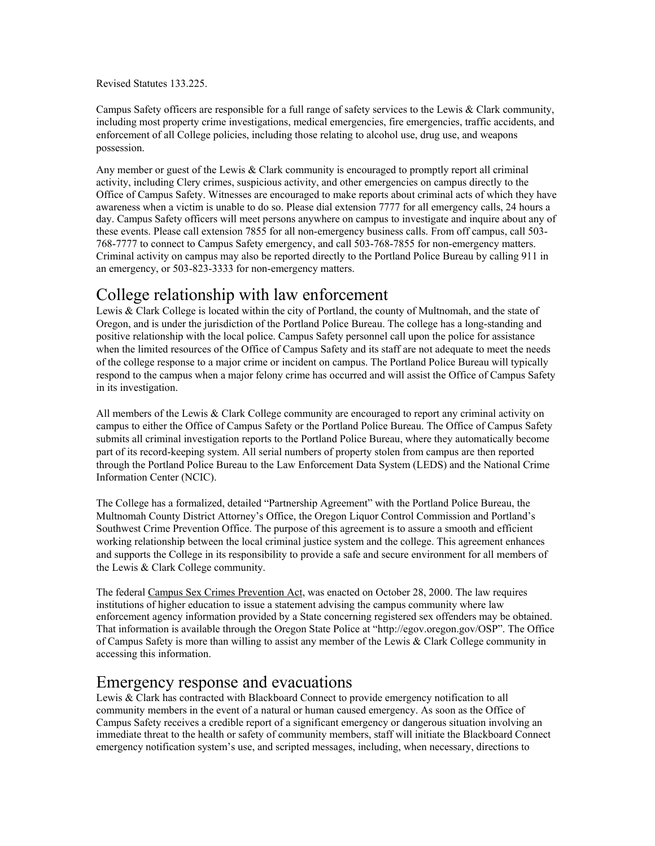Revised Statutes 133.225.

Campus Safety officers are responsible for a full range of safety services to the Lewis & Clark community, including most property crime investigations, medical emergencies, fire emergencies, traffic accidents, and enforcement of all College policies, including those relating to alcohol use, drug use, and weapons possession.

Any member or guest of the Lewis & Clark community is encouraged to promptly report all criminal activity, including Clery crimes, suspicious activity, and other emergencies on campus directly to the Office of Campus Safety. Witnesses are encouraged to make reports about criminal acts of which they have awareness when a victim is unable to do so. Please dial extension 7777 for all emergency calls, 24 hours a day. Campus Safety officers will meet persons anywhere on campus to investigate and inquire about any of these events. Please call extension 7855 for all non-emergency business calls. From off campus, call 503- 768-7777 to connect to Campus Safety emergency, and call 503-768-7855 for non-emergency matters. Criminal activity on campus may also be reported directly to the Portland Police Bureau by calling 911 in an emergency, or 503-823-3333 for non-emergency matters.

### College relationship with law enforcement

Lewis & Clark College is located within the city of Portland, the county of Multnomah, and the state of Oregon, and is under the jurisdiction of the Portland Police Bureau. The college has a long-standing and positive relationship with the local police. Campus Safety personnel call upon the police for assistance when the limited resources of the Office of Campus Safety and its staff are not adequate to meet the needs of the college response to a major crime or incident on campus. The Portland Police Bureau will typically respond to the campus when a major felony crime has occurred and will assist the Office of Campus Safety in its investigation.

All members of the Lewis  $& Clark College community are encouraged to report any criminal activity on$ campus to either the Office of Campus Safety or the Portland Police Bureau. The Office of Campus Safety submits all criminal investigation reports to the Portland Police Bureau, where they automatically become part of its record-keeping system. All serial numbers of property stolen from campus are then reported through the Portland Police Bureau to the Law Enforcement Data System (LEDS) and the National Crime Information Center (NCIC).

The College has a formalized, detailed "Partnership Agreement" with the Portland Police Bureau, the Multnomah County District Attorney's Office, the Oregon Liquor Control Commission and Portland's Southwest Crime Prevention Office. The purpose of this agreement is to assure a smooth and efficient working relationship between the local criminal justice system and the college. This agreement enhances and supports the College in its responsibility to provide a safe and secure environment for all members of the Lewis & Clark College community.

The federal Campus Sex Crimes Prevention Act, was enacted on October 28, 2000. The law requires institutions of higher education to issue a statement advising the campus community where law enforcement agency information provided by a State concerning registered sex offenders may be obtained. That information is available through the Oregon State Police at "http://egov.oregon.gov/OSP". The Office of Campus Safety is more than willing to assist any member of the Lewis & Clark College community in accessing this information.

### Emergency response and evacuations

Lewis & Clark has contracted with Blackboard Connect to provide emergency notification to all community members in the event of a natural or human caused emergency. As soon as the Office of Campus Safety receives a credible report of a significant emergency or dangerous situation involving an immediate threat to the health or safety of community members, staff will initiate the Blackboard Connect emergency notification system's use, and scripted messages, including, when necessary, directions to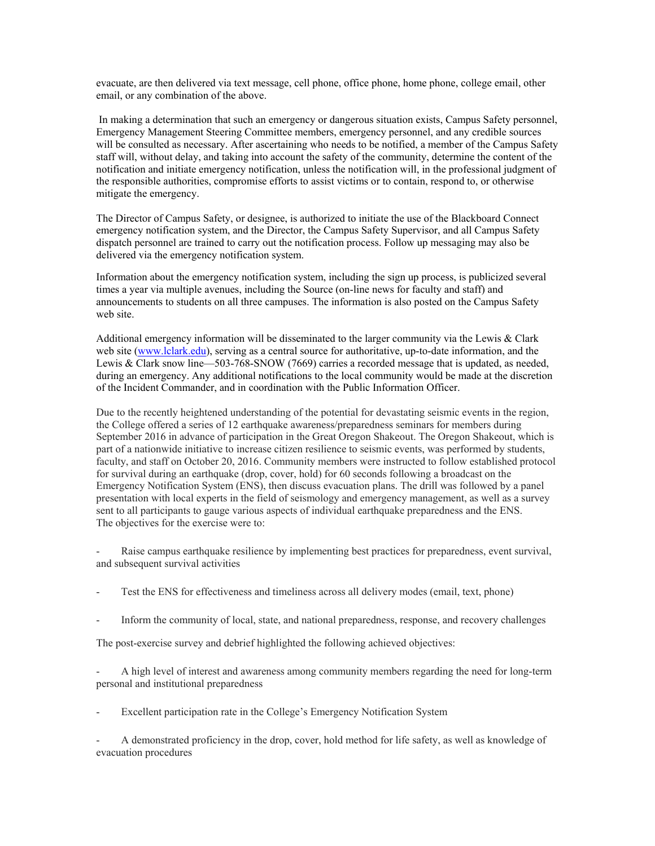evacuate, are then delivered via text message, cell phone, office phone, home phone, college email, other email, or any combination of the above.

 In making a determination that such an emergency or dangerous situation exists, Campus Safety personnel, Emergency Management Steering Committee members, emergency personnel, and any credible sources will be consulted as necessary. After ascertaining who needs to be notified, a member of the Campus Safety staff will, without delay, and taking into account the safety of the community, determine the content of the notification and initiate emergency notification, unless the notification will, in the professional judgment of the responsible authorities, compromise efforts to assist victims or to contain, respond to, or otherwise mitigate the emergency.

The Director of Campus Safety, or designee, is authorized to initiate the use of the Blackboard Connect emergency notification system, and the Director, the Campus Safety Supervisor, and all Campus Safety dispatch personnel are trained to carry out the notification process. Follow up messaging may also be delivered via the emergency notification system.

Information about the emergency notification system, including the sign up process, is publicized several times a year via multiple avenues, including the Source (on-line news for faculty and staff) and announcements to students on all three campuses. The information is also posted on the Campus Safety web site.

Additional emergency information will be disseminated to the larger community via the Lewis & Clark web site (www.lclark.edu), serving as a central source for authoritative, up-to-date information, and the Lewis & Clark snow line—503-768-SNOW (7669) carries a recorded message that is updated, as needed, during an emergency. Any additional notifications to the local community would be made at the discretion of the Incident Commander, and in coordination with the Public Information Officer.

Due to the recently heightened understanding of the potential for devastating seismic events in the region, the College offered a series of 12 earthquake awareness/preparedness seminars for members during September 2016 in advance of participation in the Great Oregon Shakeout. The Oregon Shakeout, which is part of a nationwide initiative to increase citizen resilience to seismic events, was performed by students, faculty, and staff on October 20, 2016. Community members were instructed to follow established protocol for survival during an earthquake (drop, cover, hold) for 60 seconds following a broadcast on the Emergency Notification System (ENS), then discuss evacuation plans. The drill was followed by a panel presentation with local experts in the field of seismology and emergency management, as well as a survey sent to all participants to gauge various aspects of individual earthquake preparedness and the ENS. The objectives for the exercise were to:

Raise campus earthquake resilience by implementing best practices for preparedness, event survival, and subsequent survival activities

- Test the ENS for effectiveness and timeliness across all delivery modes (email, text, phone)
- Inform the community of local, state, and national preparedness, response, and recovery challenges

The post-exercise survey and debrief highlighted the following achieved objectives:

- A high level of interest and awareness among community members regarding the need for long-term personal and institutional preparedness

Excellent participation rate in the College's Emergency Notification System

- A demonstrated proficiency in the drop, cover, hold method for life safety, as well as knowledge of evacuation procedures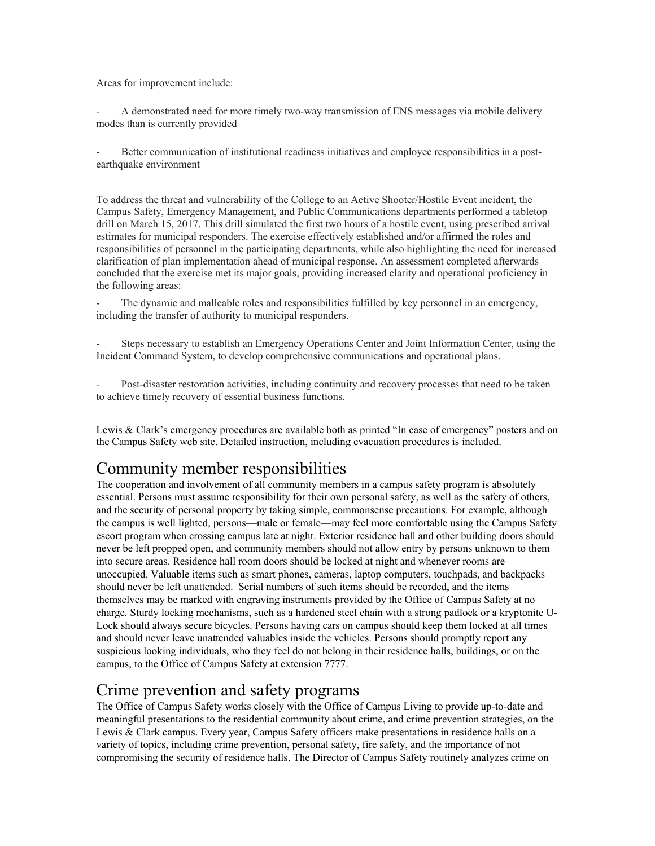Areas for improvement include:

A demonstrated need for more timely two-way transmission of ENS messages via mobile delivery modes than is currently provided

Better communication of institutional readiness initiatives and employee responsibilities in a postearthquake environment

To address the threat and vulnerability of the College to an Active Shooter/Hostile Event incident, the Campus Safety, Emergency Management, and Public Communications departments performed a tabletop drill on March 15, 2017. This drill simulated the first two hours of a hostile event, using prescribed arrival estimates for municipal responders. The exercise effectively established and/or affirmed the roles and responsibilities of personnel in the participating departments, while also highlighting the need for increased clarification of plan implementation ahead of municipal response. An assessment completed afterwards concluded that the exercise met its major goals, providing increased clarity and operational proficiency in the following areas:

The dynamic and malleable roles and responsibilities fulfilled by key personnel in an emergency, including the transfer of authority to municipal responders.

- Steps necessary to establish an Emergency Operations Center and Joint Information Center, using the Incident Command System, to develop comprehensive communications and operational plans.

Post-disaster restoration activities, including continuity and recovery processes that need to be taken to achieve timely recovery of essential business functions.

Lewis & Clark's emergency procedures are available both as printed "In case of emergency" posters and on the Campus Safety web site. Detailed instruction, including evacuation procedures is included.

### Community member responsibilities

The cooperation and involvement of all community members in a campus safety program is absolutely essential. Persons must assume responsibility for their own personal safety, as well as the safety of others, and the security of personal property by taking simple, commonsense precautions. For example, although the campus is well lighted, persons—male or female—may feel more comfortable using the Campus Safety escort program when crossing campus late at night. Exterior residence hall and other building doors should never be left propped open, and community members should not allow entry by persons unknown to them into secure areas. Residence hall room doors should be locked at night and whenever rooms are unoccupied. Valuable items such as smart phones, cameras, laptop computers, touchpads, and backpacks should never be left unattended. Serial numbers of such items should be recorded, and the items themselves may be marked with engraving instruments provided by the Office of Campus Safety at no charge. Sturdy locking mechanisms, such as a hardened steel chain with a strong padlock or a kryptonite U-Lock should always secure bicycles. Persons having cars on campus should keep them locked at all times and should never leave unattended valuables inside the vehicles. Persons should promptly report any suspicious looking individuals, who they feel do not belong in their residence halls, buildings, or on the campus, to the Office of Campus Safety at extension 7777.

### Crime prevention and safety programs

The Office of Campus Safety works closely with the Office of Campus Living to provide up-to-date and meaningful presentations to the residential community about crime, and crime prevention strategies, on the Lewis & Clark campus. Every year, Campus Safety officers make presentations in residence halls on a variety of topics, including crime prevention, personal safety, fire safety, and the importance of not compromising the security of residence halls. The Director of Campus Safety routinely analyzes crime on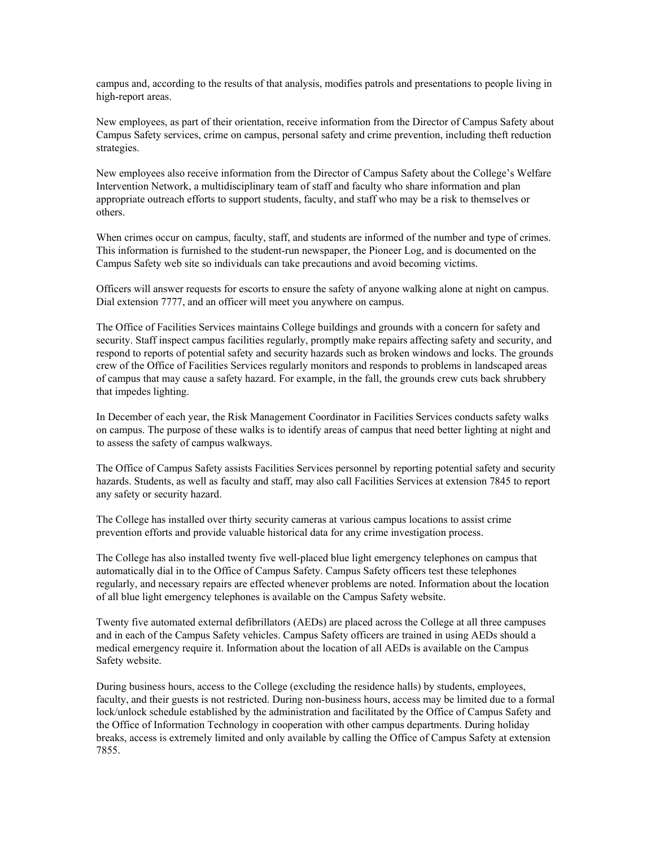campus and, according to the results of that analysis, modifies patrols and presentations to people living in high-report areas.

New employees, as part of their orientation, receive information from the Director of Campus Safety about Campus Safety services, crime on campus, personal safety and crime prevention, including theft reduction strategies.

New employees also receive information from the Director of Campus Safety about the College's Welfare Intervention Network, a multidisciplinary team of staff and faculty who share information and plan appropriate outreach efforts to support students, faculty, and staff who may be a risk to themselves or others.

When crimes occur on campus, faculty, staff, and students are informed of the number and type of crimes. This information is furnished to the student-run newspaper, the Pioneer Log, and is documented on the Campus Safety web site so individuals can take precautions and avoid becoming victims.

Officers will answer requests for escorts to ensure the safety of anyone walking alone at night on campus. Dial extension 7777, and an officer will meet you anywhere on campus.

The Office of Facilities Services maintains College buildings and grounds with a concern for safety and security. Staff inspect campus facilities regularly, promptly make repairs affecting safety and security, and respond to reports of potential safety and security hazards such as broken windows and locks. The grounds crew of the Office of Facilities Services regularly monitors and responds to problems in landscaped areas of campus that may cause a safety hazard. For example, in the fall, the grounds crew cuts back shrubbery that impedes lighting.

In December of each year, the Risk Management Coordinator in Facilities Services conducts safety walks on campus. The purpose of these walks is to identify areas of campus that need better lighting at night and to assess the safety of campus walkways.

The Office of Campus Safety assists Facilities Services personnel by reporting potential safety and security hazards. Students, as well as faculty and staff, may also call Facilities Services at extension 7845 to report any safety or security hazard.

The College has installed over thirty security cameras at various campus locations to assist crime prevention efforts and provide valuable historical data for any crime investigation process.

The College has also installed twenty five well-placed blue light emergency telephones on campus that automatically dial in to the Office of Campus Safety. Campus Safety officers test these telephones regularly, and necessary repairs are effected whenever problems are noted. Information about the location of all blue light emergency telephones is available on the Campus Safety website.

Twenty five automated external defibrillators (AEDs) are placed across the College at all three campuses and in each of the Campus Safety vehicles. Campus Safety officers are trained in using AEDs should a medical emergency require it. Information about the location of all AEDs is available on the Campus Safety website.

During business hours, access to the College (excluding the residence halls) by students, employees, faculty, and their guests is not restricted. During non-business hours, access may be limited due to a formal lock/unlock schedule established by the administration and facilitated by the Office of Campus Safety and the Office of Information Technology in cooperation with other campus departments. During holiday breaks, access is extremely limited and only available by calling the Office of Campus Safety at extension 7855.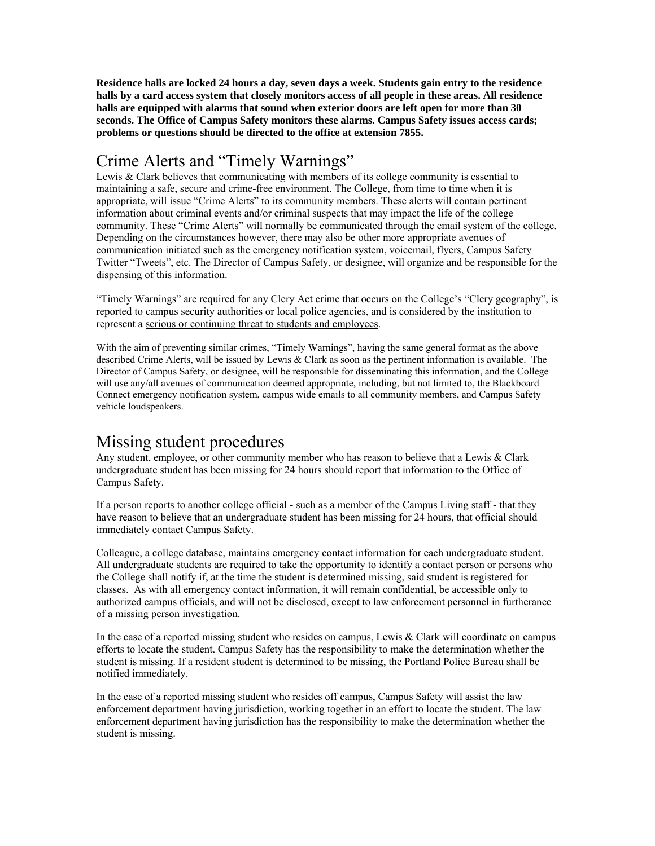**Residence halls are locked 24 hours a day, seven days a week. Students gain entry to the residence halls by a card access system that closely monitors access of all people in these areas. All residence halls are equipped with alarms that sound when exterior doors are left open for more than 30 seconds. The Office of Campus Safety monitors these alarms. Campus Safety issues access cards; problems or questions should be directed to the office at extension 7855.** 

### Crime Alerts and "Timely Warnings"

Lewis & Clark believes that communicating with members of its college community is essential to maintaining a safe, secure and crime-free environment. The College, from time to time when it is appropriate, will issue "Crime Alerts" to its community members. These alerts will contain pertinent information about criminal events and/or criminal suspects that may impact the life of the college community. These "Crime Alerts" will normally be communicated through the email system of the college. Depending on the circumstances however, there may also be other more appropriate avenues of communication initiated such as the emergency notification system, voicemail, flyers, Campus Safety Twitter "Tweets", etc. The Director of Campus Safety, or designee, will organize and be responsible for the dispensing of this information.

"Timely Warnings" are required for any Clery Act crime that occurs on the College's "Clery geography", is reported to campus security authorities or local police agencies, and is considered by the institution to represent a serious or continuing threat to students and employees.

With the aim of preventing similar crimes, "Timely Warnings", having the same general format as the above described Crime Alerts, will be issued by Lewis & Clark as soon as the pertinent information is available. The Director of Campus Safety, or designee, will be responsible for disseminating this information, and the College will use any/all avenues of communication deemed appropriate, including, but not limited to, the Blackboard Connect emergency notification system, campus wide emails to all community members, and Campus Safety vehicle loudspeakers.

### Missing student procedures

Any student, employee, or other community member who has reason to believe that a Lewis & Clark undergraduate student has been missing for 24 hours should report that information to the Office of Campus Safety.

If a person reports to another college official - such as a member of the Campus Living staff - that they have reason to believe that an undergraduate student has been missing for 24 hours, that official should immediately contact Campus Safety.

Colleague, a college database, maintains emergency contact information for each undergraduate student. All undergraduate students are required to take the opportunity to identify a contact person or persons who the College shall notify if, at the time the student is determined missing, said student is registered for classes. As with all emergency contact information, it will remain confidential, be accessible only to authorized campus officials, and will not be disclosed, except to law enforcement personnel in furtherance of a missing person investigation.

In the case of a reported missing student who resides on campus, Lewis & Clark will coordinate on campus efforts to locate the student. Campus Safety has the responsibility to make the determination whether the student is missing. If a resident student is determined to be missing, the Portland Police Bureau shall be notified immediately.

In the case of a reported missing student who resides off campus, Campus Safety will assist the law enforcement department having jurisdiction, working together in an effort to locate the student. The law enforcement department having jurisdiction has the responsibility to make the determination whether the student is missing.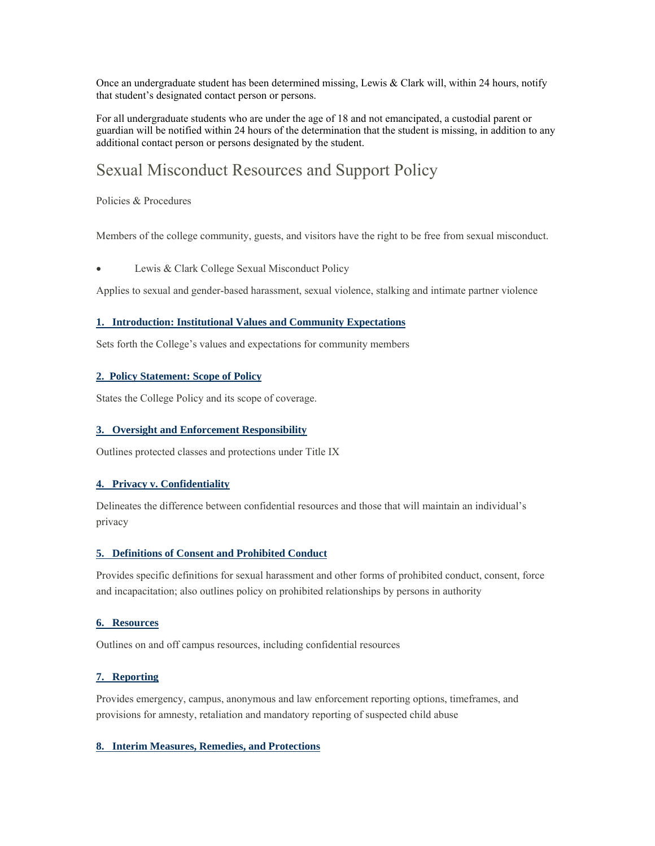Once an undergraduate student has been determined missing, Lewis & Clark will, within 24 hours, notify that student's designated contact person or persons.

For all undergraduate students who are under the age of 18 and not emancipated, a custodial parent or guardian will be notified within 24 hours of the determination that the student is missing, in addition to any additional contact person or persons designated by the student.

### Sexual Misconduct Resources and Support Policy

Policies & Procedures

Members of the college community, guests, and visitors have the right to be free from sexual misconduct.

Lewis & Clark College Sexual Misconduct Policy

Applies to sexual and gender-based harassment, sexual violence, stalking and intimate partner violence

#### **1. Introduction: Institutional Values and Community Expectations**

Sets forth the College's values and expectations for community members

#### **2. Policy Statement: Scope of Policy**

States the College Policy and its scope of coverage.

#### **3. Oversight and Enforcement Responsibility**

Outlines protected classes and protections under Title IX

#### **4. Privacy v. Confidentiality**

Delineates the difference between confidential resources and those that will maintain an individual's privacy

#### **5. Definitions of Consent and Prohibited Conduct**

Provides specific definitions for sexual harassment and other forms of prohibited conduct, consent, force and incapacitation; also outlines policy on prohibited relationships by persons in authority

#### **6. Resources**

Outlines on and off campus resources, including confidential resources

#### **7. Reporting**

Provides emergency, campus, anonymous and law enforcement reporting options, timeframes, and provisions for amnesty, retaliation and mandatory reporting of suspected child abuse

#### **8. Interim Measures, Remedies, and Protections**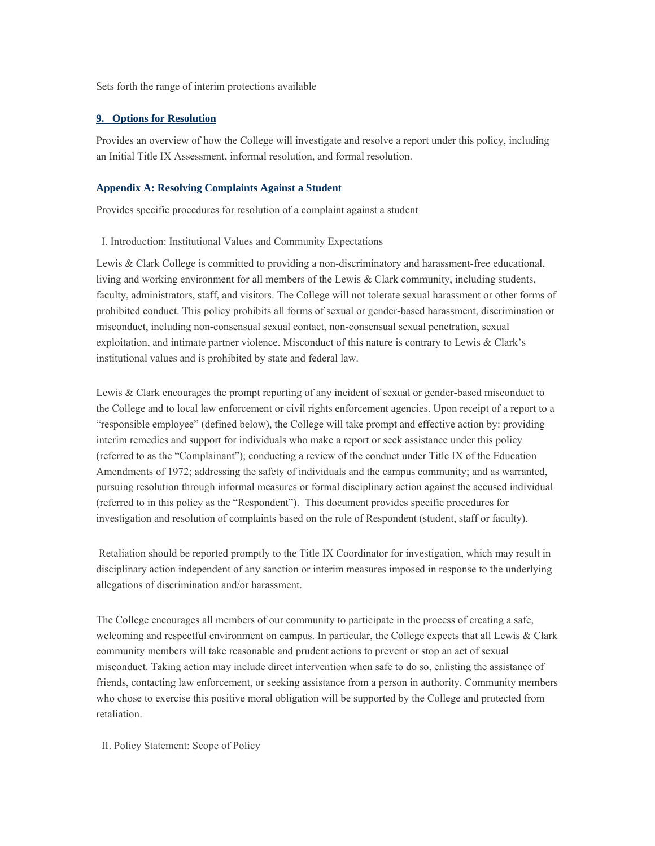Sets forth the range of interim protections available

#### **9. Options for Resolution**

Provides an overview of how the College will investigate and resolve a report under this policy, including an Initial Title IX Assessment, informal resolution, and formal resolution.

#### **Appendix A: Resolving Complaints Against a Student**

Provides specific procedures for resolution of a complaint against a student

#### I. Introduction: Institutional Values and Community Expectations

Lewis & Clark College is committed to providing a non-discriminatory and harassment-free educational, living and working environment for all members of the Lewis & Clark community, including students, faculty, administrators, staff, and visitors. The College will not tolerate sexual harassment or other forms of prohibited conduct. This policy prohibits all forms of sexual or gender-based harassment, discrimination or misconduct, including non-consensual sexual contact, non-consensual sexual penetration, sexual exploitation, and intimate partner violence. Misconduct of this nature is contrary to Lewis & Clark's institutional values and is prohibited by state and federal law.

Lewis & Clark encourages the prompt reporting of any incident of sexual or gender-based misconduct to the College and to local law enforcement or civil rights enforcement agencies. Upon receipt of a report to a "responsible employee" (defined below), the College will take prompt and effective action by: providing interim remedies and support for individuals who make a report or seek assistance under this policy (referred to as the "Complainant"); conducting a review of the conduct under Title IX of the Education Amendments of 1972; addressing the safety of individuals and the campus community; and as warranted, pursuing resolution through informal measures or formal disciplinary action against the accused individual (referred to in this policy as the "Respondent"). This document provides specific procedures for investigation and resolution of complaints based on the role of Respondent (student, staff or faculty).

 Retaliation should be reported promptly to the Title IX Coordinator for investigation, which may result in disciplinary action independent of any sanction or interim measures imposed in response to the underlying allegations of discrimination and/or harassment.

The College encourages all members of our community to participate in the process of creating a safe, welcoming and respectful environment on campus. In particular, the College expects that all Lewis & Clark community members will take reasonable and prudent actions to prevent or stop an act of sexual misconduct. Taking action may include direct intervention when safe to do so, enlisting the assistance of friends, contacting law enforcement, or seeking assistance from a person in authority. Community members who chose to exercise this positive moral obligation will be supported by the College and protected from retaliation.

II. Policy Statement: Scope of Policy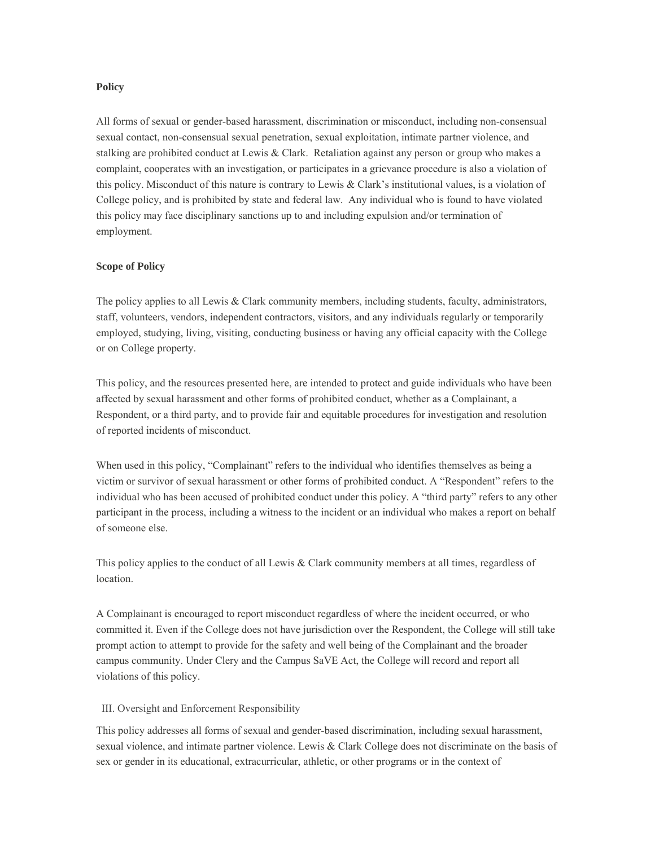#### **Policy**

All forms of sexual or gender-based harassment, discrimination or misconduct, including non-consensual sexual contact, non-consensual sexual penetration, sexual exploitation, intimate partner violence, and stalking are prohibited conduct at Lewis & Clark. Retaliation against any person or group who makes a complaint, cooperates with an investigation, or participates in a grievance procedure is also a violation of this policy. Misconduct of this nature is contrary to Lewis & Clark's institutional values, is a violation of College policy, and is prohibited by state and federal law. Any individual who is found to have violated this policy may face disciplinary sanctions up to and including expulsion and/or termination of employment.

#### **Scope of Policy**

The policy applies to all Lewis & Clark community members, including students, faculty, administrators, staff, volunteers, vendors, independent contractors, visitors, and any individuals regularly or temporarily employed, studying, living, visiting, conducting business or having any official capacity with the College or on College property.

This policy, and the resources presented here, are intended to protect and guide individuals who have been affected by sexual harassment and other forms of prohibited conduct, whether as a Complainant, a Respondent, or a third party, and to provide fair and equitable procedures for investigation and resolution of reported incidents of misconduct.

When used in this policy, "Complainant" refers to the individual who identifies themselves as being a victim or survivor of sexual harassment or other forms of prohibited conduct. A "Respondent" refers to the individual who has been accused of prohibited conduct under this policy. A "third party" refers to any other participant in the process, including a witness to the incident or an individual who makes a report on behalf of someone else.

This policy applies to the conduct of all Lewis & Clark community members at all times, regardless of location.

A Complainant is encouraged to report misconduct regardless of where the incident occurred, or who committed it. Even if the College does not have jurisdiction over the Respondent, the College will still take prompt action to attempt to provide for the safety and well being of the Complainant and the broader campus community. Under Clery and the Campus SaVE Act, the College will record and report all violations of this policy.

#### III. Oversight and Enforcement Responsibility

This policy addresses all forms of sexual and gender-based discrimination, including sexual harassment, sexual violence, and intimate partner violence. Lewis & Clark College does not discriminate on the basis of sex or gender in its educational, extracurricular, athletic, or other programs or in the context of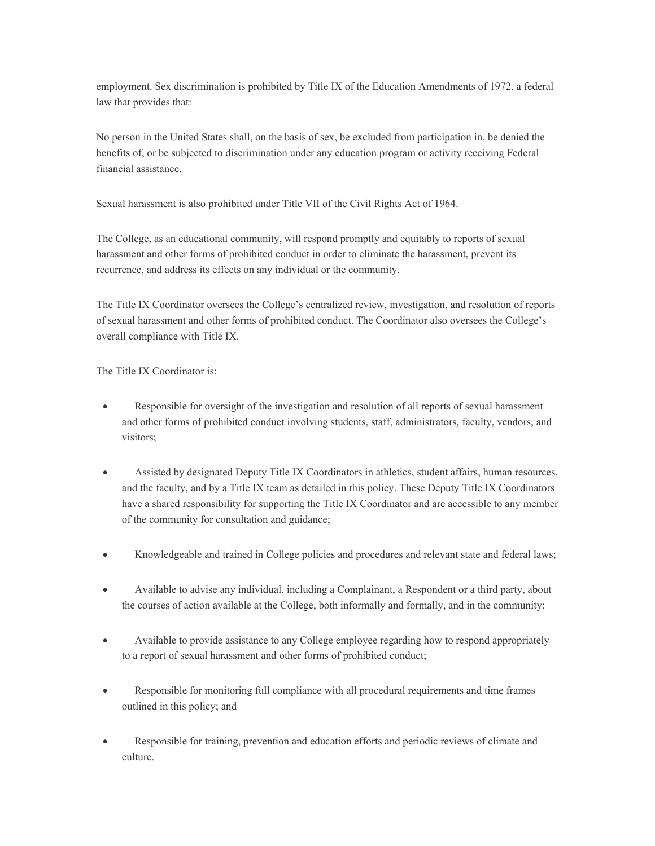employment. Sex discrimination is prohibited by Title IX of the Education Amendments of 1972, a federal law that provides that:

No person in the United States shall, on the basis of sex, be excluded from participation in, be denied the benefits of, or be subjected to discrimination under any education program or activity receiving Federal financial assistance.

Sexual harassment is also prohibited under Title VII of the Civil Rights Act of 1964.

The College, as an educational community, will respond promptly and equitably to reports of sexual harassment and other forms of prohibited conduct in order to eliminate the harassment, prevent its recurrence, and address its effects on any individual or the community.

The Title IX Coordinator oversees the College's centralized review, investigation, and resolution of reports of sexual harassment and other forms of prohibited conduct. The Coordinator also oversees the College's overall compliance with Title IX.

The Title IX Coordinator is:

- Responsible for oversight of the investigation and resolution of all reports of sexual harassment and other forms of prohibited conduct involving students, staff, administrators, faculty, vendors, and visitors;
- Assisted by designated Deputy Title IX Coordinators in athletics, student affairs, human resources, and the faculty, and by a Title IX team as detailed in this policy. These Deputy Title IX Coordinators have a shared responsibility for supporting the Title IX Coordinator and are accessible to any member of the community for consultation and guidance;
- Knowledgeable and trained in College policies and procedures and relevant state and federal laws;
- Available to advise any individual, including a Complainant, a Respondent or a third party, about the courses of action available at the College, both informally and formally, and in the community;
- Available to provide assistance to any College employee regarding how to respond appropriately to a report of sexual harassment and other forms of prohibited conduct;
- Responsible for monitoring full compliance with all procedural requirements and time frames outlined in this policy; and
- Responsible for training, prevention and education efforts and periodic reviews of climate and culture.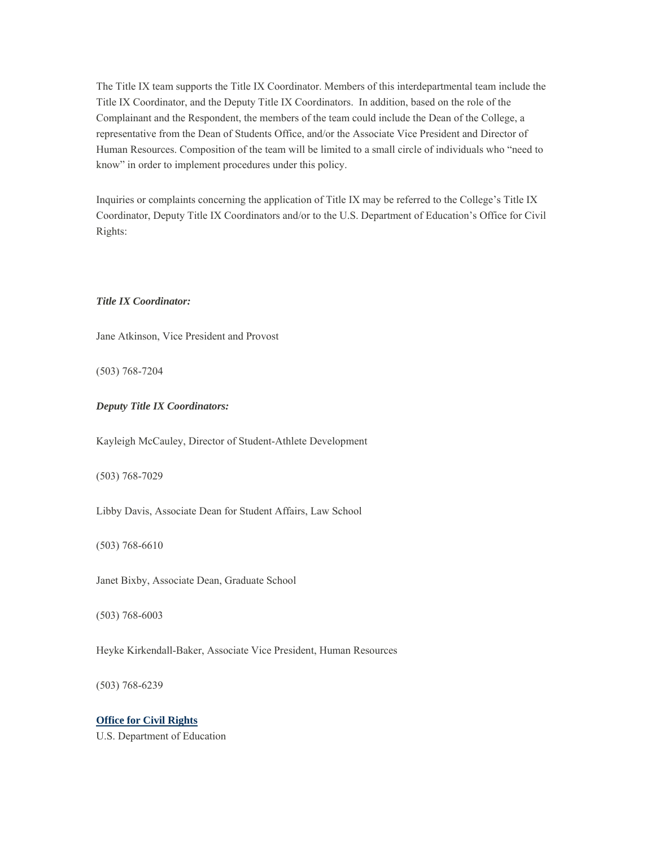The Title IX team supports the Title IX Coordinator. Members of this interdepartmental team include the Title IX Coordinator, and the Deputy Title IX Coordinators. In addition, based on the role of the Complainant and the Respondent, the members of the team could include the Dean of the College, a representative from the Dean of Students Office, and/or the Associate Vice President and Director of Human Resources. Composition of the team will be limited to a small circle of individuals who "need to know" in order to implement procedures under this policy.

Inquiries or complaints concerning the application of Title IX may be referred to the College's Title IX Coordinator, Deputy Title IX Coordinators and/or to the U.S. Department of Education's Office for Civil Rights:

#### *Title IX Coordinator:*

Jane Atkinson, Vice President and Provost

(503) 768-7204

#### *Deputy Title IX Coordinators:*

Kayleigh McCauley, Director of Student-Athlete Development

(503) 768-7029

Libby Davis, Associate Dean for Student Affairs, Law School

(503) 768-6610

Janet Bixby, Associate Dean, Graduate School

(503) 768-6003

Heyke Kirkendall-Baker, Associate Vice President, Human Resources

(503) 768-6239

#### **Office for Civil Rights**

U.S. Department of Education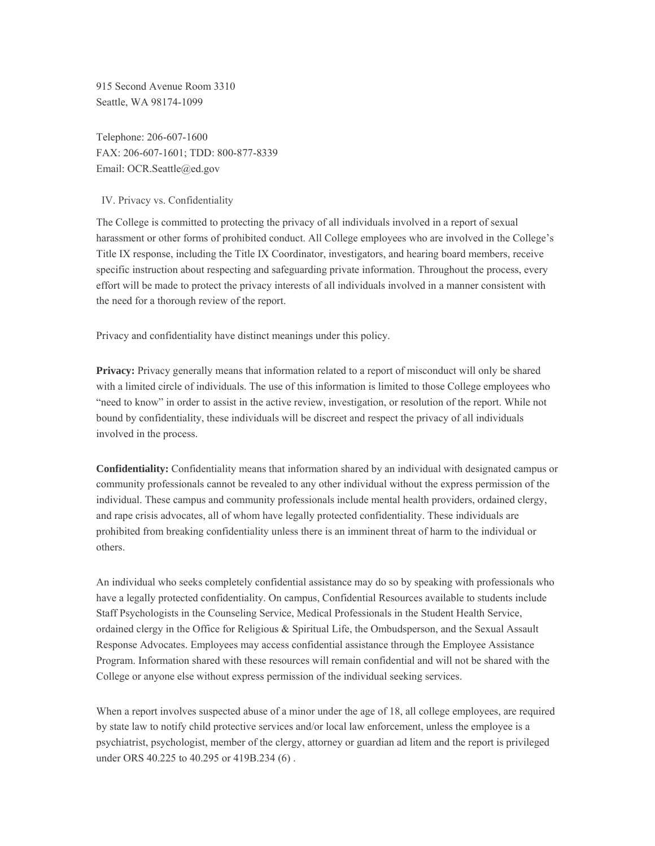915 Second Avenue Room 3310 Seattle, WA 98174-1099

Telephone: 206-607-1600 FAX: 206-607-1601; TDD: 800-877-8339 Email: OCR.Seattle@ed.gov

#### IV. Privacy vs. Confidentiality

The College is committed to protecting the privacy of all individuals involved in a report of sexual harassment or other forms of prohibited conduct. All College employees who are involved in the College's Title IX response, including the Title IX Coordinator, investigators, and hearing board members, receive specific instruction about respecting and safeguarding private information. Throughout the process, every effort will be made to protect the privacy interests of all individuals involved in a manner consistent with the need for a thorough review of the report.

Privacy and confidentiality have distinct meanings under this policy.

**Privacy:** Privacy generally means that information related to a report of misconduct will only be shared with a limited circle of individuals. The use of this information is limited to those College employees who "need to know" in order to assist in the active review, investigation, or resolution of the report. While not bound by confidentiality, these individuals will be discreet and respect the privacy of all individuals involved in the process.

**Confidentiality:** Confidentiality means that information shared by an individual with designated campus or community professionals cannot be revealed to any other individual without the express permission of the individual. These campus and community professionals include mental health providers, ordained clergy, and rape crisis advocates, all of whom have legally protected confidentiality. These individuals are prohibited from breaking confidentiality unless there is an imminent threat of harm to the individual or others.

An individual who seeks completely confidential assistance may do so by speaking with professionals who have a legally protected confidentiality. On campus, Confidential Resources available to students include Staff Psychologists in the Counseling Service, Medical Professionals in the Student Health Service, ordained clergy in the Office for Religious & Spiritual Life, the Ombudsperson, and the Sexual Assault Response Advocates. Employees may access confidential assistance through the Employee Assistance Program. Information shared with these resources will remain confidential and will not be shared with the College or anyone else without express permission of the individual seeking services.

When a report involves suspected abuse of a minor under the age of 18, all college employees, are required by state law to notify child protective services and/or local law enforcement, unless the employee is a psychiatrist, psychologist, member of the clergy, attorney or guardian ad litem and the report is privileged under ORS 40.225 to 40.295 or 419B.234 (6) .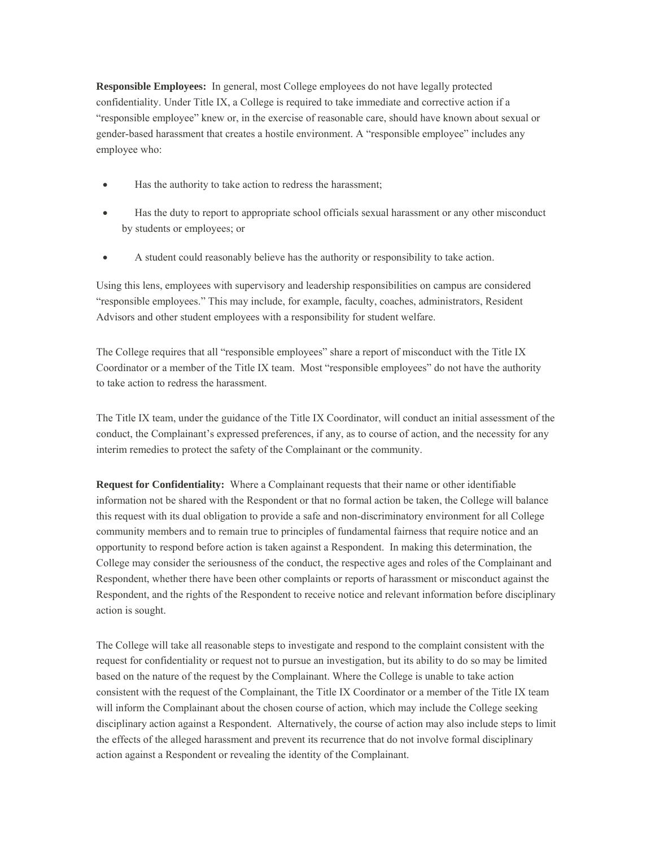**Responsible Employees:** In general, most College employees do not have legally protected confidentiality. Under Title IX, a College is required to take immediate and corrective action if a "responsible employee" knew or, in the exercise of reasonable care, should have known about sexual or gender-based harassment that creates a hostile environment. A "responsible employee" includes any employee who:

- Has the authority to take action to redress the harassment;
- Has the duty to report to appropriate school officials sexual harassment or any other misconduct by students or employees; or
- A student could reasonably believe has the authority or responsibility to take action.

Using this lens, employees with supervisory and leadership responsibilities on campus are considered "responsible employees." This may include, for example, faculty, coaches, administrators, Resident Advisors and other student employees with a responsibility for student welfare.

The College requires that all "responsible employees" share a report of misconduct with the Title IX Coordinator or a member of the Title IX team. Most "responsible employees" do not have the authority to take action to redress the harassment.

The Title IX team, under the guidance of the Title IX Coordinator, will conduct an initial assessment of the conduct, the Complainant's expressed preferences, if any, as to course of action, and the necessity for any interim remedies to protect the safety of the Complainant or the community.

**Request for Confidentiality:** Where a Complainant requests that their name or other identifiable information not be shared with the Respondent or that no formal action be taken, the College will balance this request with its dual obligation to provide a safe and non-discriminatory environment for all College community members and to remain true to principles of fundamental fairness that require notice and an opportunity to respond before action is taken against a Respondent. In making this determination, the College may consider the seriousness of the conduct, the respective ages and roles of the Complainant and Respondent, whether there have been other complaints or reports of harassment or misconduct against the Respondent, and the rights of the Respondent to receive notice and relevant information before disciplinary action is sought.

The College will take all reasonable steps to investigate and respond to the complaint consistent with the request for confidentiality or request not to pursue an investigation, but its ability to do so may be limited based on the nature of the request by the Complainant. Where the College is unable to take action consistent with the request of the Complainant, the Title IX Coordinator or a member of the Title IX team will inform the Complainant about the chosen course of action, which may include the College seeking disciplinary action against a Respondent. Alternatively, the course of action may also include steps to limit the effects of the alleged harassment and prevent its recurrence that do not involve formal disciplinary action against a Respondent or revealing the identity of the Complainant.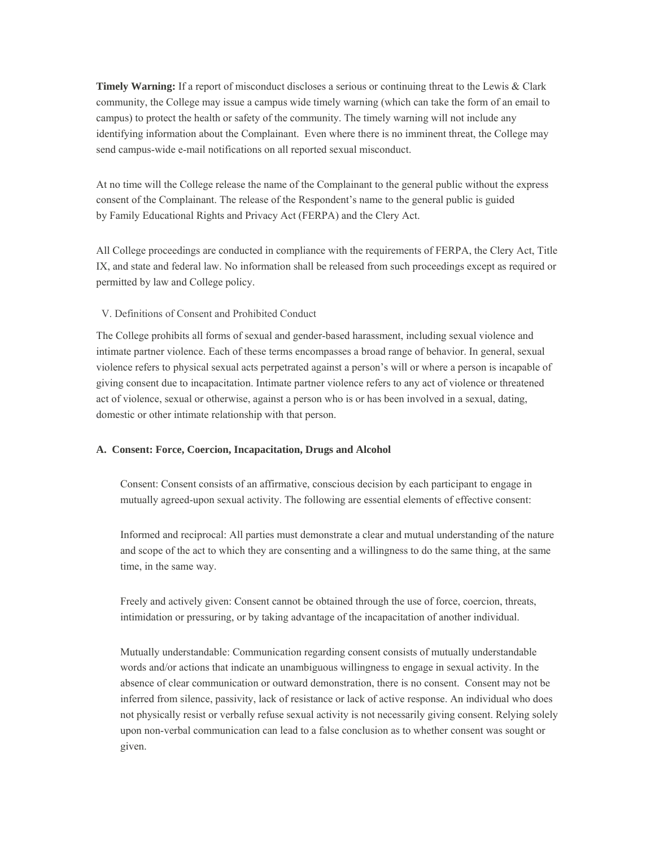**Timely Warning:** If a report of misconduct discloses a serious or continuing threat to the Lewis & Clark community, the College may issue a campus wide timely warning (which can take the form of an email to campus) to protect the health or safety of the community. The timely warning will not include any identifying information about the Complainant. Even where there is no imminent threat, the College may send campus-wide e-mail notifications on all reported sexual misconduct.

At no time will the College release the name of the Complainant to the general public without the express consent of the Complainant. The release of the Respondent's name to the general public is guided by Family Educational Rights and Privacy Act (FERPA) and the Clery Act.

All College proceedings are conducted in compliance with the requirements of FERPA, the Clery Act, Title IX, and state and federal law. No information shall be released from such proceedings except as required or permitted by law and College policy.

V. Definitions of Consent and Prohibited Conduct

The College prohibits all forms of sexual and gender-based harassment, including sexual violence and intimate partner violence. Each of these terms encompasses a broad range of behavior. In general, sexual violence refers to physical sexual acts perpetrated against a person's will or where a person is incapable of giving consent due to incapacitation. Intimate partner violence refers to any act of violence or threatened act of violence, sexual or otherwise, against a person who is or has been involved in a sexual, dating, domestic or other intimate relationship with that person.

#### **A. Consent: Force, Coercion, Incapacitation, Drugs and Alcohol**

Consent: Consent consists of an affirmative, conscious decision by each participant to engage in mutually agreed-upon sexual activity. The following are essential elements of effective consent:

Informed and reciprocal: All parties must demonstrate a clear and mutual understanding of the nature and scope of the act to which they are consenting and a willingness to do the same thing, at the same time, in the same way.

Freely and actively given: Consent cannot be obtained through the use of force, coercion, threats, intimidation or pressuring, or by taking advantage of the incapacitation of another individual.

Mutually understandable: Communication regarding consent consists of mutually understandable words and/or actions that indicate an unambiguous willingness to engage in sexual activity. In the absence of clear communication or outward demonstration, there is no consent. Consent may not be inferred from silence, passivity, lack of resistance or lack of active response. An individual who does not physically resist or verbally refuse sexual activity is not necessarily giving consent. Relying solely upon non-verbal communication can lead to a false conclusion as to whether consent was sought or given.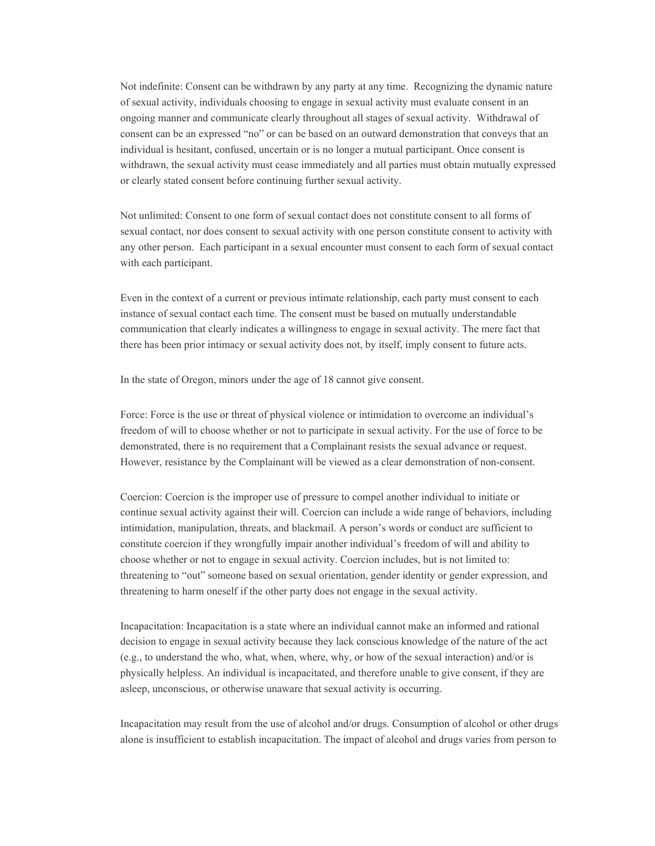Not indefinite: Consent can be withdrawn by any party at any time. Recognizing the dynamic nature of sexual activity, individuals choosing to engage in sexual activity must evaluate consent in an ongoing manner and communicate clearly throughout all stages of sexual activity. Withdrawal of consent can be an expressed "no" or can be based on an outward demonstration that conveys that an individual is hesitant, confused, uncertain or is no longer a mutual participant. Once consent is withdrawn, the sexual activity must cease immediately and all parties must obtain mutually expressed or clearly stated consent before continuing further sexual activity.

Not unlimited: Consent to one form of sexual contact does not constitute consent to all forms of sexual contact, nor does consent to sexual activity with one person constitute consent to activity with any other person. Each participant in a sexual encounter must consent to each form of sexual contact with each participant.

Even in the context of a current or previous intimate relationship, each party must consent to each instance of sexual contact each time. The consent must be based on mutually understandable communication that clearly indicates a willingness to engage in sexual activity. The mere fact that there has been prior intimacy or sexual activity does not, by itself, imply consent to future acts.

In the state of Oregon, minors under the age of 18 cannot give consent.

Force: Force is the use or threat of physical violence or intimidation to overcome an individual's freedom of will to choose whether or not to participate in sexual activity. For the use of force to be demonstrated, there is no requirement that a Complainant resists the sexual advance or request. However, resistance by the Complainant will be viewed as a clear demonstration of non-consent.

Coercion: Coercion is the improper use of pressure to compel another individual to initiate or continue sexual activity against their will. Coercion can include a wide range of behaviors, including intimidation, manipulation, threats, and blackmail. A person's words or conduct are sufficient to constitute coercion if they wrongfully impair another individual's freedom of will and ability to choose whether or not to engage in sexual activity. Coercion includes, but is not limited to: threatening to "out" someone based on sexual orientation, gender identity or gender expression, and threatening to harm oneself if the other party does not engage in the sexual activity.

Incapacitation: Incapacitation is a state where an individual cannot make an informed and rational decision to engage in sexual activity because they lack conscious knowledge of the nature of the act (e.g., to understand the who, what, when, where, why, or how of the sexual interaction) and/or is physically helpless. An individual is incapacitated, and therefore unable to give consent, if they are asleep, unconscious, or otherwise unaware that sexual activity is occurring.

Incapacitation may result from the use of alcohol and/or drugs. Consumption of alcohol or other drugs alone is insufficient to establish incapacitation. The impact of alcohol and drugs varies from person to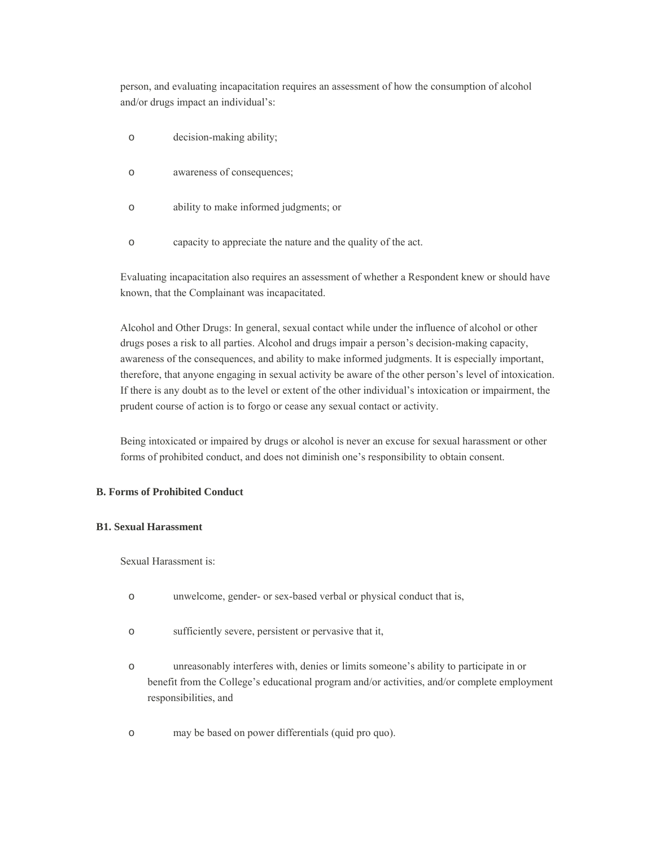person, and evaluating incapacitation requires an assessment of how the consumption of alcohol and/or drugs impact an individual's:

- o decision-making ability;
- o awareness of consequences;
- o ability to make informed judgments; or
- o capacity to appreciate the nature and the quality of the act.

Evaluating incapacitation also requires an assessment of whether a Respondent knew or should have known, that the Complainant was incapacitated.

Alcohol and Other Drugs: In general, sexual contact while under the influence of alcohol or other drugs poses a risk to all parties. Alcohol and drugs impair a person's decision-making capacity, awareness of the consequences, and ability to make informed judgments. It is especially important, therefore, that anyone engaging in sexual activity be aware of the other person's level of intoxication. If there is any doubt as to the level or extent of the other individual's intoxication or impairment, the prudent course of action is to forgo or cease any sexual contact or activity.

Being intoxicated or impaired by drugs or alcohol is never an excuse for sexual harassment or other forms of prohibited conduct, and does not diminish one's responsibility to obtain consent.

#### **B. Forms of Prohibited Conduct**

#### **B1. Sexual Harassment**

Sexual Harassment is:

- o unwelcome, gender- or sex-based verbal or physical conduct that is,
- o sufficiently severe, persistent or pervasive that it,
- o unreasonably interferes with, denies or limits someone's ability to participate in or benefit from the College's educational program and/or activities, and/or complete employment responsibilities, and
- o may be based on power differentials (quid pro quo).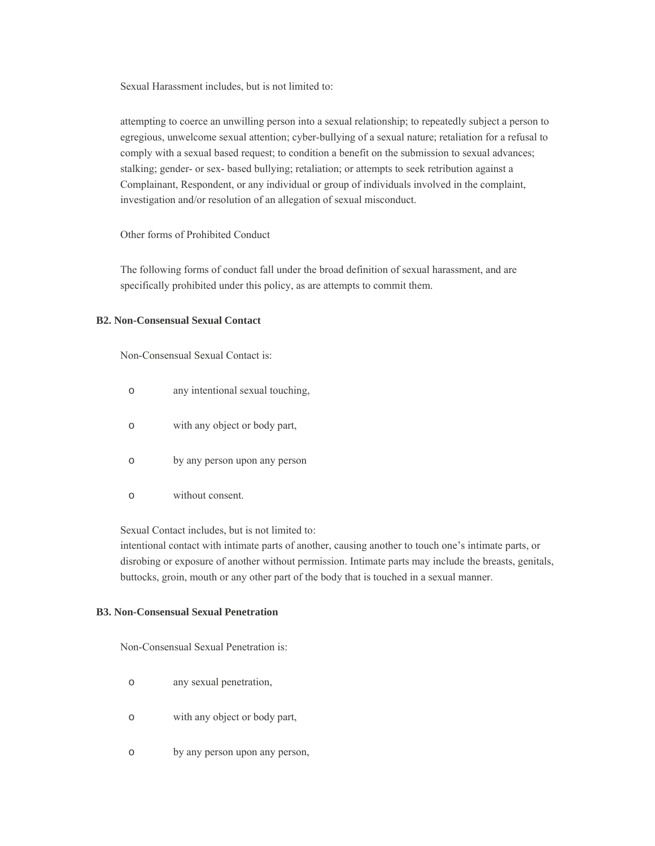Sexual Harassment includes, but is not limited to:

attempting to coerce an unwilling person into a sexual relationship; to repeatedly subject a person to egregious, unwelcome sexual attention; cyber-bullying of a sexual nature; retaliation for a refusal to comply with a sexual based request; to condition a benefit on the submission to sexual advances; stalking; gender- or sex- based bullying; retaliation; or attempts to seek retribution against a Complainant, Respondent, or any individual or group of individuals involved in the complaint, investigation and/or resolution of an allegation of sexual misconduct.

Other forms of Prohibited Conduct

The following forms of conduct fall under the broad definition of sexual harassment, and are specifically prohibited under this policy, as are attempts to commit them.

#### **B2. Non-Consensual Sexual Contact**

Non-Consensual Sexual Contact is:

- o any intentional sexual touching,
- o with any object or body part,
- o by any person upon any person
- o without consent.

Sexual Contact includes, but is not limited to:

intentional contact with intimate parts of another, causing another to touch one's intimate parts, or disrobing or exposure of another without permission. Intimate parts may include the breasts, genitals, buttocks, groin, mouth or any other part of the body that is touched in a sexual manner.

#### **B3. Non-Consensual Sexual Penetration**

Non-Consensual Sexual Penetration is:

- o any sexual penetration,
- o with any object or body part,
- o by any person upon any person,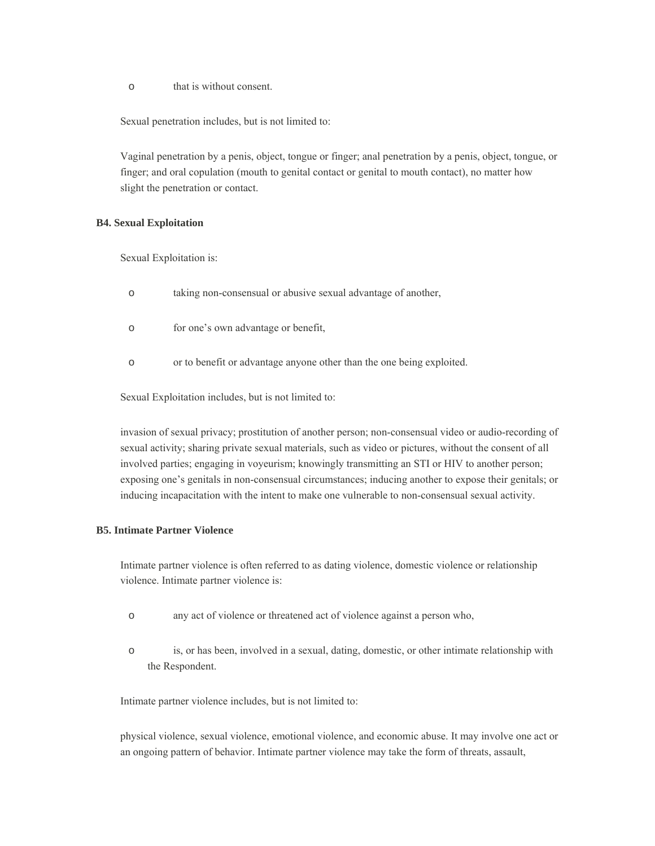o that is without consent.

Sexual penetration includes, but is not limited to:

Vaginal penetration by a penis, object, tongue or finger; anal penetration by a penis, object, tongue, or finger; and oral copulation (mouth to genital contact or genital to mouth contact), no matter how slight the penetration or contact.

#### **B4. Sexual Exploitation**

Sexual Exploitation is:

- o taking non-consensual or abusive sexual advantage of another,
- o for one's own advantage or benefit,
- o or to benefit or advantage anyone other than the one being exploited.

Sexual Exploitation includes, but is not limited to:

invasion of sexual privacy; prostitution of another person; non-consensual video or audio-recording of sexual activity; sharing private sexual materials, such as video or pictures, without the consent of all involved parties; engaging in voyeurism; knowingly transmitting an STI or HIV to another person; exposing one's genitals in non-consensual circumstances; inducing another to expose their genitals; or inducing incapacitation with the intent to make one vulnerable to non-consensual sexual activity.

#### **B5. Intimate Partner Violence**

Intimate partner violence is often referred to as dating violence, domestic violence or relationship violence. Intimate partner violence is:

- o any act of violence or threatened act of violence against a person who,
- o is, or has been, involved in a sexual, dating, domestic, or other intimate relationship with the Respondent.

Intimate partner violence includes, but is not limited to:

physical violence, sexual violence, emotional violence, and economic abuse. It may involve one act or an ongoing pattern of behavior. Intimate partner violence may take the form of threats, assault,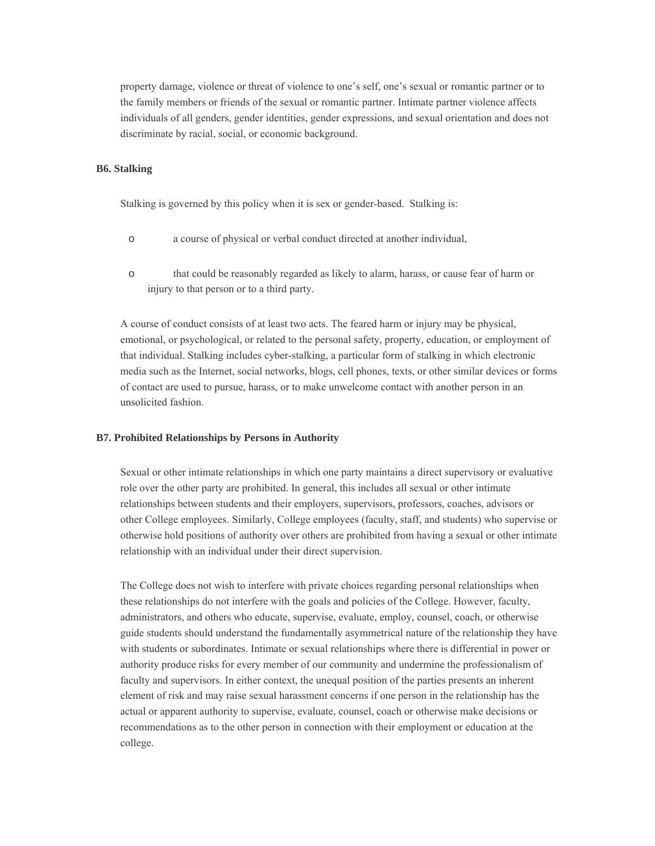property damage, violence or threat of violence to one's self, one's sexual or romantic partner or to the family members or friends of the sexual or romantic partner. Intimate partner violence affects individuals of all genders, gender identities, gender expressions, and sexual orientation and does not discriminate by racial, social, or economic background.

#### **B6. Stalking**

Stalking is governed by this policy when it is sex or gender-based. Stalking is:

- o a course of physical or verbal conduct directed at another individual,
- o that could be reasonably regarded as likely to alarm, harass, or cause fear of harm or injury to that person or to a third party.

A course of conduct consists of at least two acts. The feared harm or injury may be physical, emotional, or psychological, or related to the personal safety, property, education, or employment of that individual. Stalking includes cyber-stalking, a particular form of stalking in which electronic media such as the Internet, social networks, blogs, cell phones, texts, or other similar devices or forms of contact are used to pursue, harass, or to make unwelcome contact with another person in an unsolicited fashion.

#### **B7. Prohibited Relationships by Persons in Authority**

Sexual or other intimate relationships in which one party maintains a direct supervisory or evaluative role over the other party are prohibited. In general, this includes all sexual or other intimate relationships between students and their employers, supervisors, professors, coaches, advisors or other College employees. Similarly, College employees (faculty, staff, and students) who supervise or otherwise hold positions of authority over others are prohibited from having a sexual or other intimate relationship with an individual under their direct supervision.

The College does not wish to interfere with private choices regarding personal relationships when these relationships do not interfere with the goals and policies of the College. However, faculty, administrators, and others who educate, supervise, evaluate, employ, counsel, coach, or otherwise guide students should understand the fundamentally asymmetrical nature of the relationship they have with students or subordinates. Intimate or sexual relationships where there is differential in power or authority produce risks for every member of our community and undermine the professionalism of faculty and supervisors. In either context, the unequal position of the parties presents an inherent element of risk and may raise sexual harassment concerns if one person in the relationship has the actual or apparent authority to supervise, evaluate, counsel, coach or otherwise make decisions or recommendations as to the other person in connection with their employment or education at the college.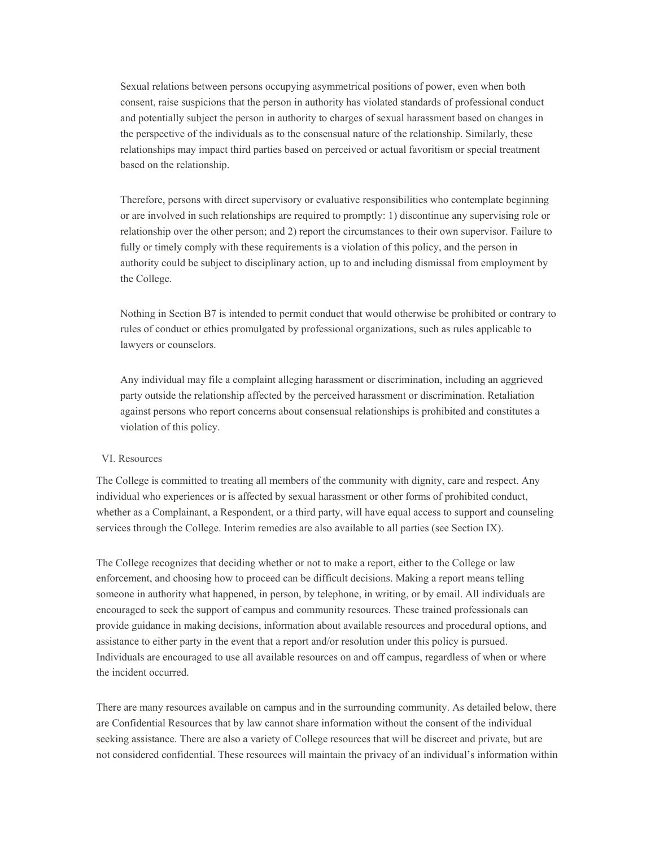Sexual relations between persons occupying asymmetrical positions of power, even when both consent, raise suspicions that the person in authority has violated standards of professional conduct and potentially subject the person in authority to charges of sexual harassment based on changes in the perspective of the individuals as to the consensual nature of the relationship. Similarly, these relationships may impact third parties based on perceived or actual favoritism or special treatment based on the relationship.

Therefore, persons with direct supervisory or evaluative responsibilities who contemplate beginning or are involved in such relationships are required to promptly: 1) discontinue any supervising role or relationship over the other person; and 2) report the circumstances to their own supervisor. Failure to fully or timely comply with these requirements is a violation of this policy, and the person in authority could be subject to disciplinary action, up to and including dismissal from employment by the College.

Nothing in Section B7 is intended to permit conduct that would otherwise be prohibited or contrary to rules of conduct or ethics promulgated by professional organizations, such as rules applicable to lawyers or counselors.

Any individual may file a complaint alleging harassment or discrimination, including an aggrieved party outside the relationship affected by the perceived harassment or discrimination. Retaliation against persons who report concerns about consensual relationships is prohibited and constitutes a violation of this policy.

#### VI. Resources

The College is committed to treating all members of the community with dignity, care and respect. Any individual who experiences or is affected by sexual harassment or other forms of prohibited conduct, whether as a Complainant, a Respondent, or a third party, will have equal access to support and counseling services through the College. Interim remedies are also available to all parties (see Section IX).

The College recognizes that deciding whether or not to make a report, either to the College or law enforcement, and choosing how to proceed can be difficult decisions. Making a report means telling someone in authority what happened, in person, by telephone, in writing, or by email. All individuals are encouraged to seek the support of campus and community resources. These trained professionals can provide guidance in making decisions, information about available resources and procedural options, and assistance to either party in the event that a report and/or resolution under this policy is pursued. Individuals are encouraged to use all available resources on and off campus, regardless of when or where the incident occurred.

There are many resources available on campus and in the surrounding community. As detailed below, there are Confidential Resources that by law cannot share information without the consent of the individual seeking assistance. There are also a variety of College resources that will be discreet and private, but are not considered confidential. These resources will maintain the privacy of an individual's information within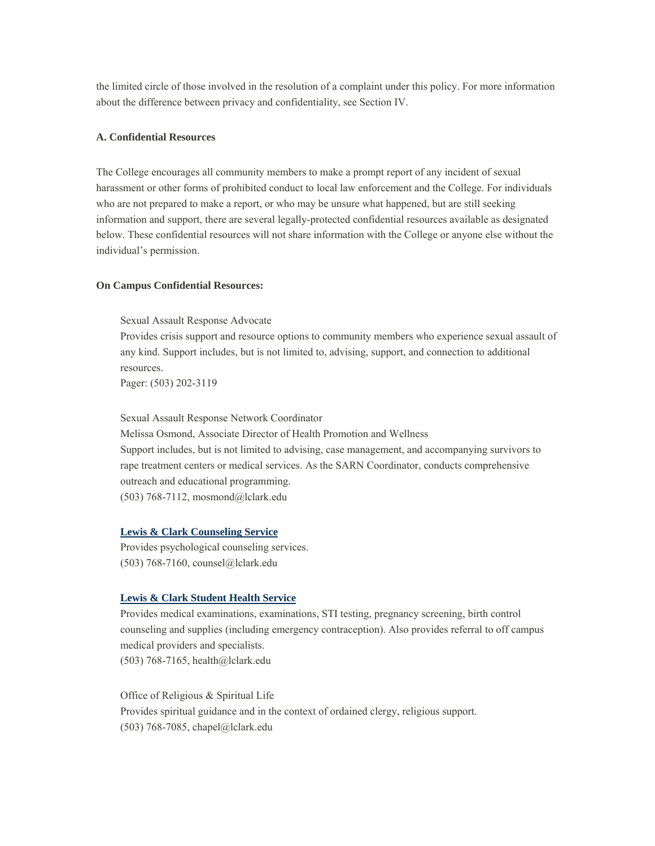the limited circle of those involved in the resolution of a complaint under this policy. For more information about the difference between privacy and confidentiality, see Section IV.

#### **A. Confidential Resources**

The College encourages all community members to make a prompt report of any incident of sexual harassment or other forms of prohibited conduct to local law enforcement and the College. For individuals who are not prepared to make a report, or who may be unsure what happened, but are still seeking information and support, there are several legally-protected confidential resources available as designated below. These confidential resources will not share information with the College or anyone else without the individual's permission.

#### **On Campus Confidential Resources:**

Sexual Assault Response Advocate

Provides crisis support and resource options to community members who experience sexual assault of any kind. Support includes, but is not limited to, advising, support, and connection to additional resources.

Pager: (503) 202-3119

Sexual Assault Response Network Coordinator Melissa Osmond, Associate Director of Health Promotion and Wellness Support includes, but is not limited to advising, case management, and accompanying survivors to rape treatment centers or medical services. As the SARN Coordinator, conducts comprehensive

outreach and educational programming.

(503) 768-7112, mosmond@lclark.edu

#### **Lewis & Clark Counseling Service**

Provides psychological counseling services. (503) 768-7160, counsel@lclark.edu

#### **Lewis & Clark Student Health Service**

Provides medical examinations, examinations, STI testing, pregnancy screening, birth control counseling and supplies (including emergency contraception). Also provides referral to off campus medical providers and specialists. (503) 768-7165, health@lclark.edu

Office of Religious & Spiritual Life Provides spiritual guidance and in the context of ordained clergy, religious support. (503) 768-7085, chapel@lclark.edu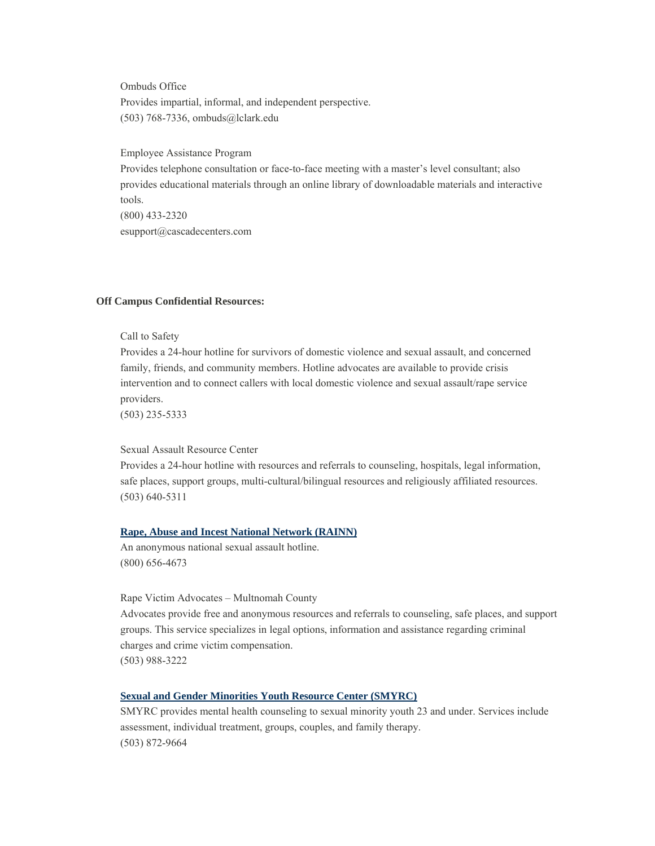Ombuds Office Provides impartial, informal, and independent perspective. (503) 768-7336, ombuds@lclark.edu

Employee Assistance Program

Provides telephone consultation or face-to-face meeting with a master's level consultant; also provides educational materials through an online library of downloadable materials and interactive tools. (800) 433-2320 esupport@cascadecenters.com

#### **Off Campus Confidential Resources:**

Call to Safety

Provides a 24-hour hotline for survivors of domestic violence and sexual assault, and concerned family, friends, and community members. Hotline advocates are available to provide crisis intervention and to connect callers with local domestic violence and sexual assault/rape service providers.

(503) 235-5333

Sexual Assault Resource Center

Provides a 24-hour hotline with resources and referrals to counseling, hospitals, legal information, safe places, support groups, multi-cultural/bilingual resources and religiously affiliated resources. (503) 640-5311

#### **Rape, Abuse and Incest National Network (RAINN)**

An anonymous national sexual assault hotline. (800) 656-4673

Rape Victim Advocates – Multnomah County

Advocates provide free and anonymous resources and referrals to counseling, safe places, and support groups. This service specializes in legal options, information and assistance regarding criminal charges and crime victim compensation. (503) 988-3222

#### **Sexual and Gender Minorities Youth Resource Center (SMYRC)**

SMYRC provides mental health counseling to sexual minority youth 23 and under. Services include assessment, individual treatment, groups, couples, and family therapy. (503) 872-9664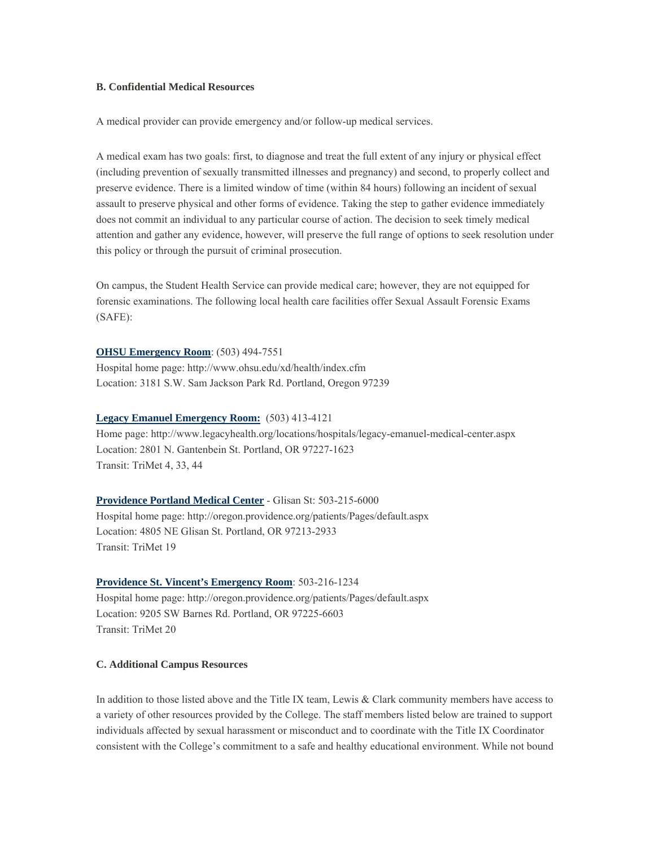#### **B. Confidential Medical Resources**

A medical provider can provide emergency and/or follow-up medical services.

A medical exam has two goals: first, to diagnose and treat the full extent of any injury or physical effect (including prevention of sexually transmitted illnesses and pregnancy) and second, to properly collect and preserve evidence. There is a limited window of time (within 84 hours) following an incident of sexual assault to preserve physical and other forms of evidence. Taking the step to gather evidence immediately does not commit an individual to any particular course of action. The decision to seek timely medical attention and gather any evidence, however, will preserve the full range of options to seek resolution under this policy or through the pursuit of criminal prosecution.

On campus, the Student Health Service can provide medical care; however, they are not equipped for forensic examinations. The following local health care facilities offer Sexual Assault Forensic Exams (SAFE):

**OHSU Emergency Room**: (503) 494-7551 Hospital home page: http://www.ohsu.edu/xd/health/index.cfm Location: 3181 S.W. Sam Jackson Park Rd. Portland, Oregon 97239

#### **Legacy Emanuel Emergency Room:** (503) 413-4121

Home page: http://www.legacyhealth.org/locations/hospitals/legacy-emanuel-medical-center.aspx Location: 2801 N. Gantenbein St. Portland, OR 97227-1623 Transit: TriMet 4, 33, 44

**Providence Portland Medical Center** - Glisan St: 503-215-6000

Hospital home page: http://oregon.providence.org/patients/Pages/default.aspx Location: 4805 NE Glisan St. Portland, OR 97213-2933 Transit: TriMet 19

#### **Providence St. Vincent's Emergency Room**: 503-216-1234

Hospital home page: http://oregon.providence.org/patients/Pages/default.aspx Location: 9205 SW Barnes Rd. Portland, OR 97225-6603 Transit: TriMet 20

#### **C. Additional Campus Resources**

In addition to those listed above and the Title IX team, Lewis & Clark community members have access to a variety of other resources provided by the College. The staff members listed below are trained to support individuals affected by sexual harassment or misconduct and to coordinate with the Title IX Coordinator consistent with the College's commitment to a safe and healthy educational environment. While not bound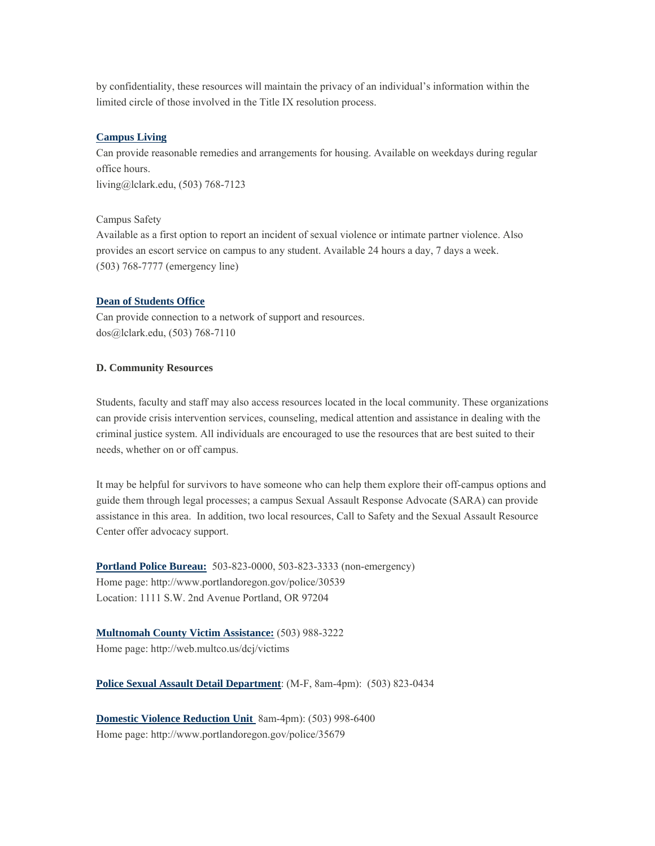by confidentiality, these resources will maintain the privacy of an individual's information within the limited circle of those involved in the Title IX resolution process.

#### **Campus Living**

Can provide reasonable remedies and arrangements for housing. Available on weekdays during regular office hours.

living@lclark.edu, (503) 768-7123

#### Campus Safety

Available as a first option to report an incident of sexual violence or intimate partner violence. Also provides an escort service on campus to any student. Available 24 hours a day, 7 days a week. (503) 768-7777 (emergency line)

#### **Dean of Students Office**

Can provide connection to a network of support and resources. dos@lclark.edu, (503) 768-7110

#### **D. Community Resources**

Students, faculty and staff may also access resources located in the local community. These organizations can provide crisis intervention services, counseling, medical attention and assistance in dealing with the criminal justice system. All individuals are encouraged to use the resources that are best suited to their needs, whether on or off campus.

It may be helpful for survivors to have someone who can help them explore their off-campus options and guide them through legal processes; a campus Sexual Assault Response Advocate (SARA) can provide assistance in this area. In addition, two local resources, Call to Safety and the Sexual Assault Resource Center offer advocacy support.

**Portland Police Bureau:** 503-823-0000, 503-823-3333 (non-emergency) Home page: http://www.portlandoregon.gov/police/30539 Location: 1111 S.W. 2nd Avenue Portland, OR 97204

**Multnomah County Victim Assistance:** (503) 988-3222 Home page: http://web.multco.us/dcj/victims

**Police Sexual Assault Detail Department**: (M-F, 8am-4pm): (503) 823-0434

**Domestic Violence Reduction Unit** 8am-4pm): (503) 998-6400 Home page: http://www.portlandoregon.gov/police/35679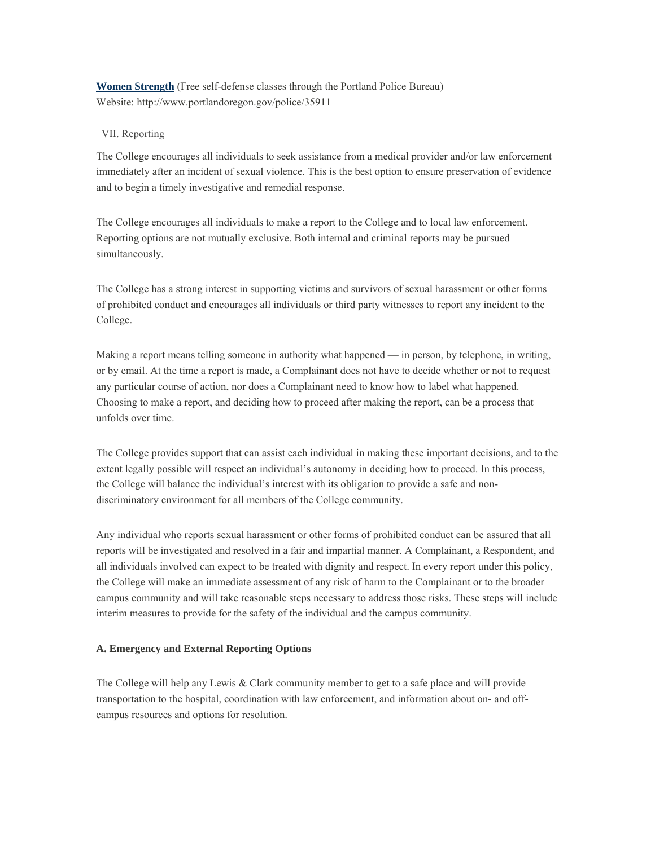**Women Strength** (Free self-defense classes through the Portland Police Bureau) Website: http://www.portlandoregon.gov/police/35911

#### VII. Reporting

The College encourages all individuals to seek assistance from a medical provider and/or law enforcement immediately after an incident of sexual violence. This is the best option to ensure preservation of evidence and to begin a timely investigative and remedial response.

The College encourages all individuals to make a report to the College and to local law enforcement. Reporting options are not mutually exclusive. Both internal and criminal reports may be pursued simultaneously.

The College has a strong interest in supporting victims and survivors of sexual harassment or other forms of prohibited conduct and encourages all individuals or third party witnesses to report any incident to the College.

Making a report means telling someone in authority what happened — in person, by telephone, in writing, or by email. At the time a report is made, a Complainant does not have to decide whether or not to request any particular course of action, nor does a Complainant need to know how to label what happened. Choosing to make a report, and deciding how to proceed after making the report, can be a process that unfolds over time.

The College provides support that can assist each individual in making these important decisions, and to the extent legally possible will respect an individual's autonomy in deciding how to proceed. In this process, the College will balance the individual's interest with its obligation to provide a safe and nondiscriminatory environment for all members of the College community.

Any individual who reports sexual harassment or other forms of prohibited conduct can be assured that all reports will be investigated and resolved in a fair and impartial manner. A Complainant, a Respondent, and all individuals involved can expect to be treated with dignity and respect. In every report under this policy, the College will make an immediate assessment of any risk of harm to the Complainant or to the broader campus community and will take reasonable steps necessary to address those risks. These steps will include interim measures to provide for the safety of the individual and the campus community.

#### **A. Emergency and External Reporting Options**

The College will help any Lewis & Clark community member to get to a safe place and will provide transportation to the hospital, coordination with law enforcement, and information about on- and offcampus resources and options for resolution.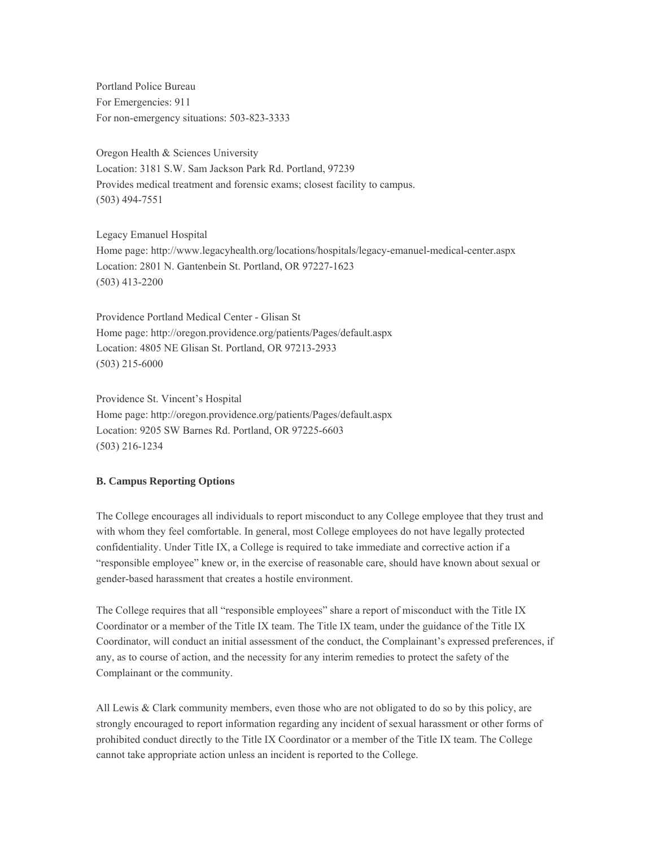Portland Police Bureau For Emergencies: 911 For non-emergency situations: 503-823-3333

Oregon Health & Sciences University Location: 3181 S.W. Sam Jackson Park Rd. Portland, 97239 Provides medical treatment and forensic exams; closest facility to campus. (503) 494-7551

Legacy Emanuel Hospital Home page: http://www.legacyhealth.org/locations/hospitals/legacy-emanuel-medical-center.aspx Location: 2801 N. Gantenbein St. Portland, OR 97227-1623 (503) 413-2200

Providence Portland Medical Center - Glisan St Home page: http://oregon.providence.org/patients/Pages/default.aspx Location: 4805 NE Glisan St. Portland, OR 97213-2933 (503) 215-6000

Providence St. Vincent's Hospital Home page: http://oregon.providence.org/patients/Pages/default.aspx Location: 9205 SW Barnes Rd. Portland, OR 97225-6603 (503) 216-1234

#### **B. Campus Reporting Options**

The College encourages all individuals to report misconduct to any College employee that they trust and with whom they feel comfortable. In general, most College employees do not have legally protected confidentiality. Under Title IX, a College is required to take immediate and corrective action if a "responsible employee" knew or, in the exercise of reasonable care, should have known about sexual or gender-based harassment that creates a hostile environment.

The College requires that all "responsible employees" share a report of misconduct with the Title IX Coordinator or a member of the Title IX team. The Title IX team, under the guidance of the Title IX Coordinator, will conduct an initial assessment of the conduct, the Complainant's expressed preferences, if any, as to course of action, and the necessity for any interim remedies to protect the safety of the Complainant or the community.

All Lewis  $& Clark$  community members, even those who are not obligated to do so by this policy, are strongly encouraged to report information regarding any incident of sexual harassment or other forms of prohibited conduct directly to the Title IX Coordinator or a member of the Title IX team. The College cannot take appropriate action unless an incident is reported to the College.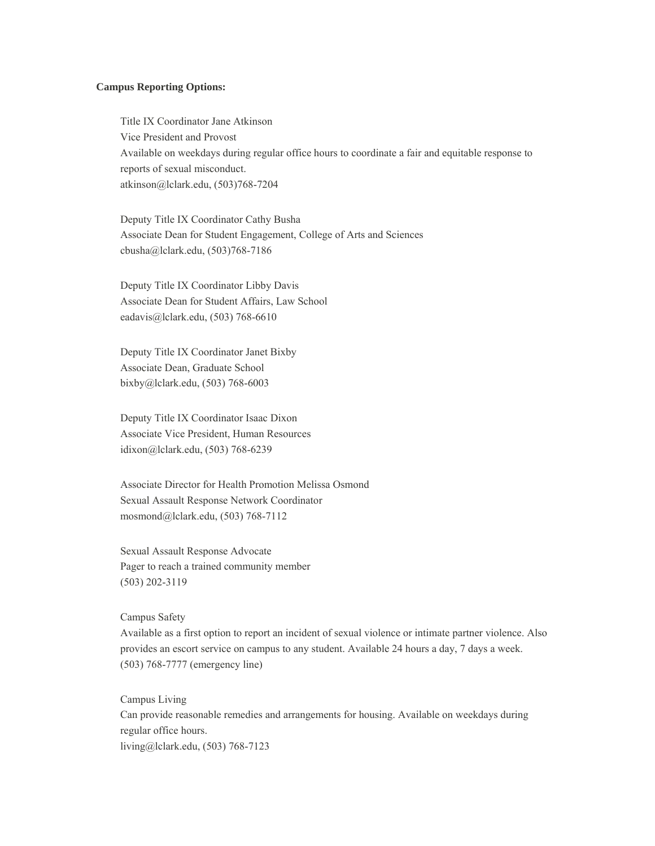#### **Campus Reporting Options:**

Title IX Coordinator Jane Atkinson Vice President and Provost Available on weekdays during regular office hours to coordinate a fair and equitable response to reports of sexual misconduct. atkinson@lclark.edu, (503)768-7204

Deputy Title IX Coordinator Cathy Busha Associate Dean for Student Engagement, College of Arts and Sciences cbusha@lclark.edu, (503)768-7186

Deputy Title IX Coordinator Libby Davis Associate Dean for Student Affairs, Law School eadavis@lclark.edu, (503) 768-6610

Deputy Title IX Coordinator Janet Bixby Associate Dean, Graduate School bixby@lclark.edu, (503) 768-6003

Deputy Title IX Coordinator Isaac Dixon Associate Vice President, Human Resources idixon@lclark.edu, (503) 768-6239

Associate Director for Health Promotion Melissa Osmond Sexual Assault Response Network Coordinator mosmond@lclark.edu, (503) 768-7112

Sexual Assault Response Advocate Pager to reach a trained community member (503) 202-3119

Campus Safety

Available as a first option to report an incident of sexual violence or intimate partner violence. Also provides an escort service on campus to any student. Available 24 hours a day, 7 days a week. (503) 768-7777 (emergency line)

Campus Living Can provide reasonable remedies and arrangements for housing. Available on weekdays during regular office hours. living@lclark.edu, (503) 768-7123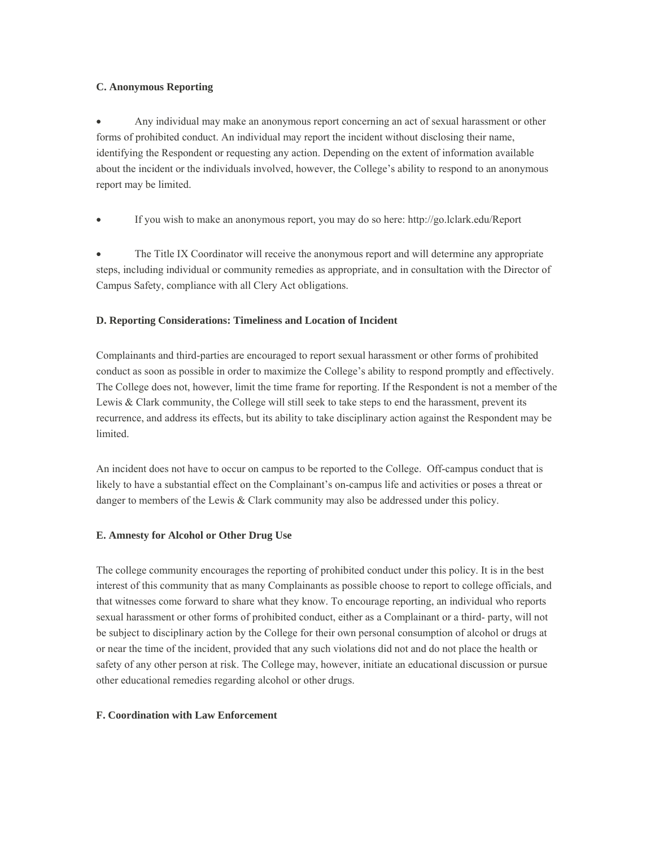#### **C. Anonymous Reporting**

 Any individual may make an anonymous report concerning an act of sexual harassment or other forms of prohibited conduct. An individual may report the incident without disclosing their name, identifying the Respondent or requesting any action. Depending on the extent of information available about the incident or the individuals involved, however, the College's ability to respond to an anonymous report may be limited.

If you wish to make an anonymous report, you may do so here: http://go.lclark.edu/Report

 The Title IX Coordinator will receive the anonymous report and will determine any appropriate steps, including individual or community remedies as appropriate, and in consultation with the Director of Campus Safety, compliance with all Clery Act obligations.

#### **D. Reporting Considerations: Timeliness and Location of Incident**

Complainants and third-parties are encouraged to report sexual harassment or other forms of prohibited conduct as soon as possible in order to maximize the College's ability to respond promptly and effectively. The College does not, however, limit the time frame for reporting. If the Respondent is not a member of the Lewis & Clark community, the College will still seek to take steps to end the harassment, prevent its recurrence, and address its effects, but its ability to take disciplinary action against the Respondent may be limited.

An incident does not have to occur on campus to be reported to the College. Off-campus conduct that is likely to have a substantial effect on the Complainant's on-campus life and activities or poses a threat or danger to members of the Lewis  $& Clark$  community may also be addressed under this policy.

#### **E. Amnesty for Alcohol or Other Drug Use**

The college community encourages the reporting of prohibited conduct under this policy. It is in the best interest of this community that as many Complainants as possible choose to report to college officials, and that witnesses come forward to share what they know. To encourage reporting, an individual who reports sexual harassment or other forms of prohibited conduct, either as a Complainant or a third- party, will not be subject to disciplinary action by the College for their own personal consumption of alcohol or drugs at or near the time of the incident, provided that any such violations did not and do not place the health or safety of any other person at risk. The College may, however, initiate an educational discussion or pursue other educational remedies regarding alcohol or other drugs.

#### **F. Coordination with Law Enforcement**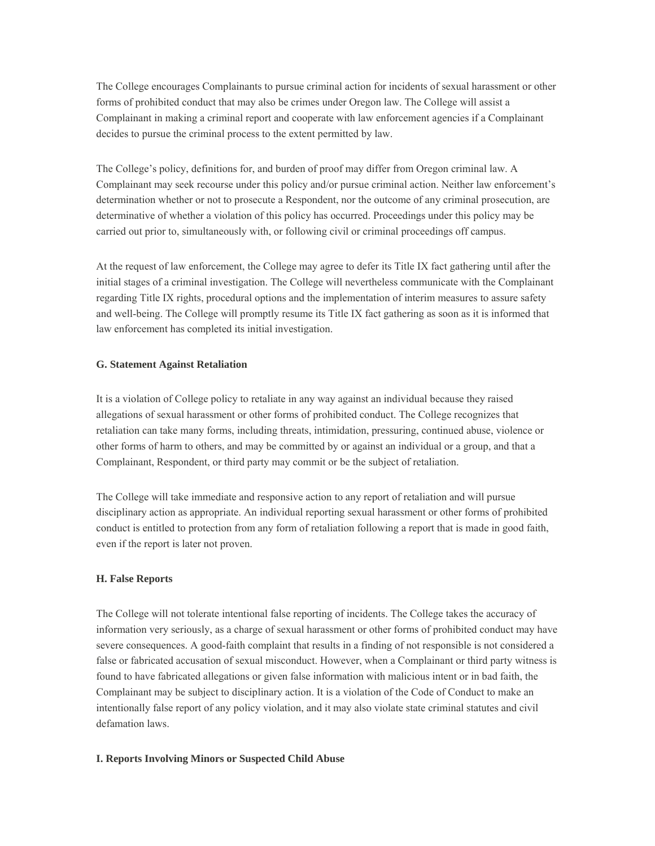The College encourages Complainants to pursue criminal action for incidents of sexual harassment or other forms of prohibited conduct that may also be crimes under Oregon law. The College will assist a Complainant in making a criminal report and cooperate with law enforcement agencies if a Complainant decides to pursue the criminal process to the extent permitted by law.

The College's policy, definitions for, and burden of proof may differ from Oregon criminal law. A Complainant may seek recourse under this policy and/or pursue criminal action. Neither law enforcement's determination whether or not to prosecute a Respondent, nor the outcome of any criminal prosecution, are determinative of whether a violation of this policy has occurred. Proceedings under this policy may be carried out prior to, simultaneously with, or following civil or criminal proceedings off campus.

At the request of law enforcement, the College may agree to defer its Title IX fact gathering until after the initial stages of a criminal investigation. The College will nevertheless communicate with the Complainant regarding Title IX rights, procedural options and the implementation of interim measures to assure safety and well-being. The College will promptly resume its Title IX fact gathering as soon as it is informed that law enforcement has completed its initial investigation.

#### **G. Statement Against Retaliation**

It is a violation of College policy to retaliate in any way against an individual because they raised allegations of sexual harassment or other forms of prohibited conduct. The College recognizes that retaliation can take many forms, including threats, intimidation, pressuring, continued abuse, violence or other forms of harm to others, and may be committed by or against an individual or a group, and that a Complainant, Respondent, or third party may commit or be the subject of retaliation.

The College will take immediate and responsive action to any report of retaliation and will pursue disciplinary action as appropriate. An individual reporting sexual harassment or other forms of prohibited conduct is entitled to protection from any form of retaliation following a report that is made in good faith, even if the report is later not proven.

#### **H. False Reports**

The College will not tolerate intentional false reporting of incidents. The College takes the accuracy of information very seriously, as a charge of sexual harassment or other forms of prohibited conduct may have severe consequences. A good-faith complaint that results in a finding of not responsible is not considered a false or fabricated accusation of sexual misconduct. However, when a Complainant or third party witness is found to have fabricated allegations or given false information with malicious intent or in bad faith, the Complainant may be subject to disciplinary action. It is a violation of the Code of Conduct to make an intentionally false report of any policy violation, and it may also violate state criminal statutes and civil defamation laws.

#### **I. Reports Involving Minors or Suspected Child Abuse**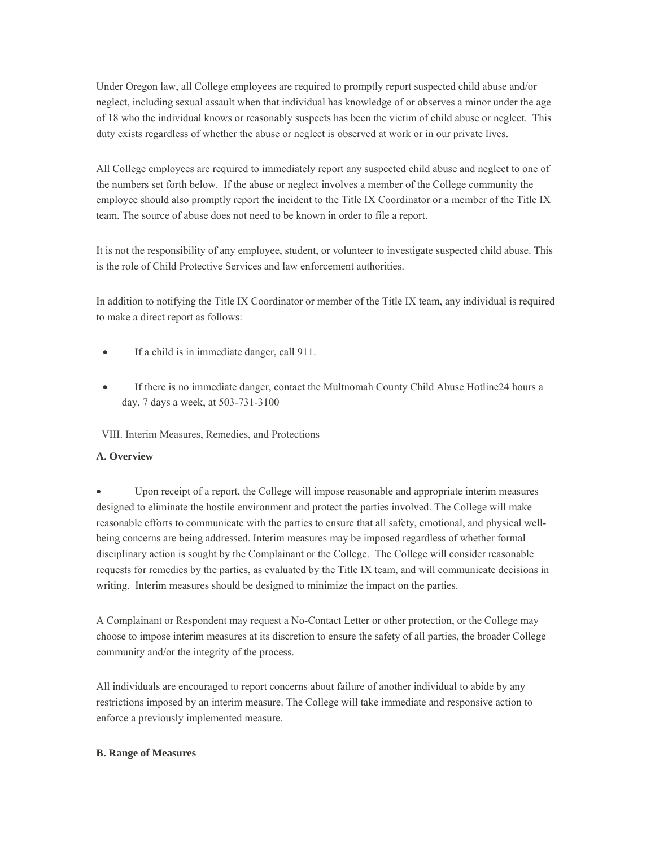Under Oregon law, all College employees are required to promptly report suspected child abuse and/or neglect, including sexual assault when that individual has knowledge of or observes a minor under the age of 18 who the individual knows or reasonably suspects has been the victim of child abuse or neglect. This duty exists regardless of whether the abuse or neglect is observed at work or in our private lives.

All College employees are required to immediately report any suspected child abuse and neglect to one of the numbers set forth below. If the abuse or neglect involves a member of the College community the employee should also promptly report the incident to the Title IX Coordinator or a member of the Title IX team. The source of abuse does not need to be known in order to file a report.

It is not the responsibility of any employee, student, or volunteer to investigate suspected child abuse. This is the role of Child Protective Services and law enforcement authorities.

In addition to notifying the Title IX Coordinator or member of the Title IX team, any individual is required to make a direct report as follows:

- If a child is in immediate danger, call 911.
- If there is no immediate danger, contact the Multnomah County Child Abuse Hotline24 hours a day, 7 days a week, at 503-731-3100

VIII. Interim Measures, Remedies, and Protections

#### **A. Overview**

 Upon receipt of a report, the College will impose reasonable and appropriate interim measures designed to eliminate the hostile environment and protect the parties involved. The College will make reasonable efforts to communicate with the parties to ensure that all safety, emotional, and physical wellbeing concerns are being addressed. Interim measures may be imposed regardless of whether formal disciplinary action is sought by the Complainant or the College. The College will consider reasonable requests for remedies by the parties, as evaluated by the Title IX team, and will communicate decisions in writing. Interim measures should be designed to minimize the impact on the parties.

A Complainant or Respondent may request a No-Contact Letter or other protection, or the College may choose to impose interim measures at its discretion to ensure the safety of all parties, the broader College community and/or the integrity of the process.

All individuals are encouraged to report concerns about failure of another individual to abide by any restrictions imposed by an interim measure. The College will take immediate and responsive action to enforce a previously implemented measure.

#### **B. Range of Measures**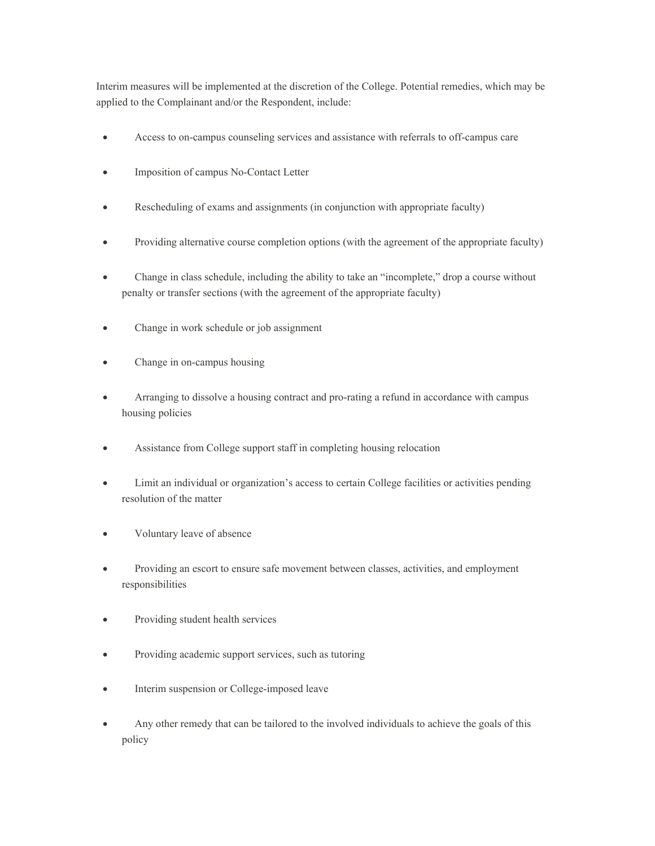Interim measures will be implemented at the discretion of the College. Potential remedies, which may be applied to the Complainant and/or the Respondent, include:

- Access to on-campus counseling services and assistance with referrals to off-campus care
- Imposition of campus No-Contact Letter
- Rescheduling of exams and assignments (in conjunction with appropriate faculty)
- Providing alternative course completion options (with the agreement of the appropriate faculty)
- Change in class schedule, including the ability to take an "incomplete," drop a course without penalty or transfer sections (with the agreement of the appropriate faculty)
- Change in work schedule or job assignment
- Change in on-campus housing
- Arranging to dissolve a housing contract and pro-rating a refund in accordance with campus housing policies
- Assistance from College support staff in completing housing relocation
- Limit an individual or organization's access to certain College facilities or activities pending resolution of the matter
- Voluntary leave of absence
- Providing an escort to ensure safe movement between classes, activities, and employment responsibilities
- Providing student health services
- Providing academic support services, such as tutoring
- Interim suspension or College-imposed leave
- Any other remedy that can be tailored to the involved individuals to achieve the goals of this policy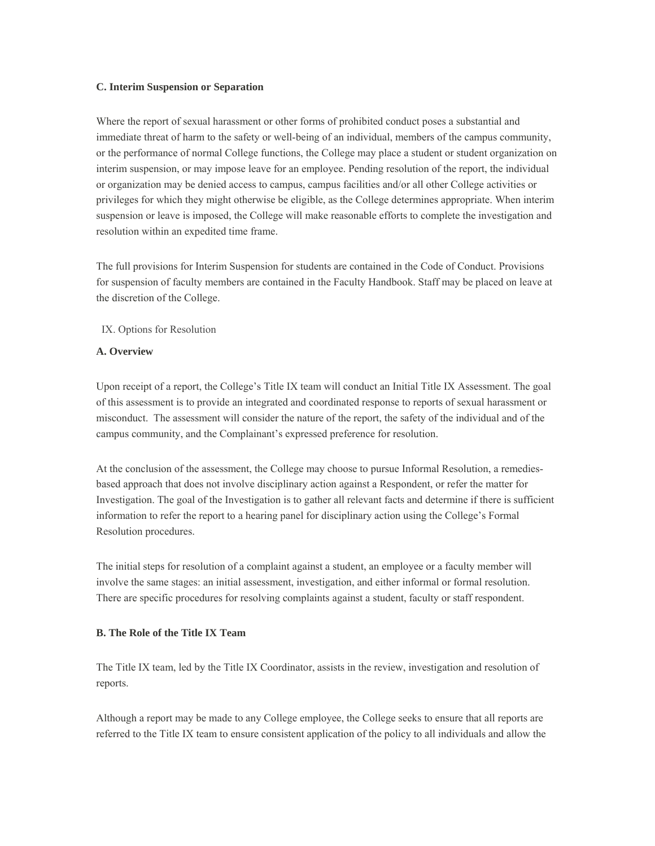#### **C. Interim Suspension or Separation**

Where the report of sexual harassment or other forms of prohibited conduct poses a substantial and immediate threat of harm to the safety or well-being of an individual, members of the campus community, or the performance of normal College functions, the College may place a student or student organization on interim suspension, or may impose leave for an employee. Pending resolution of the report, the individual or organization may be denied access to campus, campus facilities and/or all other College activities or privileges for which they might otherwise be eligible, as the College determines appropriate. When interim suspension or leave is imposed, the College will make reasonable efforts to complete the investigation and resolution within an expedited time frame.

The full provisions for Interim Suspension for students are contained in the Code of Conduct. Provisions for suspension of faculty members are contained in the Faculty Handbook. Staff may be placed on leave at the discretion of the College.

#### IX. Options for Resolution

#### **A. Overview**

Upon receipt of a report, the College's Title IX team will conduct an Initial Title IX Assessment. The goal of this assessment is to provide an integrated and coordinated response to reports of sexual harassment or misconduct. The assessment will consider the nature of the report, the safety of the individual and of the campus community, and the Complainant's expressed preference for resolution.

At the conclusion of the assessment, the College may choose to pursue Informal Resolution, a remediesbased approach that does not involve disciplinary action against a Respondent, or refer the matter for Investigation. The goal of the Investigation is to gather all relevant facts and determine if there is sufficient information to refer the report to a hearing panel for disciplinary action using the College's Formal Resolution procedures.

The initial steps for resolution of a complaint against a student, an employee or a faculty member will involve the same stages: an initial assessment, investigation, and either informal or formal resolution. There are specific procedures for resolving complaints against a student, faculty or staff respondent.

#### **B. The Role of the Title IX Team**

The Title IX team, led by the Title IX Coordinator, assists in the review, investigation and resolution of reports.

Although a report may be made to any College employee, the College seeks to ensure that all reports are referred to the Title IX team to ensure consistent application of the policy to all individuals and allow the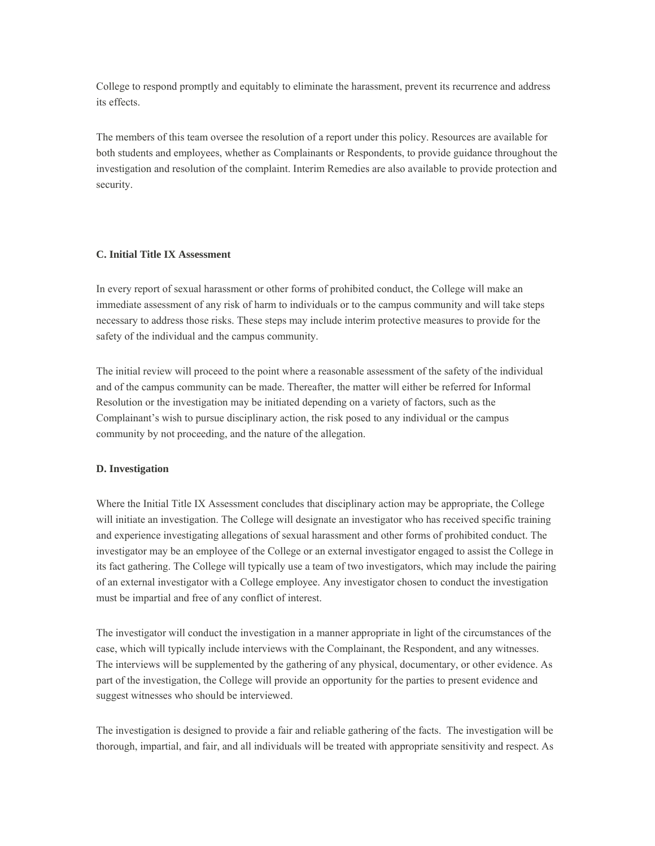College to respond promptly and equitably to eliminate the harassment, prevent its recurrence and address its effects.

The members of this team oversee the resolution of a report under this policy. Resources are available for both students and employees, whether as Complainants or Respondents, to provide guidance throughout the investigation and resolution of the complaint. Interim Remedies are also available to provide protection and security.

#### **C. Initial Title IX Assessment**

In every report of sexual harassment or other forms of prohibited conduct, the College will make an immediate assessment of any risk of harm to individuals or to the campus community and will take steps necessary to address those risks. These steps may include interim protective measures to provide for the safety of the individual and the campus community.

The initial review will proceed to the point where a reasonable assessment of the safety of the individual and of the campus community can be made. Thereafter, the matter will either be referred for Informal Resolution or the investigation may be initiated depending on a variety of factors, such as the Complainant's wish to pursue disciplinary action, the risk posed to any individual or the campus community by not proceeding, and the nature of the allegation.

#### **D. Investigation**

Where the Initial Title IX Assessment concludes that disciplinary action may be appropriate, the College will initiate an investigation. The College will designate an investigator who has received specific training and experience investigating allegations of sexual harassment and other forms of prohibited conduct. The investigator may be an employee of the College or an external investigator engaged to assist the College in its fact gathering. The College will typically use a team of two investigators, which may include the pairing of an external investigator with a College employee. Any investigator chosen to conduct the investigation must be impartial and free of any conflict of interest.

The investigator will conduct the investigation in a manner appropriate in light of the circumstances of the case, which will typically include interviews with the Complainant, the Respondent, and any witnesses. The interviews will be supplemented by the gathering of any physical, documentary, or other evidence. As part of the investigation, the College will provide an opportunity for the parties to present evidence and suggest witnesses who should be interviewed.

The investigation is designed to provide a fair and reliable gathering of the facts. The investigation will be thorough, impartial, and fair, and all individuals will be treated with appropriate sensitivity and respect. As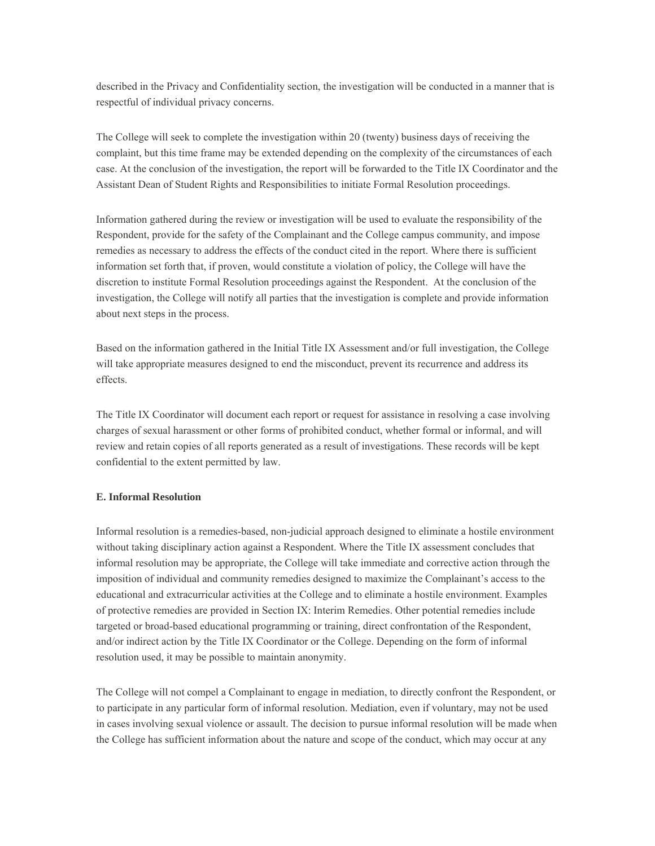described in the Privacy and Confidentiality section, the investigation will be conducted in a manner that is respectful of individual privacy concerns.

The College will seek to complete the investigation within 20 (twenty) business days of receiving the complaint, but this time frame may be extended depending on the complexity of the circumstances of each case. At the conclusion of the investigation, the report will be forwarded to the Title IX Coordinator and the Assistant Dean of Student Rights and Responsibilities to initiate Formal Resolution proceedings.

Information gathered during the review or investigation will be used to evaluate the responsibility of the Respondent, provide for the safety of the Complainant and the College campus community, and impose remedies as necessary to address the effects of the conduct cited in the report. Where there is sufficient information set forth that, if proven, would constitute a violation of policy, the College will have the discretion to institute Formal Resolution proceedings against the Respondent. At the conclusion of the investigation, the College will notify all parties that the investigation is complete and provide information about next steps in the process.

Based on the information gathered in the Initial Title IX Assessment and/or full investigation, the College will take appropriate measures designed to end the misconduct, prevent its recurrence and address its effects.

The Title IX Coordinator will document each report or request for assistance in resolving a case involving charges of sexual harassment or other forms of prohibited conduct, whether formal or informal, and will review and retain copies of all reports generated as a result of investigations. These records will be kept confidential to the extent permitted by law.

#### **E. Informal Resolution**

Informal resolution is a remedies-based, non-judicial approach designed to eliminate a hostile environment without taking disciplinary action against a Respondent. Where the Title IX assessment concludes that informal resolution may be appropriate, the College will take immediate and corrective action through the imposition of individual and community remedies designed to maximize the Complainant's access to the educational and extracurricular activities at the College and to eliminate a hostile environment. Examples of protective remedies are provided in Section IX: Interim Remedies. Other potential remedies include targeted or broad-based educational programming or training, direct confrontation of the Respondent, and/or indirect action by the Title IX Coordinator or the College. Depending on the form of informal resolution used, it may be possible to maintain anonymity.

The College will not compel a Complainant to engage in mediation, to directly confront the Respondent, or to participate in any particular form of informal resolution. Mediation, even if voluntary, may not be used in cases involving sexual violence or assault. The decision to pursue informal resolution will be made when the College has sufficient information about the nature and scope of the conduct, which may occur at any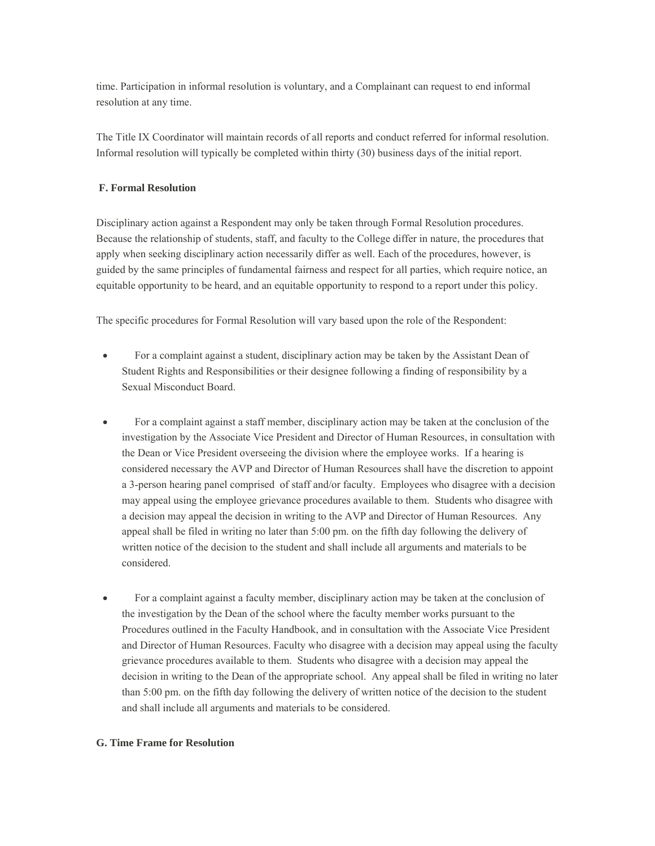time. Participation in informal resolution is voluntary, and a Complainant can request to end informal resolution at any time.

The Title IX Coordinator will maintain records of all reports and conduct referred for informal resolution. Informal resolution will typically be completed within thirty (30) business days of the initial report.

#### **F. Formal Resolution**

Disciplinary action against a Respondent may only be taken through Formal Resolution procedures. Because the relationship of students, staff, and faculty to the College differ in nature, the procedures that apply when seeking disciplinary action necessarily differ as well. Each of the procedures, however, is guided by the same principles of fundamental fairness and respect for all parties, which require notice, an equitable opportunity to be heard, and an equitable opportunity to respond to a report under this policy.

The specific procedures for Formal Resolution will vary based upon the role of the Respondent:

- For a complaint against a student, disciplinary action may be taken by the Assistant Dean of Student Rights and Responsibilities or their designee following a finding of responsibility by a Sexual Misconduct Board.
- For a complaint against a staff member, disciplinary action may be taken at the conclusion of the investigation by the Associate Vice President and Director of Human Resources, in consultation with the Dean or Vice President overseeing the division where the employee works. If a hearing is considered necessary the AVP and Director of Human Resources shall have the discretion to appoint a 3-person hearing panel comprised of staff and/or faculty. Employees who disagree with a decision may appeal using the employee grievance procedures available to them. Students who disagree with a decision may appeal the decision in writing to the AVP and Director of Human Resources. Any appeal shall be filed in writing no later than 5:00 pm. on the fifth day following the delivery of written notice of the decision to the student and shall include all arguments and materials to be considered.
- For a complaint against a faculty member, disciplinary action may be taken at the conclusion of the investigation by the Dean of the school where the faculty member works pursuant to the Procedures outlined in the Faculty Handbook, and in consultation with the Associate Vice President and Director of Human Resources. Faculty who disagree with a decision may appeal using the faculty grievance procedures available to them. Students who disagree with a decision may appeal the decision in writing to the Dean of the appropriate school. Any appeal shall be filed in writing no later than 5:00 pm. on the fifth day following the delivery of written notice of the decision to the student and shall include all arguments and materials to be considered.

#### **G. Time Frame for Resolution**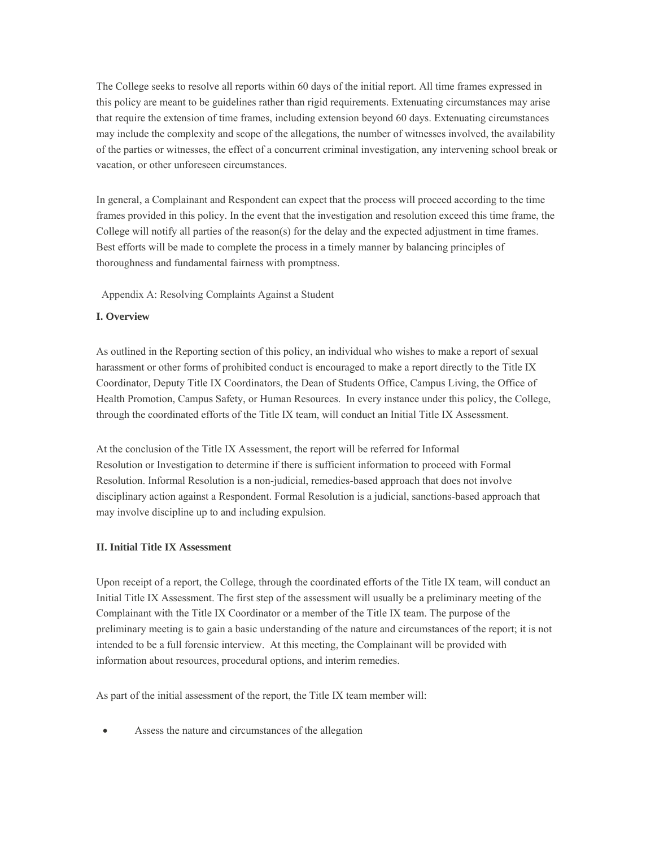The College seeks to resolve all reports within 60 days of the initial report. All time frames expressed in this policy are meant to be guidelines rather than rigid requirements. Extenuating circumstances may arise that require the extension of time frames, including extension beyond 60 days. Extenuating circumstances may include the complexity and scope of the allegations, the number of witnesses involved, the availability of the parties or witnesses, the effect of a concurrent criminal investigation, any intervening school break or vacation, or other unforeseen circumstances.

In general, a Complainant and Respondent can expect that the process will proceed according to the time frames provided in this policy. In the event that the investigation and resolution exceed this time frame, the College will notify all parties of the reason(s) for the delay and the expected adjustment in time frames. Best efforts will be made to complete the process in a timely manner by balancing principles of thoroughness and fundamental fairness with promptness.

Appendix A: Resolving Complaints Against a Student

#### **I. Overview**

As outlined in the Reporting section of this policy, an individual who wishes to make a report of sexual harassment or other forms of prohibited conduct is encouraged to make a report directly to the Title IX Coordinator, Deputy Title IX Coordinators, the Dean of Students Office, Campus Living, the Office of Health Promotion, Campus Safety, or Human Resources. In every instance under this policy, the College, through the coordinated efforts of the Title IX team, will conduct an Initial Title IX Assessment.

At the conclusion of the Title IX Assessment, the report will be referred for Informal Resolution or Investigation to determine if there is sufficient information to proceed with Formal Resolution. Informal Resolution is a non-judicial, remedies-based approach that does not involve disciplinary action against a Respondent. Formal Resolution is a judicial, sanctions-based approach that may involve discipline up to and including expulsion.

#### **II. Initial Title IX Assessment**

Upon receipt of a report, the College, through the coordinated efforts of the Title IX team, will conduct an Initial Title IX Assessment. The first step of the assessment will usually be a preliminary meeting of the Complainant with the Title IX Coordinator or a member of the Title IX team. The purpose of the preliminary meeting is to gain a basic understanding of the nature and circumstances of the report; it is not intended to be a full forensic interview. At this meeting, the Complainant will be provided with information about resources, procedural options, and interim remedies.

As part of the initial assessment of the report, the Title IX team member will:

Assess the nature and circumstances of the allegation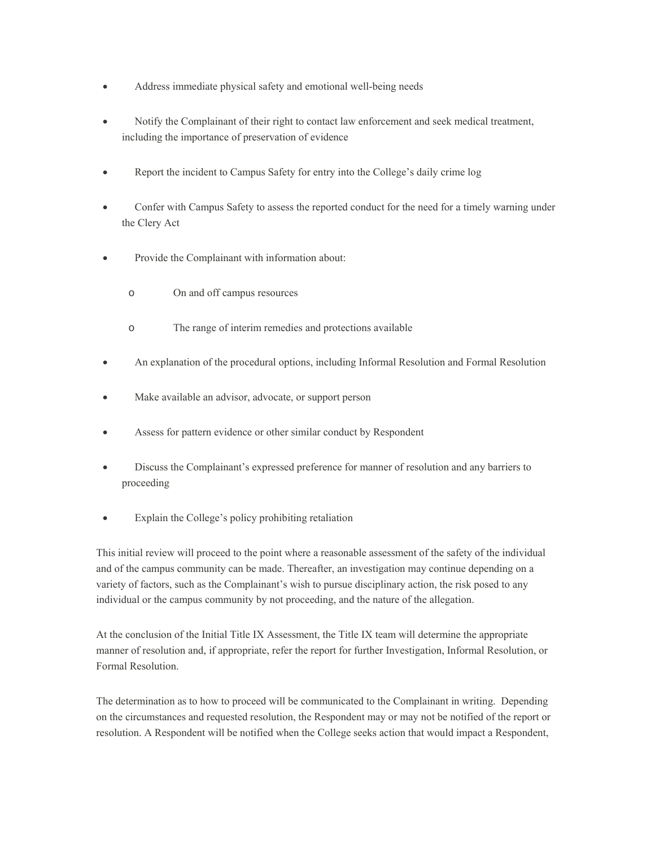- Address immediate physical safety and emotional well-being needs
- Notify the Complainant of their right to contact law enforcement and seek medical treatment, including the importance of preservation of evidence
- Report the incident to Campus Safety for entry into the College's daily crime log
- Confer with Campus Safety to assess the reported conduct for the need for a timely warning under the Clery Act
- Provide the Complainant with information about:
	- o On and off campus resources
	- o The range of interim remedies and protections available
- An explanation of the procedural options, including Informal Resolution and Formal Resolution
- Make available an advisor, advocate, or support person
- Assess for pattern evidence or other similar conduct by Respondent
- Discuss the Complainant's expressed preference for manner of resolution and any barriers to proceeding
- Explain the College's policy prohibiting retaliation

This initial review will proceed to the point where a reasonable assessment of the safety of the individual and of the campus community can be made. Thereafter, an investigation may continue depending on a variety of factors, such as the Complainant's wish to pursue disciplinary action, the risk posed to any individual or the campus community by not proceeding, and the nature of the allegation.

At the conclusion of the Initial Title IX Assessment, the Title IX team will determine the appropriate manner of resolution and, if appropriate, refer the report for further Investigation, Informal Resolution, or Formal Resolution.

The determination as to how to proceed will be communicated to the Complainant in writing. Depending on the circumstances and requested resolution, the Respondent may or may not be notified of the report or resolution. A Respondent will be notified when the College seeks action that would impact a Respondent,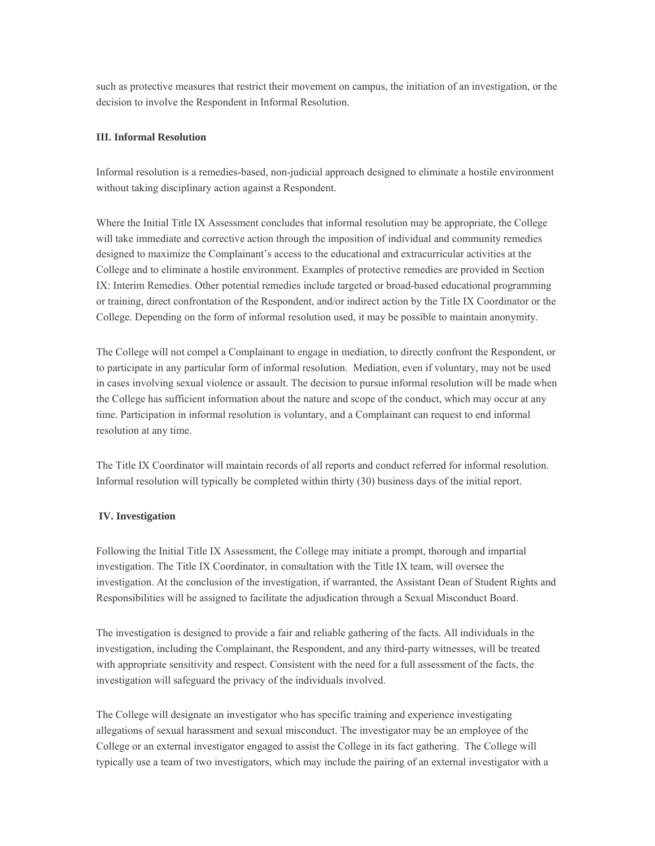such as protective measures that restrict their movement on campus, the initiation of an investigation, or the decision to involve the Respondent in Informal Resolution.

#### **III. Informal Resolution**

Informal resolution is a remedies-based, non-judicial approach designed to eliminate a hostile environment without taking disciplinary action against a Respondent.

Where the Initial Title IX Assessment concludes that informal resolution may be appropriate, the College will take immediate and corrective action through the imposition of individual and community remedies designed to maximize the Complainant's access to the educational and extracurricular activities at the College and to eliminate a hostile environment. Examples of protective remedies are provided in Section IX: Interim Remedies. Other potential remedies include targeted or broad-based educational programming or training, direct confrontation of the Respondent, and/or indirect action by the Title IX Coordinator or the College. Depending on the form of informal resolution used, it may be possible to maintain anonymity.

The College will not compel a Complainant to engage in mediation, to directly confront the Respondent, or to participate in any particular form of informal resolution. Mediation, even if voluntary, may not be used in cases involving sexual violence or assault. The decision to pursue informal resolution will be made when the College has sufficient information about the nature and scope of the conduct, which may occur at any time. Participation in informal resolution is voluntary, and a Complainant can request to end informal resolution at any time.

The Title IX Coordinator will maintain records of all reports and conduct referred for informal resolution. Informal resolution will typically be completed within thirty (30) business days of the initial report.

#### **IV. Investigation**

Following the Initial Title IX Assessment, the College may initiate a prompt, thorough and impartial investigation. The Title IX Coordinator, in consultation with the Title IX team, will oversee the investigation. At the conclusion of the investigation, if warranted, the Assistant Dean of Student Rights and Responsibilities will be assigned to facilitate the adjudication through a Sexual Misconduct Board.

The investigation is designed to provide a fair and reliable gathering of the facts. All individuals in the investigation, including the Complainant, the Respondent, and any third-party witnesses, will be treated with appropriate sensitivity and respect. Consistent with the need for a full assessment of the facts, the investigation will safeguard the privacy of the individuals involved.

The College will designate an investigator who has specific training and experience investigating allegations of sexual harassment and sexual misconduct. The investigator may be an employee of the College or an external investigator engaged to assist the College in its fact gathering. The College will typically use a team of two investigators, which may include the pairing of an external investigator with a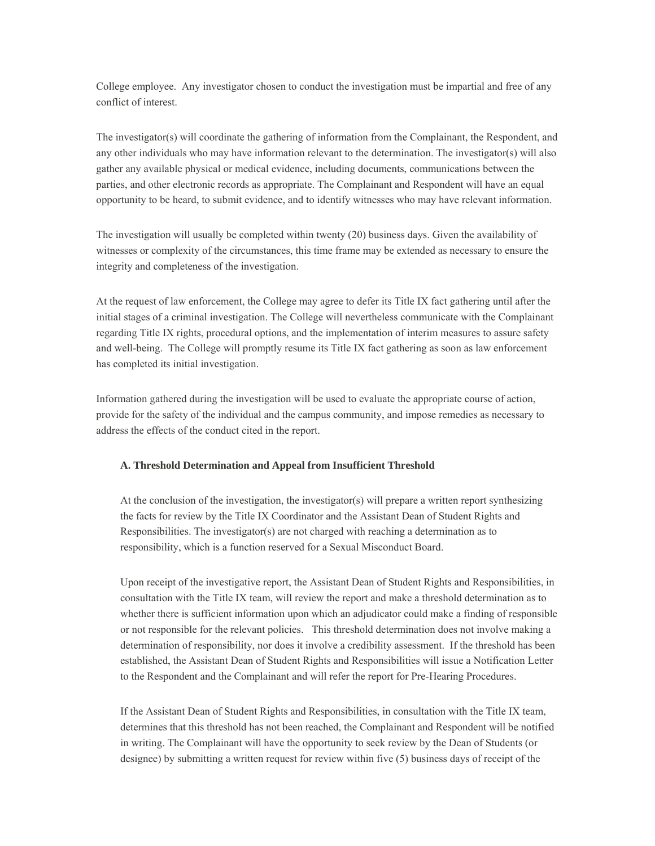College employee. Any investigator chosen to conduct the investigation must be impartial and free of any conflict of interest.

The investigator(s) will coordinate the gathering of information from the Complainant, the Respondent, and any other individuals who may have information relevant to the determination. The investigator(s) will also gather any available physical or medical evidence, including documents, communications between the parties, and other electronic records as appropriate. The Complainant and Respondent will have an equal opportunity to be heard, to submit evidence, and to identify witnesses who may have relevant information.

The investigation will usually be completed within twenty (20) business days. Given the availability of witnesses or complexity of the circumstances, this time frame may be extended as necessary to ensure the integrity and completeness of the investigation.

At the request of law enforcement, the College may agree to defer its Title IX fact gathering until after the initial stages of a criminal investigation. The College will nevertheless communicate with the Complainant regarding Title IX rights, procedural options, and the implementation of interim measures to assure safety and well-being. The College will promptly resume its Title IX fact gathering as soon as law enforcement has completed its initial investigation.

Information gathered during the investigation will be used to evaluate the appropriate course of action, provide for the safety of the individual and the campus community, and impose remedies as necessary to address the effects of the conduct cited in the report.

#### **A. Threshold Determination and Appeal from Insufficient Threshold**

At the conclusion of the investigation, the investigator(s) will prepare a written report synthesizing the facts for review by the Title IX Coordinator and the Assistant Dean of Student Rights and Responsibilities. The investigator(s) are not charged with reaching a determination as to responsibility, which is a function reserved for a Sexual Misconduct Board.

Upon receipt of the investigative report, the Assistant Dean of Student Rights and Responsibilities, in consultation with the Title IX team, will review the report and make a threshold determination as to whether there is sufficient information upon which an adjudicator could make a finding of responsible or not responsible for the relevant policies. This threshold determination does not involve making a determination of responsibility, nor does it involve a credibility assessment. If the threshold has been established, the Assistant Dean of Student Rights and Responsibilities will issue a Notification Letter to the Respondent and the Complainant and will refer the report for Pre-Hearing Procedures.

If the Assistant Dean of Student Rights and Responsibilities, in consultation with the Title IX team, determines that this threshold has not been reached, the Complainant and Respondent will be notified in writing. The Complainant will have the opportunity to seek review by the Dean of Students (or designee) by submitting a written request for review within five (5) business days of receipt of the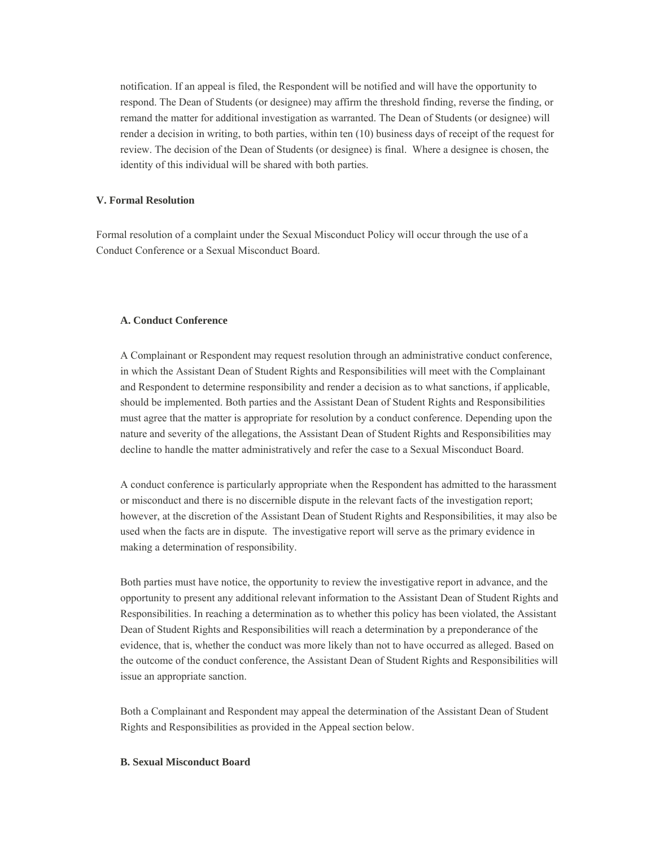notification. If an appeal is filed, the Respondent will be notified and will have the opportunity to respond. The Dean of Students (or designee) may affirm the threshold finding, reverse the finding, or remand the matter for additional investigation as warranted. The Dean of Students (or designee) will render a decision in writing, to both parties, within ten (10) business days of receipt of the request for review. The decision of the Dean of Students (or designee) is final. Where a designee is chosen, the identity of this individual will be shared with both parties.

#### **V. Formal Resolution**

Formal resolution of a complaint under the Sexual Misconduct Policy will occur through the use of a Conduct Conference or a Sexual Misconduct Board.

#### **A. Conduct Conference**

A Complainant or Respondent may request resolution through an administrative conduct conference, in which the Assistant Dean of Student Rights and Responsibilities will meet with the Complainant and Respondent to determine responsibility and render a decision as to what sanctions, if applicable, should be implemented. Both parties and the Assistant Dean of Student Rights and Responsibilities must agree that the matter is appropriate for resolution by a conduct conference. Depending upon the nature and severity of the allegations, the Assistant Dean of Student Rights and Responsibilities may decline to handle the matter administratively and refer the case to a Sexual Misconduct Board.

A conduct conference is particularly appropriate when the Respondent has admitted to the harassment or misconduct and there is no discernible dispute in the relevant facts of the investigation report; however, at the discretion of the Assistant Dean of Student Rights and Responsibilities, it may also be used when the facts are in dispute. The investigative report will serve as the primary evidence in making a determination of responsibility.

Both parties must have notice, the opportunity to review the investigative report in advance, and the opportunity to present any additional relevant information to the Assistant Dean of Student Rights and Responsibilities. In reaching a determination as to whether this policy has been violated, the Assistant Dean of Student Rights and Responsibilities will reach a determination by a preponderance of the evidence, that is, whether the conduct was more likely than not to have occurred as alleged. Based on the outcome of the conduct conference, the Assistant Dean of Student Rights and Responsibilities will issue an appropriate sanction.

Both a Complainant and Respondent may appeal the determination of the Assistant Dean of Student Rights and Responsibilities as provided in the Appeal section below.

#### **B. Sexual Misconduct Board**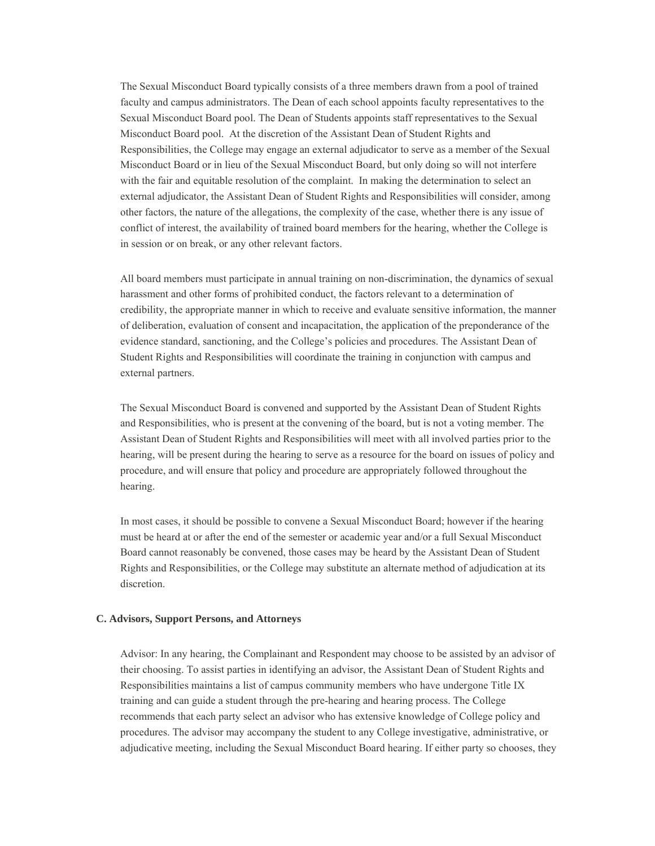The Sexual Misconduct Board typically consists of a three members drawn from a pool of trained faculty and campus administrators. The Dean of each school appoints faculty representatives to the Sexual Misconduct Board pool. The Dean of Students appoints staff representatives to the Sexual Misconduct Board pool. At the discretion of the Assistant Dean of Student Rights and Responsibilities, the College may engage an external adjudicator to serve as a member of the Sexual Misconduct Board or in lieu of the Sexual Misconduct Board, but only doing so will not interfere with the fair and equitable resolution of the complaint. In making the determination to select an external adjudicator, the Assistant Dean of Student Rights and Responsibilities will consider, among other factors, the nature of the allegations, the complexity of the case, whether there is any issue of conflict of interest, the availability of trained board members for the hearing, whether the College is in session or on break, or any other relevant factors.

All board members must participate in annual training on non-discrimination, the dynamics of sexual harassment and other forms of prohibited conduct, the factors relevant to a determination of credibility, the appropriate manner in which to receive and evaluate sensitive information, the manner of deliberation, evaluation of consent and incapacitation, the application of the preponderance of the evidence standard, sanctioning, and the College's policies and procedures. The Assistant Dean of Student Rights and Responsibilities will coordinate the training in conjunction with campus and external partners.

The Sexual Misconduct Board is convened and supported by the Assistant Dean of Student Rights and Responsibilities, who is present at the convening of the board, but is not a voting member. The Assistant Dean of Student Rights and Responsibilities will meet with all involved parties prior to the hearing, will be present during the hearing to serve as a resource for the board on issues of policy and procedure, and will ensure that policy and procedure are appropriately followed throughout the hearing.

In most cases, it should be possible to convene a Sexual Misconduct Board; however if the hearing must be heard at or after the end of the semester or academic year and/or a full Sexual Misconduct Board cannot reasonably be convened, those cases may be heard by the Assistant Dean of Student Rights and Responsibilities, or the College may substitute an alternate method of adjudication at its discretion.

#### **C. Advisors, Support Persons, and Attorneys**

Advisor: In any hearing, the Complainant and Respondent may choose to be assisted by an advisor of their choosing. To assist parties in identifying an advisor, the Assistant Dean of Student Rights and Responsibilities maintains a list of campus community members who have undergone Title IX training and can guide a student through the pre-hearing and hearing process. The College recommends that each party select an advisor who has extensive knowledge of College policy and procedures. The advisor may accompany the student to any College investigative, administrative, or adjudicative meeting, including the Sexual Misconduct Board hearing. If either party so chooses, they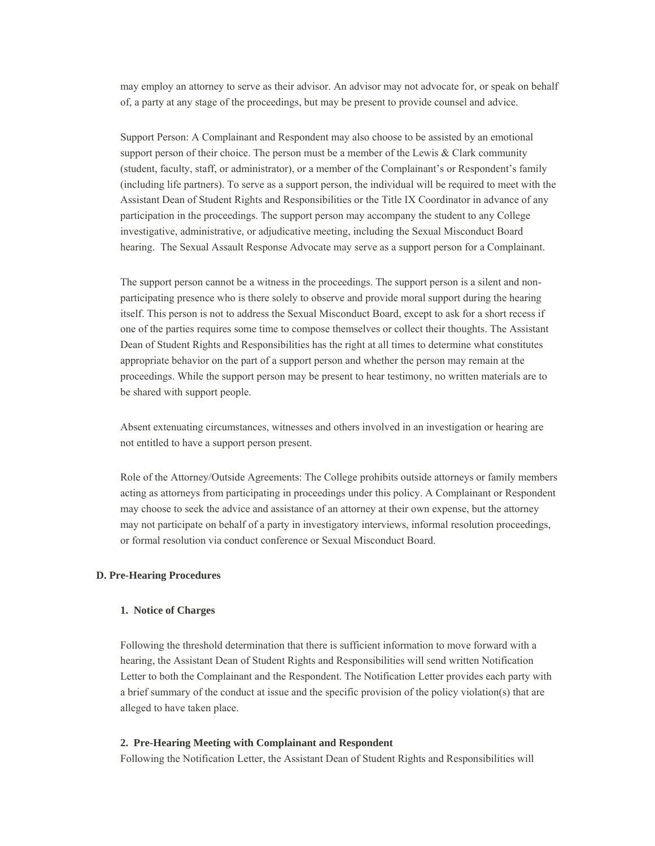may employ an attorney to serve as their advisor. An advisor may not advocate for, or speak on behalf of, a party at any stage of the proceedings, but may be present to provide counsel and advice.

Support Person: A Complainant and Respondent may also choose to be assisted by an emotional support person of their choice. The person must be a member of the Lewis & Clark community (student, faculty, staff, or administrator), or a member of the Complainant's or Respondent's family (including life partners). To serve as a support person, the individual will be required to meet with the Assistant Dean of Student Rights and Responsibilities or the Title IX Coordinator in advance of any participation in the proceedings. The support person may accompany the student to any College investigative, administrative, or adjudicative meeting, including the Sexual Misconduct Board hearing. The Sexual Assault Response Advocate may serve as a support person for a Complainant.

The support person cannot be a witness in the proceedings. The support person is a silent and nonparticipating presence who is there solely to observe and provide moral support during the hearing itself. This person is not to address the Sexual Misconduct Board, except to ask for a short recess if one of the parties requires some time to compose themselves or collect their thoughts. The Assistant Dean of Student Rights and Responsibilities has the right at all times to determine what constitutes appropriate behavior on the part of a support person and whether the person may remain at the proceedings. While the support person may be present to hear testimony, no written materials are to be shared with support people.

Absent extenuating circumstances, witnesses and others involved in an investigation or hearing are not entitled to have a support person present.

Role of the Attorney/Outside Agreements: The College prohibits outside attorneys or family members acting as attorneys from participating in proceedings under this policy. A Complainant or Respondent may choose to seek the advice and assistance of an attorney at their own expense, but the attorney may not participate on behalf of a party in investigatory interviews, informal resolution proceedings, or formal resolution via conduct conference or Sexual Misconduct Board.

#### **D. Pre-Hearing Procedures**

#### **1. Notice of Charges**

Following the threshold determination that there is sufficient information to move forward with a hearing, the Assistant Dean of Student Rights and Responsibilities will send written Notification Letter to both the Complainant and the Respondent. The Notification Letter provides each party with a brief summary of the conduct at issue and the specific provision of the policy violation(s) that are alleged to have taken place.

#### **2. Pre-Hearing Meeting with Complainant and Respondent**

Following the Notification Letter, the Assistant Dean of Student Rights and Responsibilities will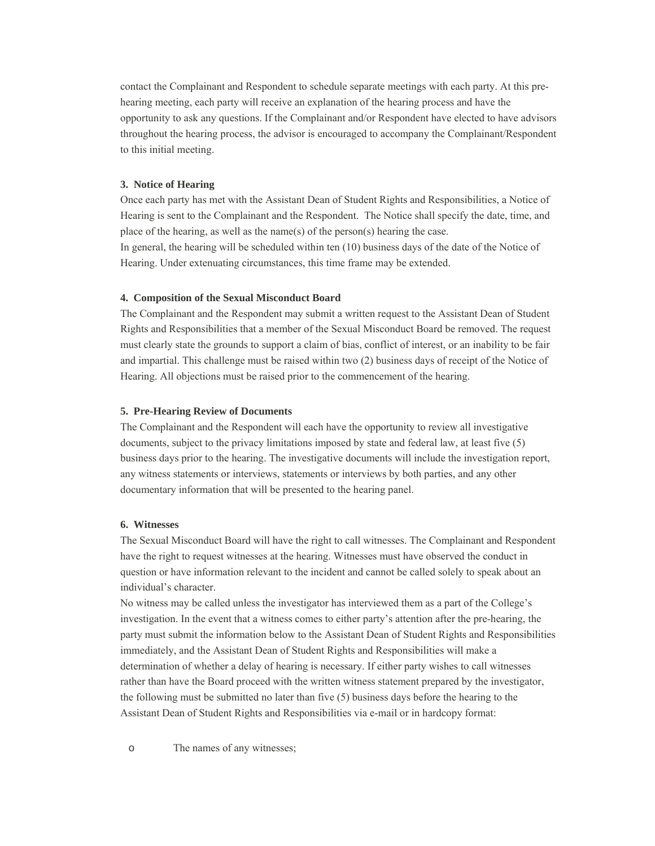contact the Complainant and Respondent to schedule separate meetings with each party. At this prehearing meeting, each party will receive an explanation of the hearing process and have the opportunity to ask any questions. If the Complainant and/or Respondent have elected to have advisors throughout the hearing process, the advisor is encouraged to accompany the Complainant/Respondent to this initial meeting.

#### **3. Notice of Hearing**

Once each party has met with the Assistant Dean of Student Rights and Responsibilities, a Notice of Hearing is sent to the Complainant and the Respondent. The Notice shall specify the date, time, and place of the hearing, as well as the name(s) of the person(s) hearing the case.

In general, the hearing will be scheduled within ten (10) business days of the date of the Notice of Hearing. Under extenuating circumstances, this time frame may be extended.

#### **4. Composition of the Sexual Misconduct Board**

The Complainant and the Respondent may submit a written request to the Assistant Dean of Student Rights and Responsibilities that a member of the Sexual Misconduct Board be removed. The request must clearly state the grounds to support a claim of bias, conflict of interest, or an inability to be fair and impartial. This challenge must be raised within two (2) business days of receipt of the Notice of Hearing. All objections must be raised prior to the commencement of the hearing.

#### **5. Pre-Hearing Review of Documents**

The Complainant and the Respondent will each have the opportunity to review all investigative documents, subject to the privacy limitations imposed by state and federal law, at least five (5) business days prior to the hearing. The investigative documents will include the investigation report, any witness statements or interviews, statements or interviews by both parties, and any other documentary information that will be presented to the hearing panel.

#### **6. Witnesses**

The Sexual Misconduct Board will have the right to call witnesses. The Complainant and Respondent have the right to request witnesses at the hearing. Witnesses must have observed the conduct in question or have information relevant to the incident and cannot be called solely to speak about an individual's character.

No witness may be called unless the investigator has interviewed them as a part of the College's investigation. In the event that a witness comes to either party's attention after the pre-hearing, the party must submit the information below to the Assistant Dean of Student Rights and Responsibilities immediately, and the Assistant Dean of Student Rights and Responsibilities will make a determination of whether a delay of hearing is necessary. If either party wishes to call witnesses rather than have the Board proceed with the written witness statement prepared by the investigator, the following must be submitted no later than five (5) business days before the hearing to the Assistant Dean of Student Rights and Responsibilities via e-mail or in hardcopy format:

o The names of any witnesses;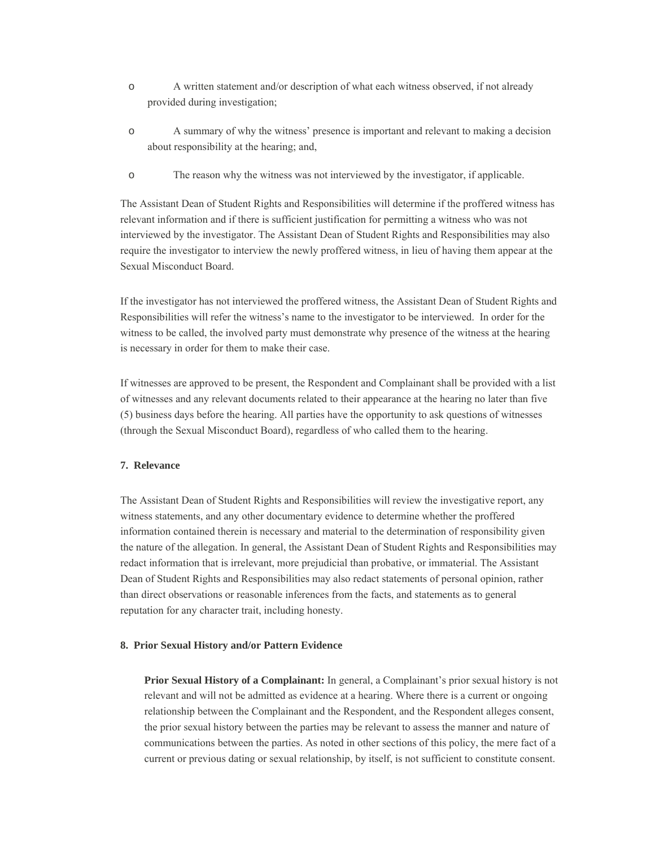- o A written statement and/or description of what each witness observed, if not already provided during investigation;
- o A summary of why the witness' presence is important and relevant to making a decision about responsibility at the hearing; and,
- o The reason why the witness was not interviewed by the investigator, if applicable.

The Assistant Dean of Student Rights and Responsibilities will determine if the proffered witness has relevant information and if there is sufficient justification for permitting a witness who was not interviewed by the investigator. The Assistant Dean of Student Rights and Responsibilities may also require the investigator to interview the newly proffered witness, in lieu of having them appear at the Sexual Misconduct Board.

If the investigator has not interviewed the proffered witness, the Assistant Dean of Student Rights and Responsibilities will refer the witness's name to the investigator to be interviewed. In order for the witness to be called, the involved party must demonstrate why presence of the witness at the hearing is necessary in order for them to make their case.

If witnesses are approved to be present, the Respondent and Complainant shall be provided with a list of witnesses and any relevant documents related to their appearance at the hearing no later than five (5) business days before the hearing. All parties have the opportunity to ask questions of witnesses (through the Sexual Misconduct Board), regardless of who called them to the hearing.

#### **7. Relevance**

The Assistant Dean of Student Rights and Responsibilities will review the investigative report, any witness statements, and any other documentary evidence to determine whether the proffered information contained therein is necessary and material to the determination of responsibility given the nature of the allegation. In general, the Assistant Dean of Student Rights and Responsibilities may redact information that is irrelevant, more prejudicial than probative, or immaterial. The Assistant Dean of Student Rights and Responsibilities may also redact statements of personal opinion, rather than direct observations or reasonable inferences from the facts, and statements as to general reputation for any character trait, including honesty.

#### **8. Prior Sexual History and/or Pattern Evidence**

**Prior Sexual History of a Complainant:** In general, a Complainant's prior sexual history is not relevant and will not be admitted as evidence at a hearing. Where there is a current or ongoing relationship between the Complainant and the Respondent, and the Respondent alleges consent, the prior sexual history between the parties may be relevant to assess the manner and nature of communications between the parties. As noted in other sections of this policy, the mere fact of a current or previous dating or sexual relationship, by itself, is not sufficient to constitute consent.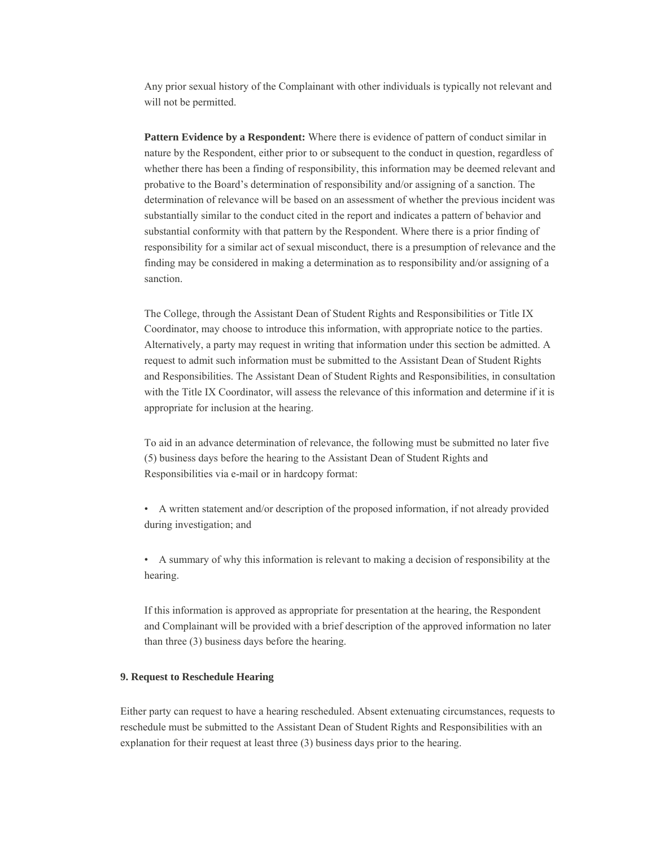Any prior sexual history of the Complainant with other individuals is typically not relevant and will not be permitted.

**Pattern Evidence by a Respondent:** Where there is evidence of pattern of conduct similar in nature by the Respondent, either prior to or subsequent to the conduct in question, regardless of whether there has been a finding of responsibility, this information may be deemed relevant and probative to the Board's determination of responsibility and/or assigning of a sanction. The determination of relevance will be based on an assessment of whether the previous incident was substantially similar to the conduct cited in the report and indicates a pattern of behavior and substantial conformity with that pattern by the Respondent. Where there is a prior finding of responsibility for a similar act of sexual misconduct, there is a presumption of relevance and the finding may be considered in making a determination as to responsibility and/or assigning of a sanction.

The College, through the Assistant Dean of Student Rights and Responsibilities or Title IX Coordinator, may choose to introduce this information, with appropriate notice to the parties. Alternatively, a party may request in writing that information under this section be admitted. A request to admit such information must be submitted to the Assistant Dean of Student Rights and Responsibilities. The Assistant Dean of Student Rights and Responsibilities, in consultation with the Title IX Coordinator, will assess the relevance of this information and determine if it is appropriate for inclusion at the hearing.

To aid in an advance determination of relevance, the following must be submitted no later five (5) business days before the hearing to the Assistant Dean of Student Rights and Responsibilities via e-mail or in hardcopy format:

• A written statement and/or description of the proposed information, if not already provided during investigation; and

• A summary of why this information is relevant to making a decision of responsibility at the hearing.

If this information is approved as appropriate for presentation at the hearing, the Respondent and Complainant will be provided with a brief description of the approved information no later than three (3) business days before the hearing.

#### **9. Request to Reschedule Hearing**

Either party can request to have a hearing rescheduled. Absent extenuating circumstances, requests to reschedule must be submitted to the Assistant Dean of Student Rights and Responsibilities with an explanation for their request at least three (3) business days prior to the hearing.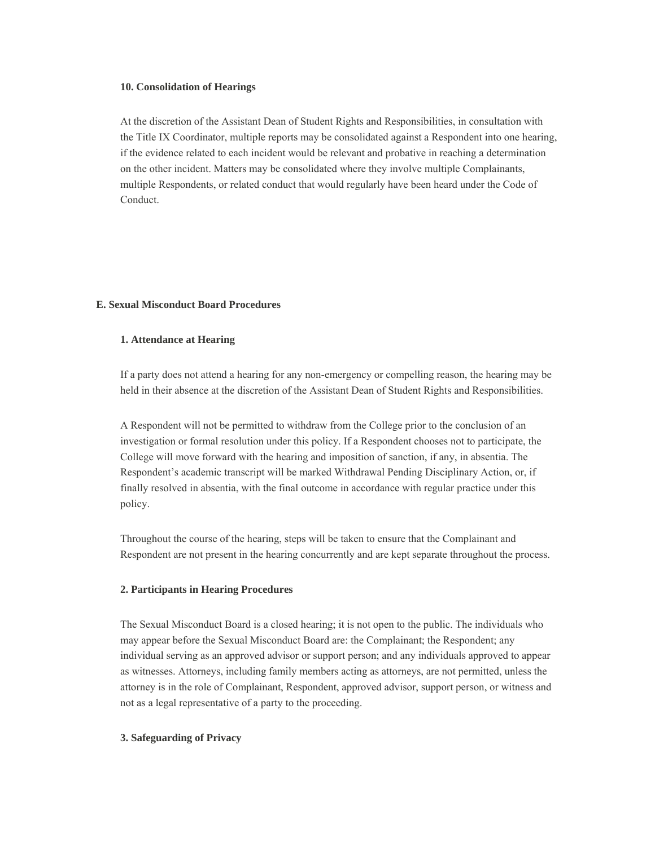#### **10. Consolidation of Hearings**

At the discretion of the Assistant Dean of Student Rights and Responsibilities, in consultation with the Title IX Coordinator, multiple reports may be consolidated against a Respondent into one hearing, if the evidence related to each incident would be relevant and probative in reaching a determination on the other incident. Matters may be consolidated where they involve multiple Complainants, multiple Respondents, or related conduct that would regularly have been heard under the Code of Conduct.

#### **E. Sexual Misconduct Board Procedures**

#### **1. Attendance at Hearing**

If a party does not attend a hearing for any non-emergency or compelling reason, the hearing may be held in their absence at the discretion of the Assistant Dean of Student Rights and Responsibilities.

A Respondent will not be permitted to withdraw from the College prior to the conclusion of an investigation or formal resolution under this policy. If a Respondent chooses not to participate, the College will move forward with the hearing and imposition of sanction, if any, in absentia. The Respondent's academic transcript will be marked Withdrawal Pending Disciplinary Action, or, if finally resolved in absentia, with the final outcome in accordance with regular practice under this policy.

Throughout the course of the hearing, steps will be taken to ensure that the Complainant and Respondent are not present in the hearing concurrently and are kept separate throughout the process.

#### **2. Participants in Hearing Procedures**

The Sexual Misconduct Board is a closed hearing; it is not open to the public. The individuals who may appear before the Sexual Misconduct Board are: the Complainant; the Respondent; any individual serving as an approved advisor or support person; and any individuals approved to appear as witnesses. Attorneys, including family members acting as attorneys, are not permitted, unless the attorney is in the role of Complainant, Respondent, approved advisor, support person, or witness and not as a legal representative of a party to the proceeding.

#### **3. Safeguarding of Privacy**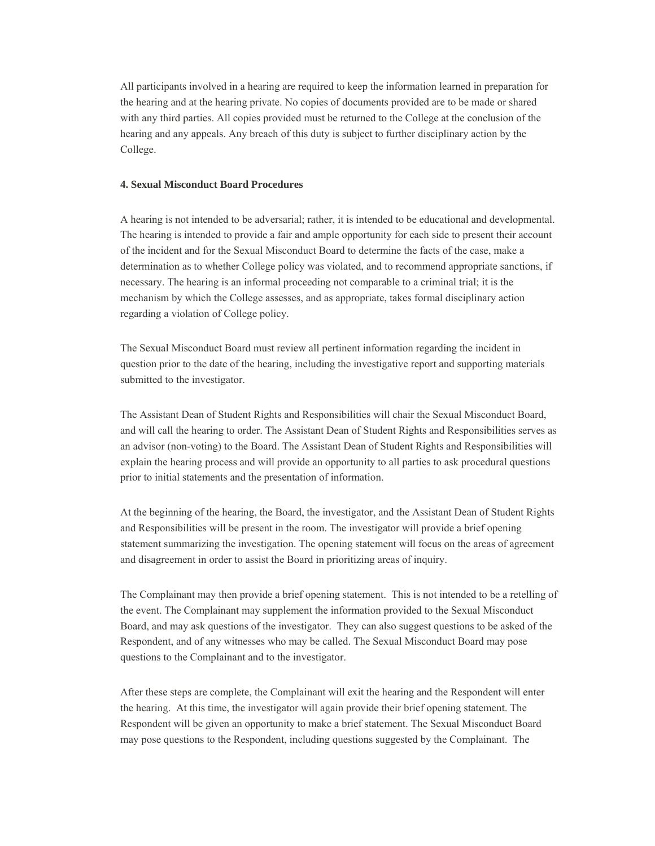All participants involved in a hearing are required to keep the information learned in preparation for the hearing and at the hearing private. No copies of documents provided are to be made or shared with any third parties. All copies provided must be returned to the College at the conclusion of the hearing and any appeals. Any breach of this duty is subject to further disciplinary action by the College.

#### **4. Sexual Misconduct Board Procedures**

A hearing is not intended to be adversarial; rather, it is intended to be educational and developmental. The hearing is intended to provide a fair and ample opportunity for each side to present their account of the incident and for the Sexual Misconduct Board to determine the facts of the case, make a determination as to whether College policy was violated, and to recommend appropriate sanctions, if necessary. The hearing is an informal proceeding not comparable to a criminal trial; it is the mechanism by which the College assesses, and as appropriate, takes formal disciplinary action regarding a violation of College policy.

The Sexual Misconduct Board must review all pertinent information regarding the incident in question prior to the date of the hearing, including the investigative report and supporting materials submitted to the investigator.

The Assistant Dean of Student Rights and Responsibilities will chair the Sexual Misconduct Board, and will call the hearing to order. The Assistant Dean of Student Rights and Responsibilities serves as an advisor (non-voting) to the Board. The Assistant Dean of Student Rights and Responsibilities will explain the hearing process and will provide an opportunity to all parties to ask procedural questions prior to initial statements and the presentation of information.

At the beginning of the hearing, the Board, the investigator, and the Assistant Dean of Student Rights and Responsibilities will be present in the room. The investigator will provide a brief opening statement summarizing the investigation. The opening statement will focus on the areas of agreement and disagreement in order to assist the Board in prioritizing areas of inquiry.

The Complainant may then provide a brief opening statement. This is not intended to be a retelling of the event. The Complainant may supplement the information provided to the Sexual Misconduct Board, and may ask questions of the investigator. They can also suggest questions to be asked of the Respondent, and of any witnesses who may be called. The Sexual Misconduct Board may pose questions to the Complainant and to the investigator.

After these steps are complete, the Complainant will exit the hearing and the Respondent will enter the hearing. At this time, the investigator will again provide their brief opening statement. The Respondent will be given an opportunity to make a brief statement. The Sexual Misconduct Board may pose questions to the Respondent, including questions suggested by the Complainant. The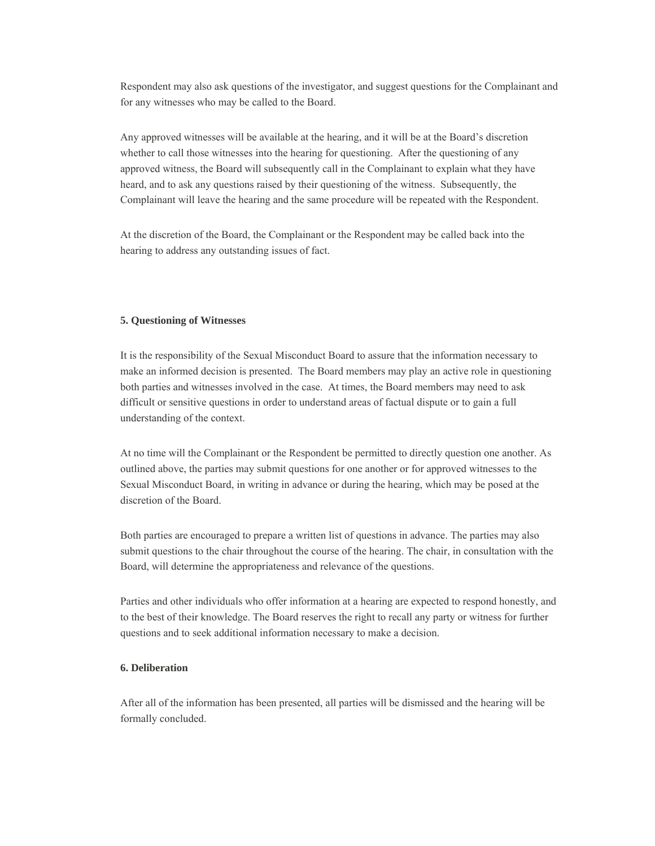Respondent may also ask questions of the investigator, and suggest questions for the Complainant and for any witnesses who may be called to the Board.

Any approved witnesses will be available at the hearing, and it will be at the Board's discretion whether to call those witnesses into the hearing for questioning. After the questioning of any approved witness, the Board will subsequently call in the Complainant to explain what they have heard, and to ask any questions raised by their questioning of the witness. Subsequently, the Complainant will leave the hearing and the same procedure will be repeated with the Respondent.

At the discretion of the Board, the Complainant or the Respondent may be called back into the hearing to address any outstanding issues of fact.

#### **5. Questioning of Witnesses**

It is the responsibility of the Sexual Misconduct Board to assure that the information necessary to make an informed decision is presented. The Board members may play an active role in questioning both parties and witnesses involved in the case. At times, the Board members may need to ask difficult or sensitive questions in order to understand areas of factual dispute or to gain a full understanding of the context.

At no time will the Complainant or the Respondent be permitted to directly question one another. As outlined above, the parties may submit questions for one another or for approved witnesses to the Sexual Misconduct Board, in writing in advance or during the hearing, which may be posed at the discretion of the Board.

Both parties are encouraged to prepare a written list of questions in advance. The parties may also submit questions to the chair throughout the course of the hearing. The chair, in consultation with the Board, will determine the appropriateness and relevance of the questions.

Parties and other individuals who offer information at a hearing are expected to respond honestly, and to the best of their knowledge. The Board reserves the right to recall any party or witness for further questions and to seek additional information necessary to make a decision.

#### **6. Deliberation**

After all of the information has been presented, all parties will be dismissed and the hearing will be formally concluded.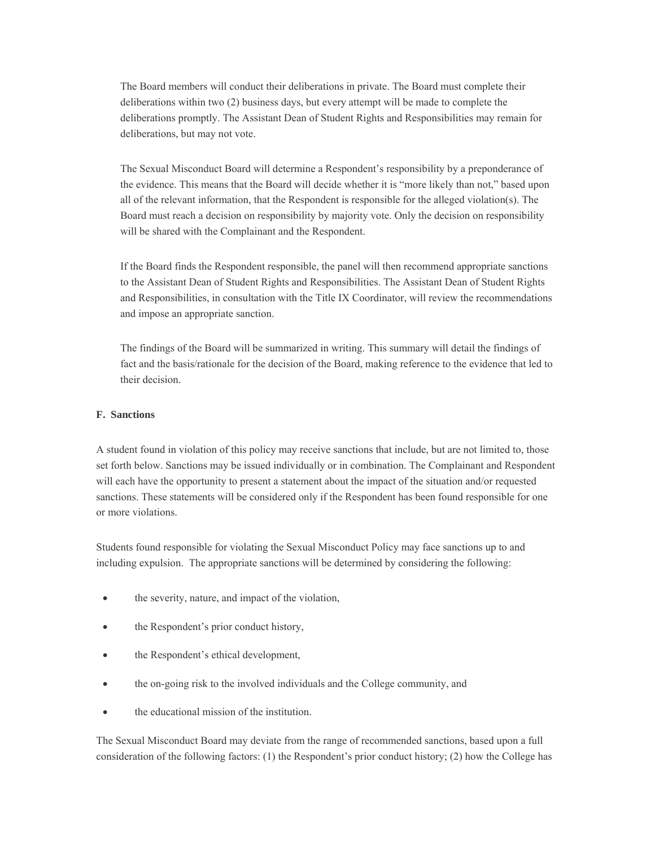The Board members will conduct their deliberations in private. The Board must complete their deliberations within two (2) business days, but every attempt will be made to complete the deliberations promptly. The Assistant Dean of Student Rights and Responsibilities may remain for deliberations, but may not vote.

The Sexual Misconduct Board will determine a Respondent's responsibility by a preponderance of the evidence. This means that the Board will decide whether it is "more likely than not," based upon all of the relevant information, that the Respondent is responsible for the alleged violation(s). The Board must reach a decision on responsibility by majority vote. Only the decision on responsibility will be shared with the Complainant and the Respondent.

If the Board finds the Respondent responsible, the panel will then recommend appropriate sanctions to the Assistant Dean of Student Rights and Responsibilities. The Assistant Dean of Student Rights and Responsibilities, in consultation with the Title IX Coordinator, will review the recommendations and impose an appropriate sanction.

The findings of the Board will be summarized in writing. This summary will detail the findings of fact and the basis/rationale for the decision of the Board, making reference to the evidence that led to their decision.

#### **F. Sanctions**

A student found in violation of this policy may receive sanctions that include, but are not limited to, those set forth below. Sanctions may be issued individually or in combination. The Complainant and Respondent will each have the opportunity to present a statement about the impact of the situation and/or requested sanctions. These statements will be considered only if the Respondent has been found responsible for one or more violations.

Students found responsible for violating the Sexual Misconduct Policy may face sanctions up to and including expulsion. The appropriate sanctions will be determined by considering the following:

- the severity, nature, and impact of the violation,
- the Respondent's prior conduct history,
- the Respondent's ethical development,
- the on-going risk to the involved individuals and the College community, and
- the educational mission of the institution.

The Sexual Misconduct Board may deviate from the range of recommended sanctions, based upon a full consideration of the following factors: (1) the Respondent's prior conduct history; (2) how the College has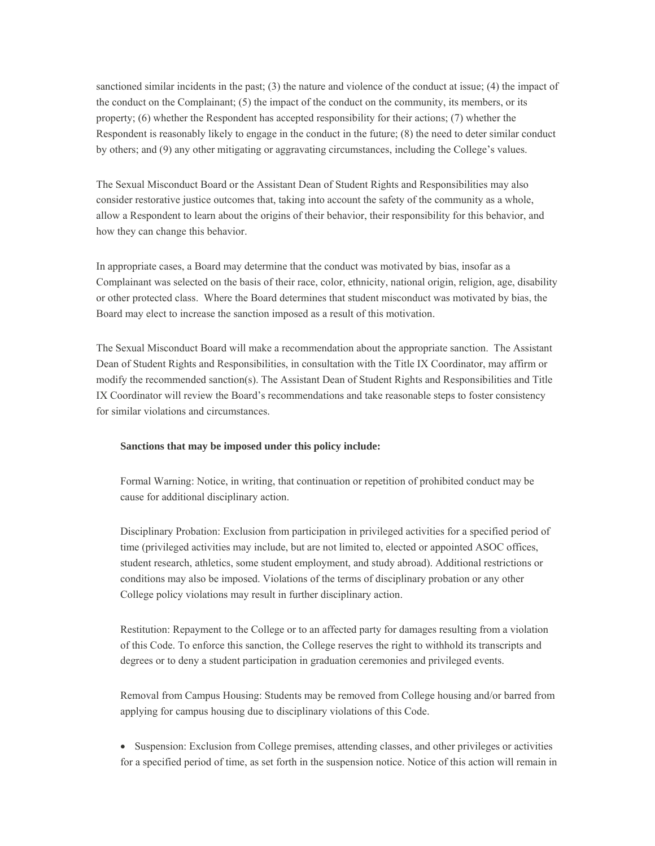sanctioned similar incidents in the past; (3) the nature and violence of the conduct at issue; (4) the impact of the conduct on the Complainant; (5) the impact of the conduct on the community, its members, or its property; (6) whether the Respondent has accepted responsibility for their actions; (7) whether the Respondent is reasonably likely to engage in the conduct in the future; (8) the need to deter similar conduct by others; and (9) any other mitigating or aggravating circumstances, including the College's values.

The Sexual Misconduct Board or the Assistant Dean of Student Rights and Responsibilities may also consider restorative justice outcomes that, taking into account the safety of the community as a whole, allow a Respondent to learn about the origins of their behavior, their responsibility for this behavior, and how they can change this behavior.

In appropriate cases, a Board may determine that the conduct was motivated by bias, insofar as a Complainant was selected on the basis of their race, color, ethnicity, national origin, religion, age, disability or other protected class. Where the Board determines that student misconduct was motivated by bias, the Board may elect to increase the sanction imposed as a result of this motivation.

The Sexual Misconduct Board will make a recommendation about the appropriate sanction. The Assistant Dean of Student Rights and Responsibilities, in consultation with the Title IX Coordinator, may affirm or modify the recommended sanction(s). The Assistant Dean of Student Rights and Responsibilities and Title IX Coordinator will review the Board's recommendations and take reasonable steps to foster consistency for similar violations and circumstances.

#### **Sanctions that may be imposed under this policy include:**

Formal Warning: Notice, in writing, that continuation or repetition of prohibited conduct may be cause for additional disciplinary action.

Disciplinary Probation: Exclusion from participation in privileged activities for a specified period of time (privileged activities may include, but are not limited to, elected or appointed ASOC offices, student research, athletics, some student employment, and study abroad). Additional restrictions or conditions may also be imposed. Violations of the terms of disciplinary probation or any other College policy violations may result in further disciplinary action.

Restitution: Repayment to the College or to an affected party for damages resulting from a violation of this Code. To enforce this sanction, the College reserves the right to withhold its transcripts and degrees or to deny a student participation in graduation ceremonies and privileged events.

Removal from Campus Housing: Students may be removed from College housing and/or barred from applying for campus housing due to disciplinary violations of this Code.

 Suspension: Exclusion from College premises, attending classes, and other privileges or activities for a specified period of time, as set forth in the suspension notice. Notice of this action will remain in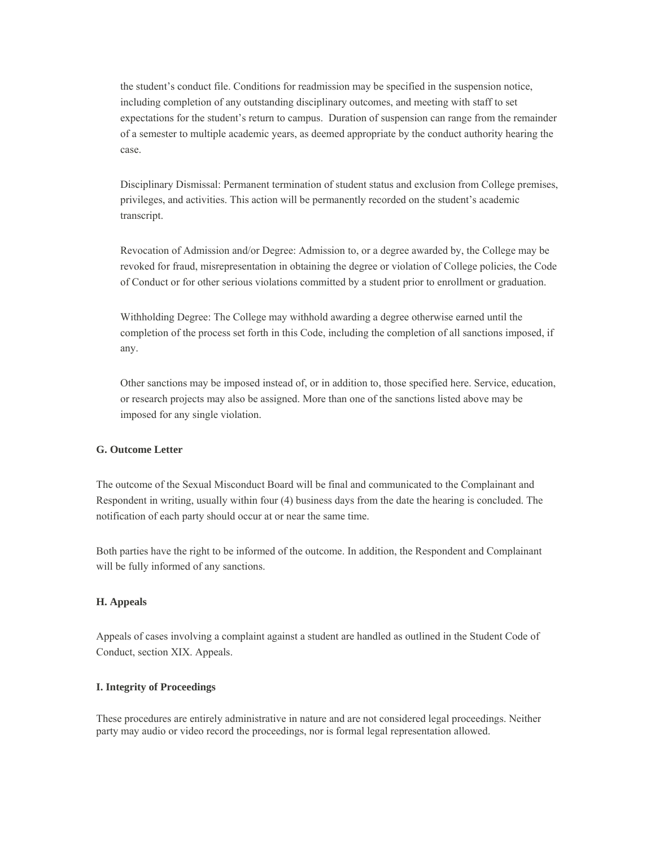the student's conduct file. Conditions for readmission may be specified in the suspension notice, including completion of any outstanding disciplinary outcomes, and meeting with staff to set expectations for the student's return to campus. Duration of suspension can range from the remainder of a semester to multiple academic years, as deemed appropriate by the conduct authority hearing the case.

Disciplinary Dismissal: Permanent termination of student status and exclusion from College premises, privileges, and activities. This action will be permanently recorded on the student's academic transcript.

Revocation of Admission and/or Degree: Admission to, or a degree awarded by, the College may be revoked for fraud, misrepresentation in obtaining the degree or violation of College policies, the Code of Conduct or for other serious violations committed by a student prior to enrollment or graduation.

Withholding Degree: The College may withhold awarding a degree otherwise earned until the completion of the process set forth in this Code, including the completion of all sanctions imposed, if any.

Other sanctions may be imposed instead of, or in addition to, those specified here. Service, education, or research projects may also be assigned. More than one of the sanctions listed above may be imposed for any single violation.

#### **G. Outcome Letter**

The outcome of the Sexual Misconduct Board will be final and communicated to the Complainant and Respondent in writing, usually within four (4) business days from the date the hearing is concluded. The notification of each party should occur at or near the same time.

Both parties have the right to be informed of the outcome. In addition, the Respondent and Complainant will be fully informed of any sanctions.

#### **H. Appeals**

Appeals of cases involving a complaint against a student are handled as outlined in the Student Code of Conduct, section XIX. Appeals.

#### **I. Integrity of Proceedings**

These procedures are entirely administrative in nature and are not considered legal proceedings. Neither party may audio or video record the proceedings, nor is formal legal representation allowed.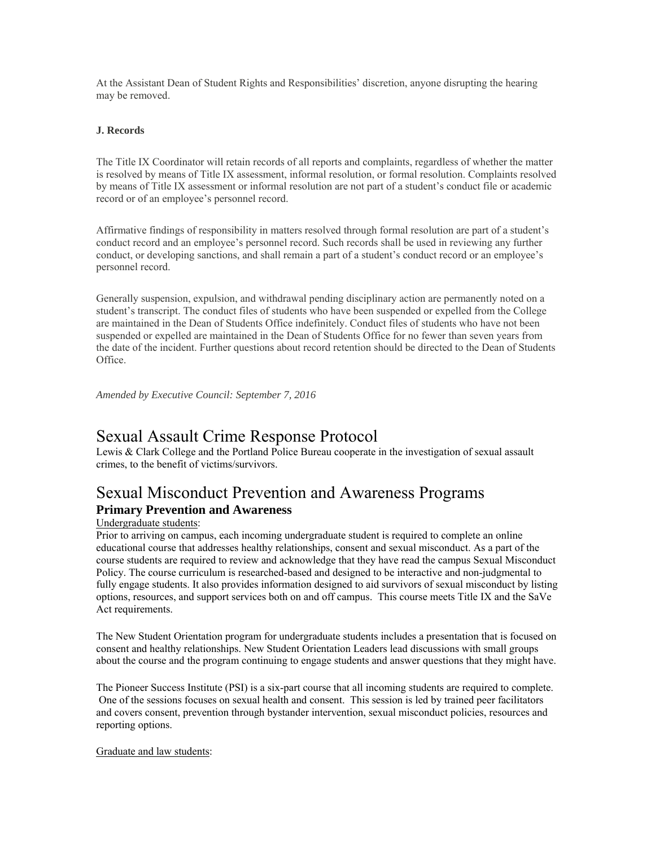At the Assistant Dean of Student Rights and Responsibilities' discretion, anyone disrupting the hearing may be removed.

#### **J. Records**

The Title IX Coordinator will retain records of all reports and complaints, regardless of whether the matter is resolved by means of Title IX assessment, informal resolution, or formal resolution. Complaints resolved by means of Title IX assessment or informal resolution are not part of a student's conduct file or academic record or of an employee's personnel record.

Affirmative findings of responsibility in matters resolved through formal resolution are part of a student's conduct record and an employee's personnel record. Such records shall be used in reviewing any further conduct, or developing sanctions, and shall remain a part of a student's conduct record or an employee's personnel record.

Generally suspension, expulsion, and withdrawal pending disciplinary action are permanently noted on a student's transcript. The conduct files of students who have been suspended or expelled from the College are maintained in the Dean of Students Office indefinitely. Conduct files of students who have not been suspended or expelled are maintained in the Dean of Students Office for no fewer than seven years from the date of the incident. Further questions about record retention should be directed to the Dean of Students Office.

*Amended by Executive Council: September 7, 2016* 

### Sexual Assault Crime Response Protocol

Lewis & Clark College and the Portland Police Bureau cooperate in the investigation of sexual assault crimes, to the benefit of victims/survivors.

### Sexual Misconduct Prevention and Awareness Programs

### **Primary Prevention and Awareness**

#### Undergraduate students:

Prior to arriving on campus, each incoming undergraduate student is required to complete an online educational course that addresses healthy relationships, consent and sexual misconduct. As a part of the course students are required to review and acknowledge that they have read the campus Sexual Misconduct Policy. The course curriculum is researched-based and designed to be interactive and non-judgmental to fully engage students. It also provides information designed to aid survivors of sexual misconduct by listing options, resources, and support services both on and off campus. This course meets Title IX and the SaVe Act requirements.

The New Student Orientation program for undergraduate students includes a presentation that is focused on consent and healthy relationships. New Student Orientation Leaders lead discussions with small groups about the course and the program continuing to engage students and answer questions that they might have.

The Pioneer Success Institute (PSI) is a six-part course that all incoming students are required to complete. One of the sessions focuses on sexual health and consent. This session is led by trained peer facilitators and covers consent, prevention through bystander intervention, sexual misconduct policies, resources and reporting options.

Graduate and law students: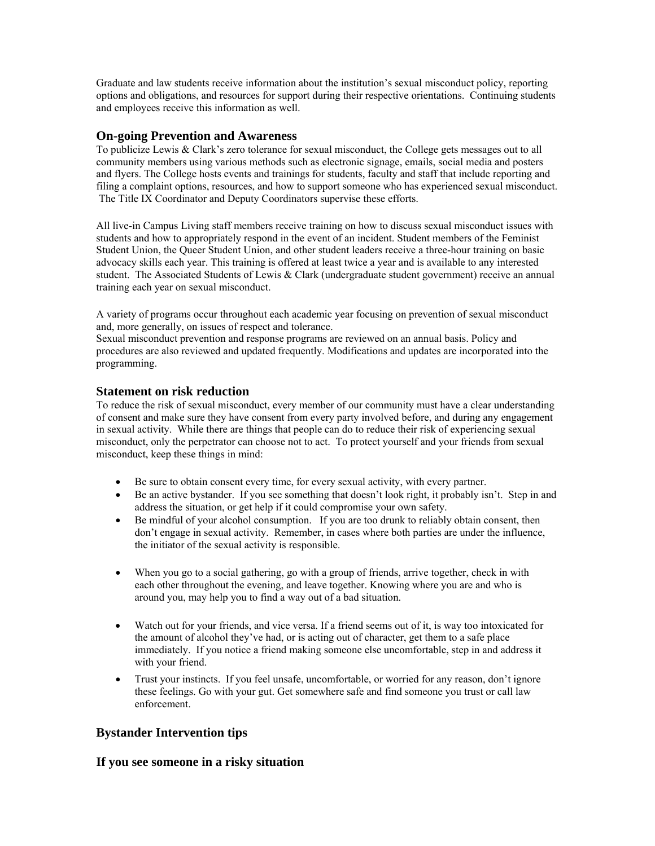Graduate and law students receive information about the institution's sexual misconduct policy, reporting options and obligations, and resources for support during their respective orientations. Continuing students and employees receive this information as well.

#### **On-going Prevention and Awareness**

To publicize Lewis & Clark's zero tolerance for sexual misconduct, the College gets messages out to all community members using various methods such as electronic signage, emails, social media and posters and flyers. The College hosts events and trainings for students, faculty and staff that include reporting and filing a complaint options, resources, and how to support someone who has experienced sexual misconduct. The Title IX Coordinator and Deputy Coordinators supervise these efforts.

All live-in Campus Living staff members receive training on how to discuss sexual misconduct issues with students and how to appropriately respond in the event of an incident. Student members of the Feminist Student Union, the Queer Student Union, and other student leaders receive a three-hour training on basic advocacy skills each year. This training is offered at least twice a year and is available to any interested student. The Associated Students of Lewis & Clark (undergraduate student government) receive an annual training each year on sexual misconduct.

A variety of programs occur throughout each academic year focusing on prevention of sexual misconduct and, more generally, on issues of respect and tolerance.

Sexual misconduct prevention and response programs are reviewed on an annual basis. Policy and procedures are also reviewed and updated frequently. Modifications and updates are incorporated into the programming.

**Statement on risk reduction**<br>To reduce the risk of sexual misconduct, every member of our community must have a clear understanding of consent and make sure they have consent from every party involved before, and during any engagement in sexual activity. While there are things that people can do to reduce their risk of experiencing sexual misconduct, only the perpetrator can choose not to act. To protect yourself and your friends from sexual misconduct, keep these things in mind:

- Be sure to obtain consent every time, for every sexual activity, with every partner.
- Be an active bystander. If you see something that doesn't look right, it probably isn't. Step in and address the situation, or get help if it could compromise your own safety.
- Be mindful of your alcohol consumption. If you are too drunk to reliably obtain consent, then don't engage in sexual activity. Remember, in cases where both parties are under the influence, the initiator of the sexual activity is responsible.
- When you go to a social gathering, go with a group of friends, arrive together, check in with each other throughout the evening, and leave together. Knowing where you are and who is around you, may help you to find a way out of a bad situation.
- Watch out for your friends, and vice versa. If a friend seems out of it, is way too intoxicated for the amount of alcohol they've had, or is acting out of character, get them to a safe place immediately. If you notice a friend making someone else uncomfortable, step in and address it with your friend.
- Trust your instincts. If you feel unsafe, uncomfortable, or worried for any reason, don't ignore these feelings. Go with your gut. Get somewhere safe and find someone you trust or call law enforcement.

#### **Bystander Intervention tips**

#### **If you see someone in a risky situation**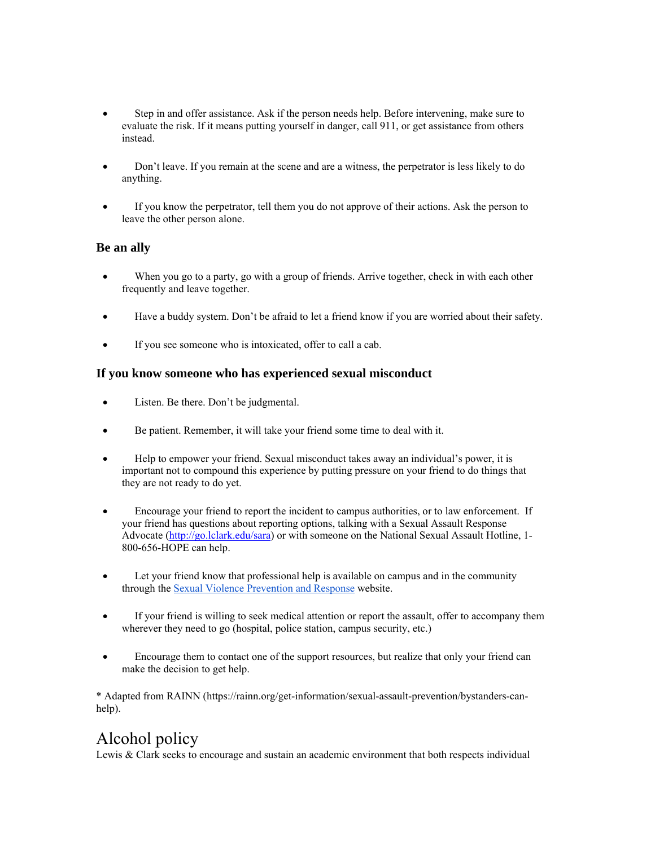- Step in and offer assistance. Ask if the person needs help. Before intervening, make sure to evaluate the risk. If it means putting yourself in danger, call 911, or get assistance from others instead.
- Don't leave. If you remain at the scene and are a witness, the perpetrator is less likely to do anything.
- If you know the perpetrator, tell them you do not approve of their actions. Ask the person to leave the other person alone.

#### **Be an ally**

- When you go to a party, go with a group of friends. Arrive together, check in with each other frequently and leave together.
- Have a buddy system. Don't be afraid to let a friend know if you are worried about their safety.
- If you see someone who is intoxicated, offer to call a cab.

#### **If you know someone who has experienced sexual misconduct**

- Listen. Be there. Don't be judgmental.
- Be patient. Remember, it will take your friend some time to deal with it.
- Help to empower your friend. Sexual misconduct takes away an individual's power, it is important not to compound this experience by putting pressure on your friend to do things that they are not ready to do yet.
- Encourage your friend to report the incident to campus authorities, or to law enforcement. If your friend has questions about reporting options, talking with a Sexual Assault Response Advocate (http://go.lclark.edu/sara) or with someone on the National Sexual Assault Hotline, 1- 800-656-HOPE can help.
- Let your friend know that professional help is available on campus and in the community through the Sexual Violence Prevention and Response website.
- If your friend is willing to seek medical attention or report the assault, offer to accompany them wherever they need to go (hospital, police station, campus security, etc.)
- Encourage them to contact one of the support resources, but realize that only your friend can make the decision to get help.

\* Adapted from RAINN (https://rainn.org/get-information/sexual-assault-prevention/bystanders-canhelp).

### Alcohol policy

Lewis & Clark seeks to encourage and sustain an academic environment that both respects individual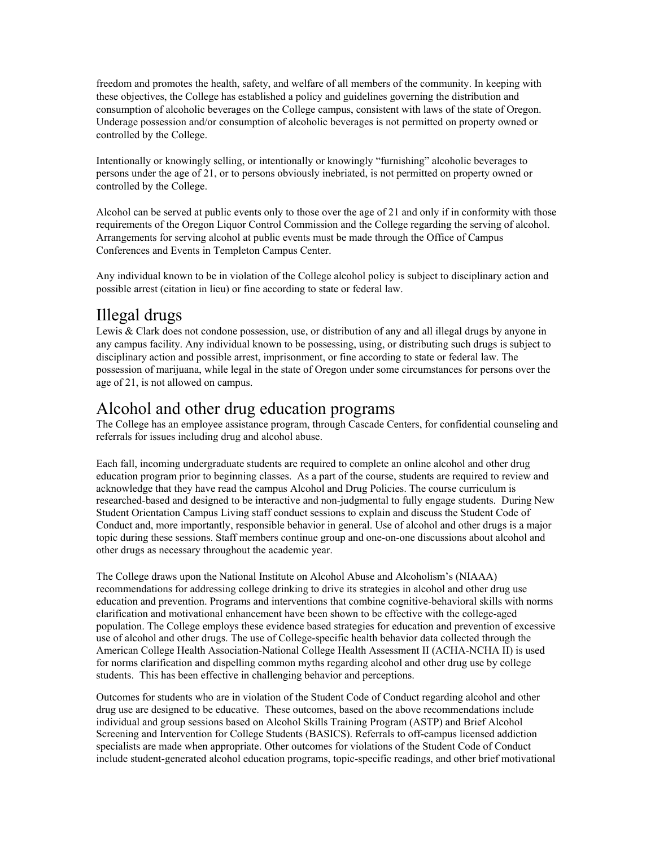freedom and promotes the health, safety, and welfare of all members of the community. In keeping with these objectives, the College has established a policy and guidelines governing the distribution and consumption of alcoholic beverages on the College campus, consistent with laws of the state of Oregon. Underage possession and/or consumption of alcoholic beverages is not permitted on property owned or controlled by the College.

Intentionally or knowingly selling, or intentionally or knowingly "furnishing" alcoholic beverages to persons under the age of 21, or to persons obviously inebriated, is not permitted on property owned or controlled by the College.

Alcohol can be served at public events only to those over the age of 21 and only if in conformity with those requirements of the Oregon Liquor Control Commission and the College regarding the serving of alcohol. Arrangements for serving alcohol at public events must be made through the Office of Campus Conferences and Events in Templeton Campus Center.

Any individual known to be in violation of the College alcohol policy is subject to disciplinary action and possible arrest (citation in lieu) or fine according to state or federal law.

### Illegal drugs

Lewis & Clark does not condone possession, use, or distribution of any and all illegal drugs by anyone in any campus facility. Any individual known to be possessing, using, or distributing such drugs is subject to disciplinary action and possible arrest, imprisonment, or fine according to state or federal law. The possession of marijuana, while legal in the state of Oregon under some circumstances for persons over the age of 21, is not allowed on campus.

### Alcohol and other drug education programs

The College has an employee assistance program, through Cascade Centers, for confidential counseling and referrals for issues including drug and alcohol abuse.

Each fall, incoming undergraduate students are required to complete an online alcohol and other drug education program prior to beginning classes. As a part of the course, students are required to review and acknowledge that they have read the campus Alcohol and Drug Policies. The course curriculum is researched-based and designed to be interactive and non-judgmental to fully engage students. During New Student Orientation Campus Living staff conduct sessions to explain and discuss the Student Code of Conduct and, more importantly, responsible behavior in general. Use of alcohol and other drugs is a major topic during these sessions. Staff members continue group and one-on-one discussions about alcohol and other drugs as necessary throughout the academic year.

The College draws upon the National Institute on Alcohol Abuse and Alcoholism's (NIAAA) recommendations for addressing college drinking to drive its strategies in alcohol and other drug use education and prevention. Programs and interventions that combine cognitive-behavioral skills with norms clarification and motivational enhancement have been shown to be effective with the college-aged population. The College employs these evidence based strategies for education and prevention of excessive use of alcohol and other drugs. The use of College-specific health behavior data collected through the American College Health Association-National College Health Assessment II (ACHA-NCHA II) is used for norms clarification and dispelling common myths regarding alcohol and other drug use by college students. This has been effective in challenging behavior and perceptions.

Outcomes for students who are in violation of the Student Code of Conduct regarding alcohol and other drug use are designed to be educative. These outcomes, based on the above recommendations include individual and group sessions based on Alcohol Skills Training Program (ASTP) and Brief Alcohol Screening and Intervention for College Students (BASICS). Referrals to off-campus licensed addiction specialists are made when appropriate. Other outcomes for violations of the Student Code of Conduct include student-generated alcohol education programs, topic-specific readings, and other brief motivational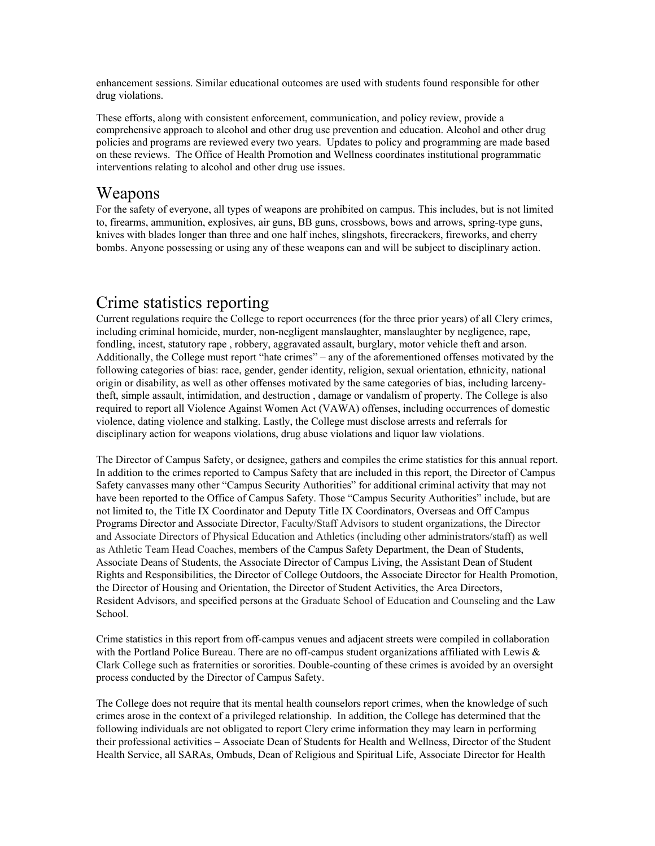enhancement sessions. Similar educational outcomes are used with students found responsible for other drug violations.

These efforts, along with consistent enforcement, communication, and policy review, provide a comprehensive approach to alcohol and other drug use prevention and education. Alcohol and other drug policies and programs are reviewed every two years. Updates to policy and programming are made based on these reviews. The Office of Health Promotion and Wellness coordinates institutional programmatic interventions relating to alcohol and other drug use issues.

### Weapons

For the safety of everyone, all types of weapons are prohibited on campus. This includes, but is not limited to, firearms, ammunition, explosives, air guns, BB guns, crossbows, bows and arrows, spring-type guns, knives with blades longer than three and one half inches, slingshots, firecrackers, fireworks, and cherry bombs. Anyone possessing or using any of these weapons can and will be subject to disciplinary action.

### Crime statistics reporting

Current regulations require the College to report occurrences (for the three prior years) of all Clery crimes, including criminal homicide, murder, non-negligent manslaughter, manslaughter by negligence, rape, fondling, incest, statutory rape , robbery, aggravated assault, burglary, motor vehicle theft and arson. Additionally, the College must report "hate crimes" – any of the aforementioned offenses motivated by the following categories of bias: race, gender, gender identity, religion, sexual orientation, ethnicity, national origin or disability, as well as other offenses motivated by the same categories of bias, including larcenytheft, simple assault, intimidation, and destruction , damage or vandalism of property. The College is also required to report all Violence Against Women Act (VAWA) offenses, including occurrences of domestic violence, dating violence and stalking. Lastly, the College must disclose arrests and referrals for disciplinary action for weapons violations, drug abuse violations and liquor law violations.

The Director of Campus Safety, or designee, gathers and compiles the crime statistics for this annual report. In addition to the crimes reported to Campus Safety that are included in this report, the Director of Campus Safety canvasses many other "Campus Security Authorities" for additional criminal activity that may not have been reported to the Office of Campus Safety. Those "Campus Security Authorities" include, but are not limited to, the Title IX Coordinator and Deputy Title IX Coordinators, Overseas and Off Campus Programs Director and Associate Director, Faculty/Staff Advisors to student organizations, the Director and Associate Directors of Physical Education and Athletics (including other administrators/staff) as well as Athletic Team Head Coaches, members of the Campus Safety Department, the Dean of Students, Associate Deans of Students, the Associate Director of Campus Living, the Assistant Dean of Student Rights and Responsibilities, the Director of College Outdoors, the Associate Director for Health Promotion, the Director of Housing and Orientation, the Director of Student Activities, the Area Directors, Resident Advisors, and specified persons at the Graduate School of Education and Counseling and the Law School.

Crime statistics in this report from off-campus venues and adjacent streets were compiled in collaboration with the Portland Police Bureau. There are no off-campus student organizations affiliated with Lewis  $\&$ Clark College such as fraternities or sororities. Double-counting of these crimes is avoided by an oversight process conducted by the Director of Campus Safety.

The College does not require that its mental health counselors report crimes, when the knowledge of such crimes arose in the context of a privileged relationship. In addition, the College has determined that the following individuals are not obligated to report Clery crime information they may learn in performing their professional activities – Associate Dean of Students for Health and Wellness, Director of the Student Health Service, all SARAs, Ombuds, Dean of Religious and Spiritual Life, Associate Director for Health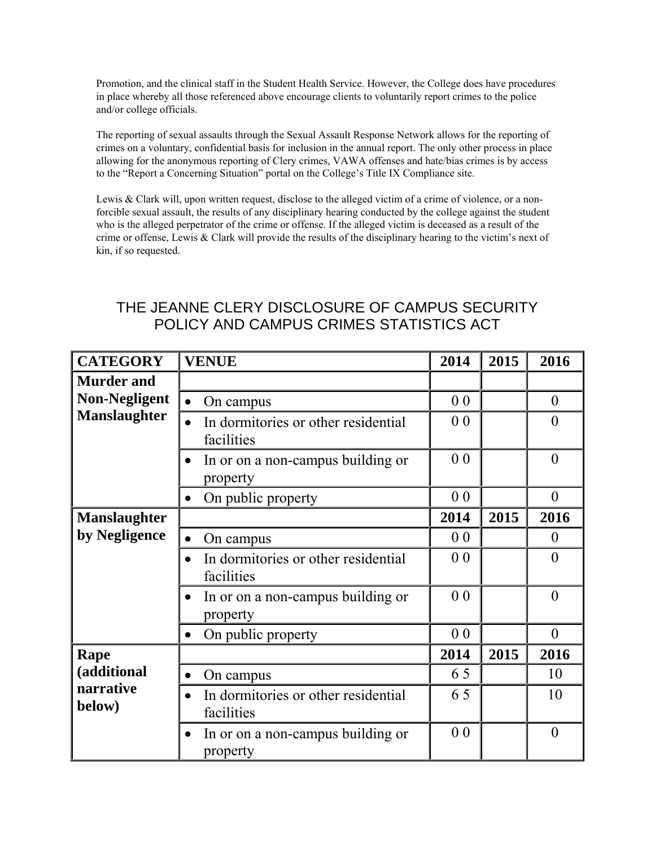Promotion, and the clinical staff in the Student Health Service. However, the College does have procedures in place whereby all those referenced above encourage clients to voluntarily report crimes to the police and/or college officials.

The reporting of sexual assaults through the Sexual Assault Response Network allows for the reporting of crimes on a voluntary, confidential basis for inclusion in the annual report. The only other process in place allowing for the anonymous reporting of Clery crimes, VAWA offenses and hate/bias crimes is by access to the "Report a Concerning Situation" portal on the College's Title IX Compliance site.

Lewis & Clark will, upon written request, disclose to the alleged victim of a crime of violence, or a nonforcible sexual assault, the results of any disciplinary hearing conducted by the college against the student who is the alleged perpetrator of the crime or offense. If the alleged victim is deceased as a result of the crime or offense, Lewis & Clark will provide the results of the disciplinary hearing to the victim's next of kin, if so requested.

| <b>CATEGORY</b>                                   | <b>VENUE</b>                                               | 2014           | 2015 | 2016             |
|---------------------------------------------------|------------------------------------------------------------|----------------|------|------------------|
| <b>Murder and</b>                                 |                                                            |                |      |                  |
| <b>Non-Negligent</b>                              | On campus<br>$\bullet$                                     | 0 <sub>0</sub> |      | $\theta$         |
| <b>Manslaughter</b>                               | In dormitories or other residential<br>facilities          | 0 <sub>0</sub> |      | $\theta$         |
|                                                   | In or on a non-campus building or<br>property              | 0 <sub>0</sub> |      | $\overline{0}$   |
|                                                   | On public property<br>$\bullet$                            | 0 <sub>0</sub> |      | $\overline{0}$   |
| <b>Manslaughter</b>                               |                                                            | 2014           | 2015 | 2016             |
| by Negligence                                     | On campus<br>$\bullet$                                     | 0 <sub>0</sub> |      | $\boldsymbol{0}$ |
| In dormitories or other residential<br>facilities |                                                            | 0 <sub>0</sub> |      | $\theta$         |
|                                                   | In or on a non-campus building or<br>$\bullet$<br>property |                |      | $\theta$         |
|                                                   | On public property                                         | 0 <sub>0</sub> |      | $\overline{0}$   |
| Rape                                              |                                                            | 2014           | 2015 | 2016             |
| (additional                                       | On campus<br>$\bullet$                                     | 65             |      | 10               |
| narrative<br>below)                               | In dormitories or other residential<br>facilities          | 65             |      | 10               |
|                                                   | In or on a non-campus building or<br>property              | 0 <sub>0</sub> |      | $\overline{0}$   |

### THE JEANNE CLERY DISCLOSURE OF CAMPUS SECURITY POLICY AND CAMPUS CRIMES STATISTICS ACT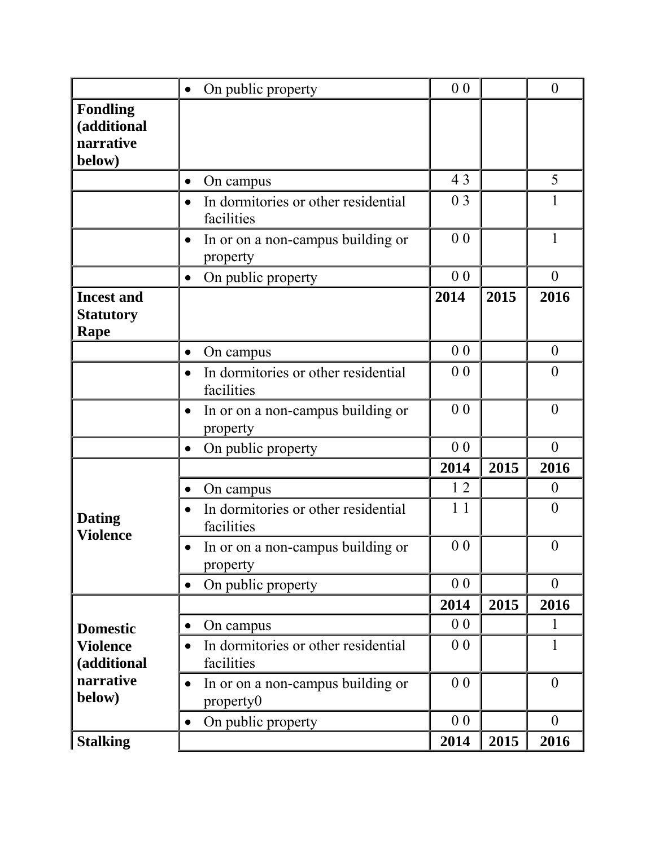|                                                       | On public property<br>$\bullet$                                | 0 <sub>0</sub> |      | $\boldsymbol{0}$ |
|-------------------------------------------------------|----------------------------------------------------------------|----------------|------|------------------|
| <b>Fondling</b><br>(additional<br>narrative<br>below) |                                                                |                |      |                  |
|                                                       | On campus<br>$\bullet$                                         | 43             |      | 5                |
|                                                       | In dormitories or other residential<br>$\bullet$<br>facilities | 0 3            |      | 1                |
|                                                       | In or on a non-campus building or<br>$\bullet$<br>property     | 0 <sub>0</sub> |      | 1                |
|                                                       | On public property<br>$\bullet$                                | 0 <sub>0</sub> |      | $\overline{0}$   |
| <b>Incest and</b><br><b>Statutory</b><br>Rape         |                                                                | 2014           | 2015 | 2016             |
|                                                       | On campus<br>$\bullet$                                         | 0 <sub>0</sub> |      | $\overline{0}$   |
|                                                       | In dormitories or other residential<br>facilities              | 0 <sub>0</sub> |      | $\boldsymbol{0}$ |
|                                                       | In or on a non-campus building or<br>$\bullet$<br>property     | 0 <sub>0</sub> |      | $\boldsymbol{0}$ |
|                                                       | On public property<br>$\bullet$                                | 0 <sub>0</sub> |      | $\overline{0}$   |
|                                                       |                                                                | 2014           | 2015 | 2016             |
|                                                       | On campus<br>$\bullet$                                         | 12             |      | $\theta$         |
| <b>Dating</b><br><b>Violence</b>                      | In dormitories or other residential<br>$\bullet$<br>facilities | 11             |      | $\theta$         |
|                                                       | In or on a non-campus building or<br>$\bullet$<br>property     | 0 <sub>0</sub> |      | $\boldsymbol{0}$ |
|                                                       | On public property<br>$\bullet$                                | 0 <sub>0</sub> |      | $\overline{0}$   |
|                                                       |                                                                | 2014           | 2015 | 2016             |
| <b>Domestic</b>                                       | On campus<br>$\bullet$                                         | 0 <sub>0</sub> |      | 1                |
| <b>Violence</b><br>(additional                        | In dormitories or other residential<br>facilities              | 0 <sub>0</sub> |      | 1                |
| narrative<br>below)                                   | In or on a non-campus building or<br>$\bullet$<br>property0    | 0 <sub>0</sub> |      | $\theta$         |
|                                                       | On public property<br>$\bullet$                                | 0 <sub>0</sub> |      | $\theta$         |
| <b>Stalking</b>                                       |                                                                | 2014           | 2015 | 2016             |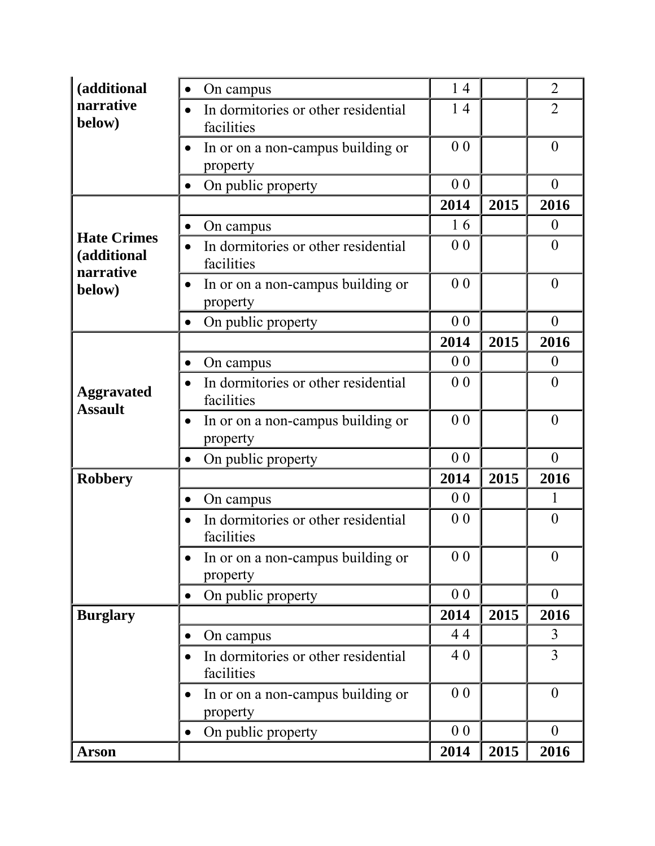| (additional                                    | On campus<br>$\bullet$                                         | 14             |      | $\overline{2}$   |  |
|------------------------------------------------|----------------------------------------------------------------|----------------|------|------------------|--|
| narrative<br>below)                            | In dormitories or other residential<br>facilities              | 14             |      | $\overline{2}$   |  |
|                                                | In or on a non-campus building or<br>property                  |                |      |                  |  |
|                                                | On public property<br>$\bullet$                                | 0 <sub>0</sub> |      | $\overline{0}$   |  |
|                                                |                                                                | 2014           | 2015 | 2016             |  |
|                                                | On campus<br>$\bullet$                                         | 16             |      | $\theta$         |  |
| <b>Hate Crimes</b><br>(additional<br>narrative | In dormitories or other residential<br>$\bullet$<br>facilities | 0 <sub>0</sub> |      | $\overline{0}$   |  |
| below)                                         | In or on a non-campus building or<br>property                  | 0 <sub>0</sub> |      | $\overline{0}$   |  |
|                                                | On public property<br>$\bullet$                                | 0 <sub>0</sub> |      | $\theta$         |  |
|                                                |                                                                | 2014           | 2015 | 2016             |  |
| <b>Aggravated</b><br><b>Assault</b>            | On campus                                                      | 0 <sub>0</sub> |      | $\overline{0}$   |  |
|                                                | In dormitories or other residential<br>facilities              | 0 <sub>0</sub> |      | $\overline{0}$   |  |
|                                                | In or on a non-campus building or<br>$\bullet$<br>property     | 0 <sub>0</sub> |      | $\overline{0}$   |  |
|                                                | On public property<br>$\bullet$                                | 0 <sub>0</sub> |      | $\theta$         |  |
| <b>Robbery</b>                                 |                                                                |                | 2015 | 2016             |  |
|                                                | On campus<br>$\bullet$                                         | 0 <sub>0</sub> |      | 1                |  |
|                                                | In dormitories or other residential<br>facilities              | 0 <sub>0</sub> |      | $\theta$         |  |
|                                                | In or on a non-campus building or<br>property                  | 0 <sub>0</sub> |      | $\mathbf{0}$     |  |
|                                                | On public property<br>$\bullet$                                | 0 <sub>0</sub> |      | $\boldsymbol{0}$ |  |
| <b>Burglary</b>                                |                                                                | 2014           | 2015 | 2016             |  |
|                                                | On campus<br>$\bullet$                                         | 44             |      | 3                |  |
|                                                | In dormitories or other residential<br>$\bullet$<br>facilities | 40             |      | $\overline{3}$   |  |
|                                                | In or on a non-campus building or<br>property                  | 0 <sub>0</sub> |      | $\theta$         |  |
|                                                | On public property<br>$\bullet$                                | 0 <sub>0</sub> |      | $\theta$         |  |
| <b>Arson</b>                                   |                                                                | 2014           | 2015 | 2016             |  |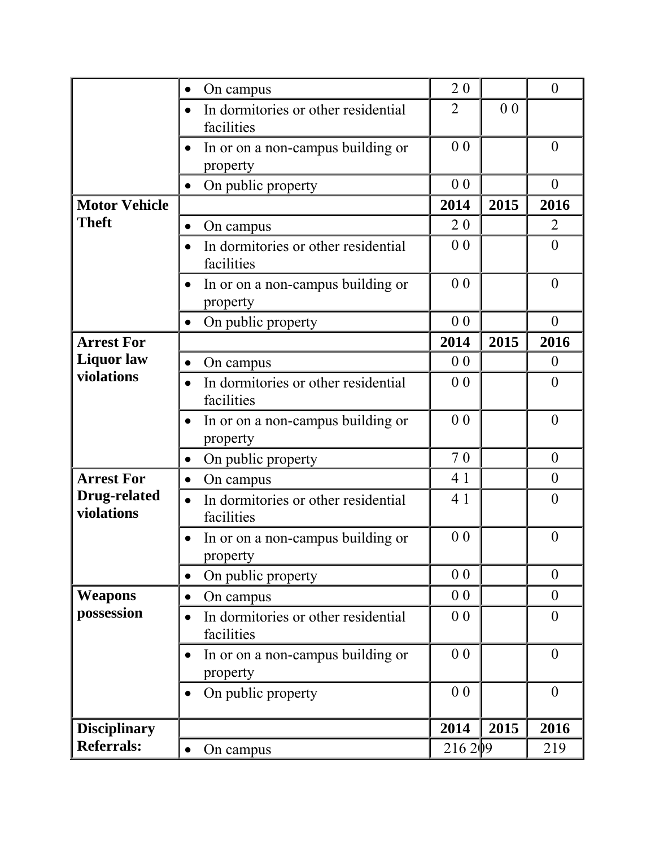|                                   | On campus<br>$\bullet$                                         | 20             |                | $\theta$         |
|-----------------------------------|----------------------------------------------------------------|----------------|----------------|------------------|
|                                   | In dormitories or other residential<br>facilities              | $\overline{2}$ | 0 <sub>0</sub> |                  |
|                                   | In or on a non-campus building or<br>property                  | 0 <sub>0</sub> |                | $\theta$         |
|                                   | On public property<br>$\bullet$                                | 0 <sub>0</sub> |                | $\boldsymbol{0}$ |
| <b>Motor Vehicle</b>              |                                                                | 2014           | 2015           | 2016             |
| <b>Theft</b>                      | On campus<br>$\bullet$                                         | 20             |                | $\overline{2}$   |
|                                   | In dormitories or other residential<br>facilities              | 0 <sub>0</sub> |                | $\overline{0}$   |
|                                   | In or on a non-campus building or<br>property                  | 0 <sub>0</sub> |                | $\overline{0}$   |
|                                   | On public property<br>$\bullet$                                | 0 <sub>0</sub> |                | $\boldsymbol{0}$ |
| <b>Arrest For</b>                 |                                                                | 2014           | 2015           | 2016             |
| <b>Liquor</b> law                 | On campus<br>$\bullet$                                         | 0 <sub>0</sub> |                | $\overline{0}$   |
| violations                        | In dormitories or other residential<br>$\bullet$<br>facilities | 0 <sub>0</sub> |                | $\theta$         |
|                                   | In or on a non-campus building or<br>property                  | 0 <sub>0</sub> |                | $\theta$         |
|                                   | On public property<br>$\bullet$                                | 70             |                | $\overline{0}$   |
| <b>Arrest For</b>                 | On campus<br>$\bullet$                                         | 4 1            |                | $\theta$         |
| <b>Drug-related</b><br>violations | In dormitories or other residential<br>$\bullet$<br>facilities | 4 1            |                | $\theta$         |
|                                   | In or on a non-campus building or<br>property                  | 0 <sub>0</sub> |                | $\boldsymbol{0}$ |
|                                   | On public property<br>$\bullet$                                | 0 <sub>0</sub> |                | $\theta$         |
| <b>Weapons</b>                    | On campus<br>$\bullet$                                         | 0 <sub>0</sub> |                | $\boldsymbol{0}$ |
| possession                        | In dormitories or other residential<br>facilities              | 0 <sub>0</sub> |                | $\overline{0}$   |
|                                   | In or on a non-campus building or<br>property                  | 0 <sub>0</sub> |                | $\overline{0}$   |
|                                   | On public property<br>$\bullet$                                | 0 <sub>0</sub> |                | $\overline{0}$   |
| <b>Disciplinary</b>               |                                                                | 2014           | 2015           | 2016             |
| <b>Referrals:</b>                 | On campus<br>$\bullet$                                         | 216209         |                | 219              |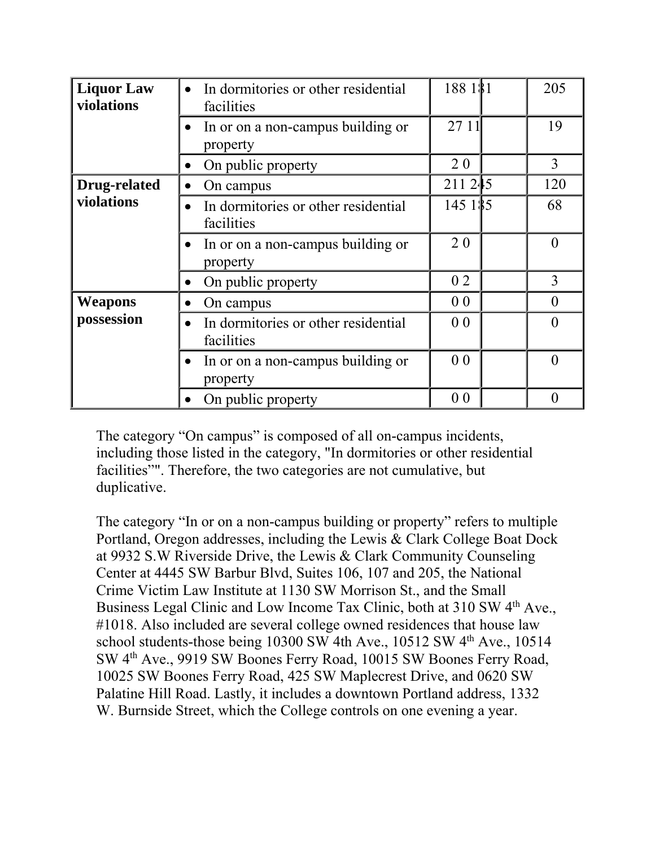| <b>Liquor Law</b><br>violations | In dormitories or other residential<br>$\bullet$<br>facilities | 188 181        | 205      |
|---------------------------------|----------------------------------------------------------------|----------------|----------|
|                                 | In or on a non-campus building or<br>property                  | 27 11          | 19       |
|                                 | On public property                                             | 20             | 3        |
| <b>Drug-related</b>             | On campus                                                      | 211 245        | 120      |
| violations                      | In dormitories or other residential<br>facilities              | 145 1\$5       | 68       |
|                                 | In or on a non-campus building or<br>property                  | 20             | $\theta$ |
|                                 | On public property<br>$\bullet$                                | 02             | 3        |
| <b>Weapons</b>                  | On campus<br>$\bullet$                                         | 0 <sub>0</sub> | $\theta$ |
| possession                      | In dormitories or other residential<br>facilities              | 0 <sub>0</sub> | $\theta$ |
|                                 | In or on a non-campus building or<br>property                  | 0 <sub>0</sub> | $\theta$ |
|                                 | On public property                                             | 0 <sub>0</sub> | $\theta$ |

The category "On campus" is composed of all on-campus incidents, including those listed in the category, "In dormitories or other residential facilities"". Therefore, the two categories are not cumulative, but duplicative.

The category "In or on a non-campus building or property" refers to multiple Portland, Oregon addresses, including the Lewis & Clark College Boat Dock at 9932 S.W Riverside Drive, the Lewis & Clark Community Counseling Center at 4445 SW Barbur Blvd, Suites 106, 107 and 205, the National Crime Victim Law Institute at 1130 SW Morrison St., and the Small Business Legal Clinic and Low Income Tax Clinic, both at 310 SW 4<sup>th</sup> Ave., #1018. Also included are several college owned residences that house law school students-those being  $10300$  SW 4th Ave.,  $10512$  SW  $4<sup>th</sup>$  Ave.,  $10514$ SW 4th Ave., 9919 SW Boones Ferry Road, 10015 SW Boones Ferry Road, 10025 SW Boones Ferry Road, 425 SW Maplecrest Drive, and 0620 SW Palatine Hill Road. Lastly, it includes a downtown Portland address, 1332 W. Burnside Street, which the College controls on one evening a year.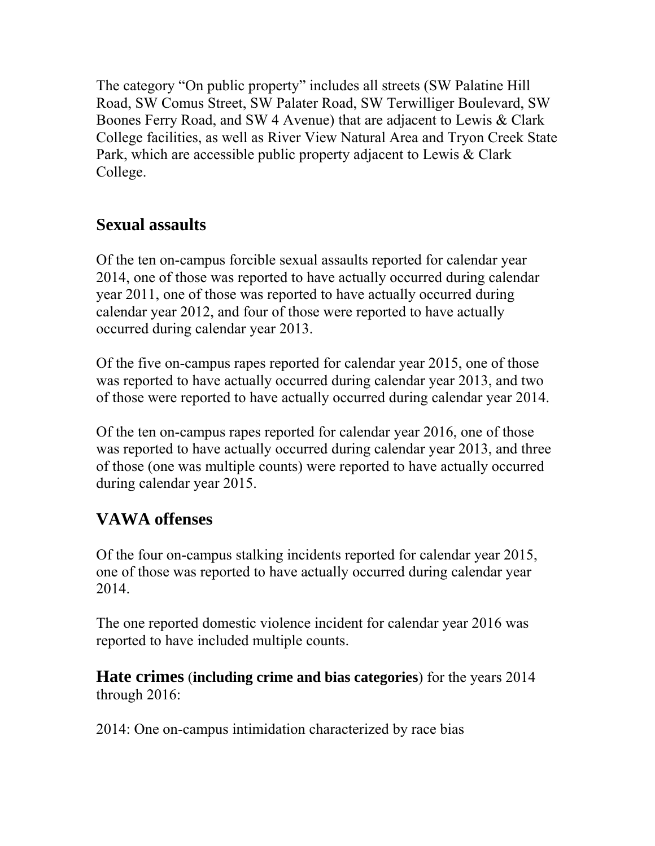The category "On public property" includes all streets (SW Palatine Hill Road, SW Comus Street, SW Palater Road, SW Terwilliger Boulevard, SW Boones Ferry Road, and SW 4 Avenue) that are adjacent to Lewis & Clark College facilities, as well as River View Natural Area and Tryon Creek State Park, which are accessible public property adjacent to Lewis & Clark College.

### **Sexual assaults**

Of the ten on-campus forcible sexual assaults reported for calendar year 2014, one of those was reported to have actually occurred during calendar year 2011, one of those was reported to have actually occurred during calendar year 2012, and four of those were reported to have actually occurred during calendar year 2013.

Of the five on-campus rapes reported for calendar year 2015, one of those was reported to have actually occurred during calendar year 2013, and two of those were reported to have actually occurred during calendar year 2014.

Of the ten on-campus rapes reported for calendar year 2016, one of those was reported to have actually occurred during calendar year 2013, and three of those (one was multiple counts) were reported to have actually occurred during calendar year 2015.

### **VAWA offenses**

Of the four on-campus stalking incidents reported for calendar year 2015, one of those was reported to have actually occurred during calendar year 2014.

The one reported domestic violence incident for calendar year 2016 was reported to have included multiple counts.

**Hate crimes** (**including crime and bias categories**) for the years 2014 through 2016:

2014: One on-campus intimidation characterized by race bias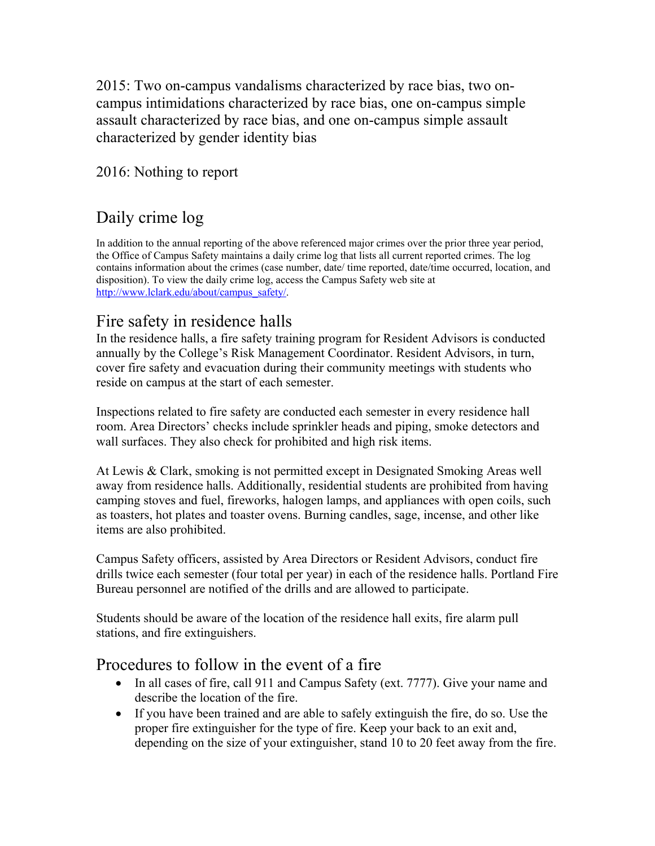2015: Two on-campus vandalisms characterized by race bias, two oncampus intimidations characterized by race bias, one on-campus simple assault characterized by race bias, and one on-campus simple assault characterized by gender identity bias

2016: Nothing to report

### Daily crime log

In addition to the annual reporting of the above referenced major crimes over the prior three year period, the Office of Campus Safety maintains a daily crime log that lists all current reported crimes. The log contains information about the crimes (case number, date/ time reported, date/time occurred, location, and disposition). To view the daily crime log, access the Campus Safety web site at http://www.lclark.edu/about/campus\_safety/.

### Fire safety in residence halls

In the residence halls, a fire safety training program for Resident Advisors is conducted annually by the College's Risk Management Coordinator. Resident Advisors, in turn, cover fire safety and evacuation during their community meetings with students who reside on campus at the start of each semester.

Inspections related to fire safety are conducted each semester in every residence hall room. Area Directors' checks include sprinkler heads and piping, smoke detectors and wall surfaces. They also check for prohibited and high risk items.

At Lewis & Clark, smoking is not permitted except in Designated Smoking Areas well away from residence halls. Additionally, residential students are prohibited from having camping stoves and fuel, fireworks, halogen lamps, and appliances with open coils, such as toasters, hot plates and toaster ovens. Burning candles, sage, incense, and other like items are also prohibited.

Campus Safety officers, assisted by Area Directors or Resident Advisors, conduct fire drills twice each semester (four total per year) in each of the residence halls. Portland Fire Bureau personnel are notified of the drills and are allowed to participate.

Students should be aware of the location of the residence hall exits, fire alarm pull stations, and fire extinguishers.

### Procedures to follow in the event of a fire

- In all cases of fire, call 911 and Campus Safety (ext. 7777). Give your name and describe the location of the fire.
- If you have been trained and are able to safely extinguish the fire, do so. Use the proper fire extinguisher for the type of fire. Keep your back to an exit and, depending on the size of your extinguisher, stand 10 to 20 feet away from the fire.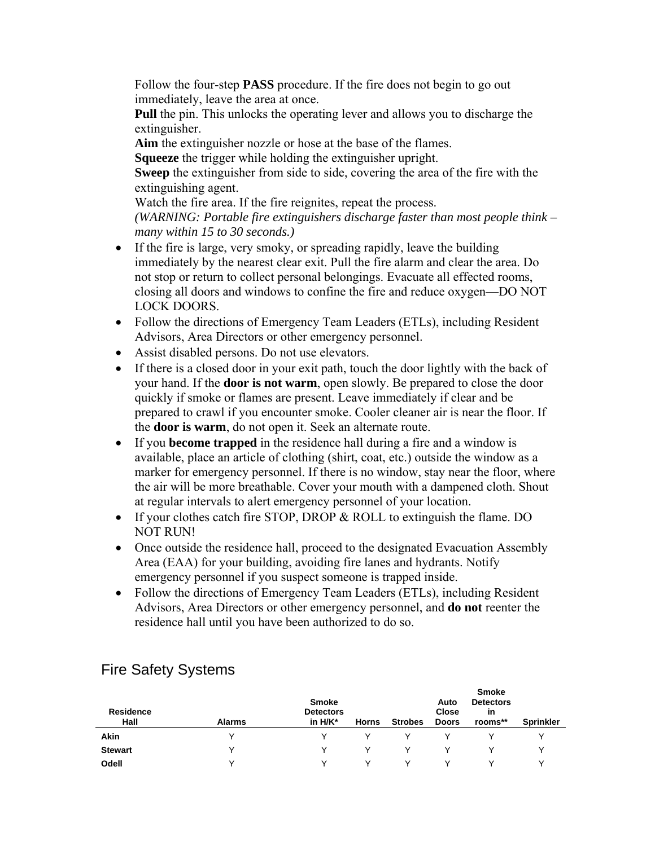Follow the four-step **PASS** procedure. If the fire does not begin to go out immediately, leave the area at once.

**Pull** the pin. This unlocks the operating lever and allows you to discharge the extinguisher.

**Aim** the extinguisher nozzle or hose at the base of the flames.

**Squeeze** the trigger while holding the extinguisher upright.

**Sweep** the extinguisher from side to side, covering the area of the fire with the extinguishing agent.

Watch the fire area. If the fire reignites, repeat the process. *(WARNING: Portable fire extinguishers discharge faster than most people think – many within 15 to 30 seconds.)* 

- If the fire is large, very smoky, or spreading rapidly, leave the building immediately by the nearest clear exit. Pull the fire alarm and clear the area. Do not stop or return to collect personal belongings. Evacuate all effected rooms, closing all doors and windows to confine the fire and reduce oxygen—DO NOT LOCK DOORS.
- Follow the directions of Emergency Team Leaders (ETLs), including Resident Advisors, Area Directors or other emergency personnel.
- Assist disabled persons. Do not use elevators.
- If there is a closed door in your exit path, touch the door lightly with the back of your hand. If the **door is not warm**, open slowly. Be prepared to close the door quickly if smoke or flames are present. Leave immediately if clear and be prepared to crawl if you encounter smoke. Cooler cleaner air is near the floor. If the **door is warm**, do not open it. Seek an alternate route.
- If you **become trapped** in the residence hall during a fire and a window is available, place an article of clothing (shirt, coat, etc.) outside the window as a marker for emergency personnel. If there is no window, stay near the floor, where the air will be more breathable. Cover your mouth with a dampened cloth. Shout at regular intervals to alert emergency personnel of your location.
- If your clothes catch fire STOP, DROP  $& ROLL$  to extinguish the flame. DO NOT RUN!
- Once outside the residence hall, proceed to the designated Evacuation Assembly Area (EAA) for your building, avoiding fire lanes and hydrants. Notify emergency personnel if you suspect someone is trapped inside.
- Follow the directions of Emergency Team Leaders (ETLs), including Resident Advisors, Area Directors or other emergency personnel, and **do not** reenter the residence hall until you have been authorized to do so.

| <b>Residence</b><br>Hall | <b>Alarms</b> | <b>Smoke</b><br><b>Detectors</b><br>in $H/K^*$ | <b>Horns</b> | <b>Strobes</b> | Auto<br><b>Close</b><br><b>Doors</b> | <b>Smoke</b><br><b>Detectors</b><br>in<br>rooms** | <b>Sprinkler</b> |
|--------------------------|---------------|------------------------------------------------|--------------|----------------|--------------------------------------|---------------------------------------------------|------------------|
| Akin                     |               | v                                              |              |                |                                      |                                                   |                  |
| <b>Stewart</b>           |               | v                                              | $\vee$       |                |                                      |                                                   |                  |
| Odell                    |               | v                                              | v            |                |                                      |                                                   |                  |

### Fire Safety Systems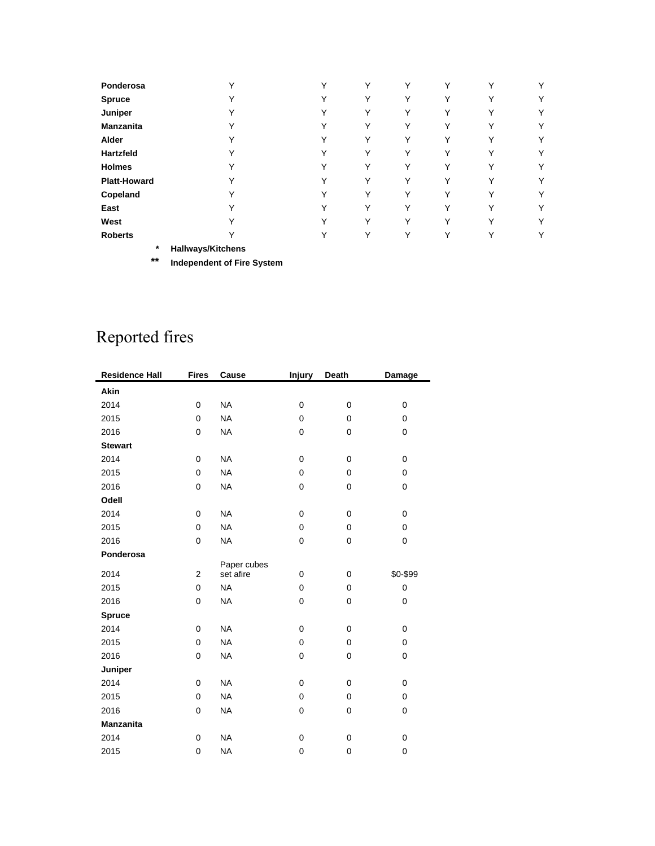| Ponderosa           | $\checkmark$                                 | Υ            | Υ            | Υ | v           | Y            | Υ |
|---------------------|----------------------------------------------|--------------|--------------|---|-------------|--------------|---|
| <b>Spruce</b>       | $\checkmark$                                 | Υ            | Υ            | Υ | v           | Υ            | Υ |
| Juniper             | v                                            | Υ            | Υ            | Υ | Y           | Υ            | Υ |
| <b>Manzanita</b>    | v                                            | Υ            | Υ            | Υ | Y           | Υ            | Υ |
| Alder               |                                              | Υ            | Υ            | Υ | v           | Υ            | Υ |
| <b>Hartzfeld</b>    | $\checkmark$                                 | Y            | Υ            | Υ |             | Υ            | Υ |
| <b>Holmes</b>       |                                              | Υ            | Υ            | Υ |             | Υ            | Υ |
| <b>Platt-Howard</b> | $\checkmark$                                 | ٧            | ٧            | Υ |             | Υ            | Υ |
| Copeland            |                                              | $\checkmark$ | ٧            | Υ | $\check{ }$ | v            | Υ |
| East                |                                              | v            | $\checkmark$ | Υ |             | $\checkmark$ | Υ |
| West                |                                              | v            | $\checkmark$ | Υ |             | v            | Υ |
| <b>Roberts</b>      |                                              | $\checkmark$ | Υ            | Υ |             | ◡            | Υ |
|                     | $\Phi$ and the Hammar and HW to all the same |              |              |   |             |              |   |

**\* Hallways/Kitchens** 

**\*\* Independent of Fire System** 

## Reported fires

| <b>Residence Hall</b>                                                                                                                | <b>Fires</b>                                                     | Cause                                                                                                                                                      | <b>Injury</b>                                                           | Death                                                                   | Damage                                                     |
|--------------------------------------------------------------------------------------------------------------------------------------|------------------------------------------------------------------|------------------------------------------------------------------------------------------------------------------------------------------------------------|-------------------------------------------------------------------------|-------------------------------------------------------------------------|------------------------------------------------------------|
| Akin                                                                                                                                 |                                                                  |                                                                                                                                                            |                                                                         |                                                                         |                                                            |
| 2014                                                                                                                                 | 0                                                                | <b>NA</b>                                                                                                                                                  | 0                                                                       | 0                                                                       | 0                                                          |
| 2015                                                                                                                                 | 0                                                                | <b>NA</b>                                                                                                                                                  | $\Omega$                                                                | 0                                                                       | 0                                                          |
| 2016                                                                                                                                 | 0                                                                | <b>NA</b>                                                                                                                                                  | 0                                                                       | 0                                                                       | 0                                                          |
| <b>Stewart</b>                                                                                                                       |                                                                  |                                                                                                                                                            |                                                                         |                                                                         |                                                            |
| 2014                                                                                                                                 | 0                                                                | <b>NA</b>                                                                                                                                                  | 0                                                                       | 0                                                                       | 0                                                          |
| 2015                                                                                                                                 | 0                                                                | <b>NA</b>                                                                                                                                                  | 0                                                                       | 0                                                                       | 0                                                          |
| 2016                                                                                                                                 | 0                                                                | <b>NA</b>                                                                                                                                                  | 0                                                                       | 0                                                                       | 0                                                          |
| Odell                                                                                                                                |                                                                  |                                                                                                                                                            |                                                                         |                                                                         |                                                            |
| 2014                                                                                                                                 | 0                                                                | <b>NA</b>                                                                                                                                                  | $\mathbf 0$                                                             | 0                                                                       | 0                                                          |
| 2015                                                                                                                                 | 0                                                                | <b>NA</b>                                                                                                                                                  | 0                                                                       | $\mathbf 0$                                                             | 0                                                          |
| 2016                                                                                                                                 | 0                                                                | <b>NA</b>                                                                                                                                                  | 0                                                                       | 0                                                                       | 0                                                          |
| Ponderosa                                                                                                                            |                                                                  |                                                                                                                                                            |                                                                         |                                                                         |                                                            |
|                                                                                                                                      |                                                                  |                                                                                                                                                            |                                                                         |                                                                         |                                                            |
|                                                                                                                                      |                                                                  |                                                                                                                                                            |                                                                         |                                                                         |                                                            |
|                                                                                                                                      |                                                                  |                                                                                                                                                            |                                                                         |                                                                         |                                                            |
|                                                                                                                                      |                                                                  |                                                                                                                                                            |                                                                         |                                                                         |                                                            |
|                                                                                                                                      |                                                                  |                                                                                                                                                            |                                                                         |                                                                         |                                                            |
|                                                                                                                                      |                                                                  |                                                                                                                                                            |                                                                         |                                                                         |                                                            |
|                                                                                                                                      |                                                                  |                                                                                                                                                            |                                                                         |                                                                         |                                                            |
|                                                                                                                                      |                                                                  |                                                                                                                                                            |                                                                         |                                                                         |                                                            |
|                                                                                                                                      |                                                                  |                                                                                                                                                            |                                                                         |                                                                         |                                                            |
|                                                                                                                                      |                                                                  |                                                                                                                                                            |                                                                         |                                                                         |                                                            |
|                                                                                                                                      |                                                                  |                                                                                                                                                            |                                                                         |                                                                         |                                                            |
|                                                                                                                                      |                                                                  |                                                                                                                                                            |                                                                         |                                                                         |                                                            |
|                                                                                                                                      |                                                                  |                                                                                                                                                            |                                                                         |                                                                         |                                                            |
|                                                                                                                                      |                                                                  |                                                                                                                                                            |                                                                         |                                                                         |                                                            |
| 2014<br>2015<br>2016<br><b>Spruce</b><br>2014<br>2015<br>2016<br>Juniper<br>2014<br>2015<br>2016<br><b>Manzanita</b><br>2014<br>2015 | $\overline{2}$<br>0<br>0<br>0<br>0<br>0<br>0<br>0<br>0<br>0<br>0 | Paper cubes<br>set afire<br><b>NA</b><br><b>NA</b><br><b>NA</b><br><b>NA</b><br><b>NA</b><br><b>NA</b><br><b>NA</b><br><b>NA</b><br><b>NA</b><br><b>NA</b> | 0<br>0<br>0<br>0<br>$\mathbf 0$<br>$\mathbf 0$<br>0<br>0<br>0<br>0<br>0 | $\mathbf 0$<br>0<br>0<br>0<br>$\mathbf 0$<br>0<br>0<br>0<br>0<br>0<br>0 | \$0-\$99<br>0<br>0<br>0<br>0<br>0<br>0<br>0<br>0<br>0<br>0 |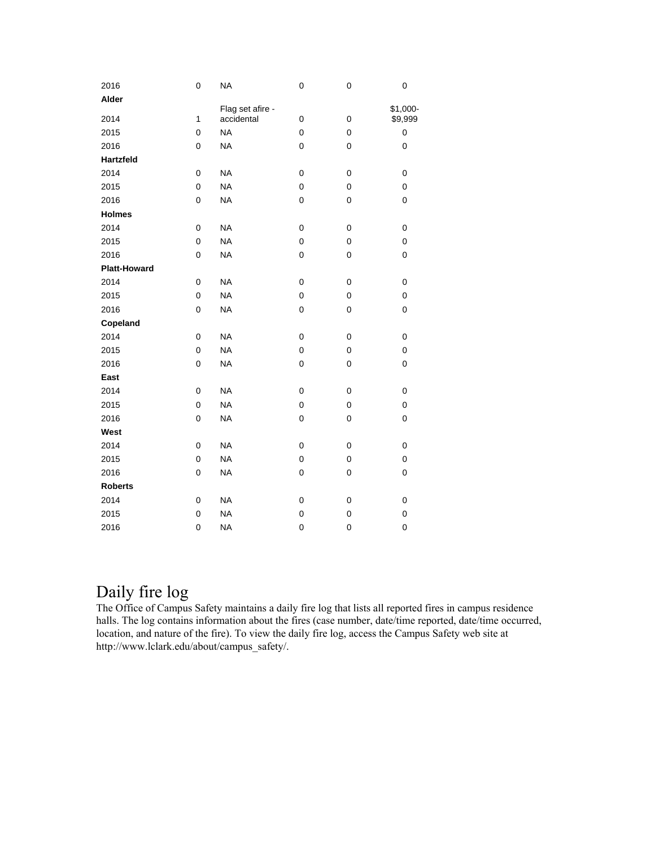| 2016                | 0            | <b>NA</b>                      | 0           | 0           | 0                   |
|---------------------|--------------|--------------------------------|-------------|-------------|---------------------|
| Alder               |              |                                |             |             |                     |
| 2014                | $\mathbf{1}$ | Flag set afire -<br>accidental | 0           | $\mathbf 0$ | \$1,000-<br>\$9,999 |
| 2015                | 0            | <b>NA</b>                      | 0           | $\mathbf 0$ | $\pmb{0}$           |
| 2016                | 0            | <b>NA</b>                      | 0           | 0           | 0                   |
| Hartzfeld           |              |                                |             |             |                     |
| 2014                | 0            | <b>NA</b>                      | $\mathbf 0$ | $\mathbf 0$ | 0                   |
|                     | 0            | <b>NA</b>                      | $\mathbf 0$ | $\mathbf 0$ | 0                   |
| 2015                |              |                                |             |             |                     |
| 2016                | 0            | <b>NA</b>                      | $\mathbf 0$ | $\mathbf 0$ | 0                   |
| <b>Holmes</b>       |              |                                |             |             |                     |
| 2014                | 0            | <b>NA</b>                      | $\mathbf 0$ | $\mathbf 0$ | 0                   |
| 2015                | 0            | <b>NA</b>                      | $\mathsf 0$ | $\mathbf 0$ | 0                   |
| 2016                | 0            | <b>NA</b>                      | $\mathbf 0$ | $\mathbf 0$ | 0                   |
| <b>Platt-Howard</b> |              |                                |             |             |                     |
| 2014                | 0            | <b>NA</b>                      | $\mathbf 0$ | $\mathbf 0$ | 0                   |
| 2015                | 0            | <b>NA</b>                      | $\mathbf 0$ | $\mathbf 0$ | 0                   |
| 2016                | 0            | <b>NA</b>                      | $\mathbf 0$ | $\mathbf 0$ | 0                   |
| Copeland            |              |                                |             |             |                     |
| 2014                | 0            | <b>NA</b>                      | $\mathbf 0$ | $\mathbf 0$ | 0                   |
| 2015                | 0            | <b>NA</b>                      | 0           | $\mathbf 0$ | 0                   |
| 2016                | 0            | <b>NA</b>                      | $\mathbf 0$ | $\mathbf 0$ | 0                   |
| East                |              |                                |             |             |                     |
| 2014                | 0            | <b>NA</b>                      | $\mathbf 0$ | 0           | 0                   |
| 2015                | 0            | <b>NA</b>                      | 0           | 0           | 0                   |
| 2016                | 0            | <b>NA</b>                      | 0           | 0           | 0                   |
| West                |              |                                |             |             |                     |
| 2014                | 0            | <b>NA</b>                      | 0           | 0           | 0                   |
| 2015                | 0            | <b>NA</b>                      | 0           | $\pmb{0}$   | 0                   |
| 2016                | 0            | <b>NA</b>                      | 0           | 0           | 0                   |
| <b>Roberts</b>      |              |                                |             |             |                     |
| 2014                | 0            | <b>NA</b>                      | $\pmb{0}$   | 0           | 0                   |
| 2015                | 0            | <b>NA</b>                      | 0           | 0           | 0                   |
| 2016                | 0            | <b>NA</b>                      | $\mathbf 0$ | $\pmb{0}$   | 0                   |

### Daily fire log

The Office of Campus Safety maintains a daily fire log that lists all reported fires in campus residence halls. The log contains information about the fires (case number, date/time reported, date/time occurred, location, and nature of the fire). To view the daily fire log, access the Campus Safety web site at http://www.lclark.edu/about/campus\_safety/.